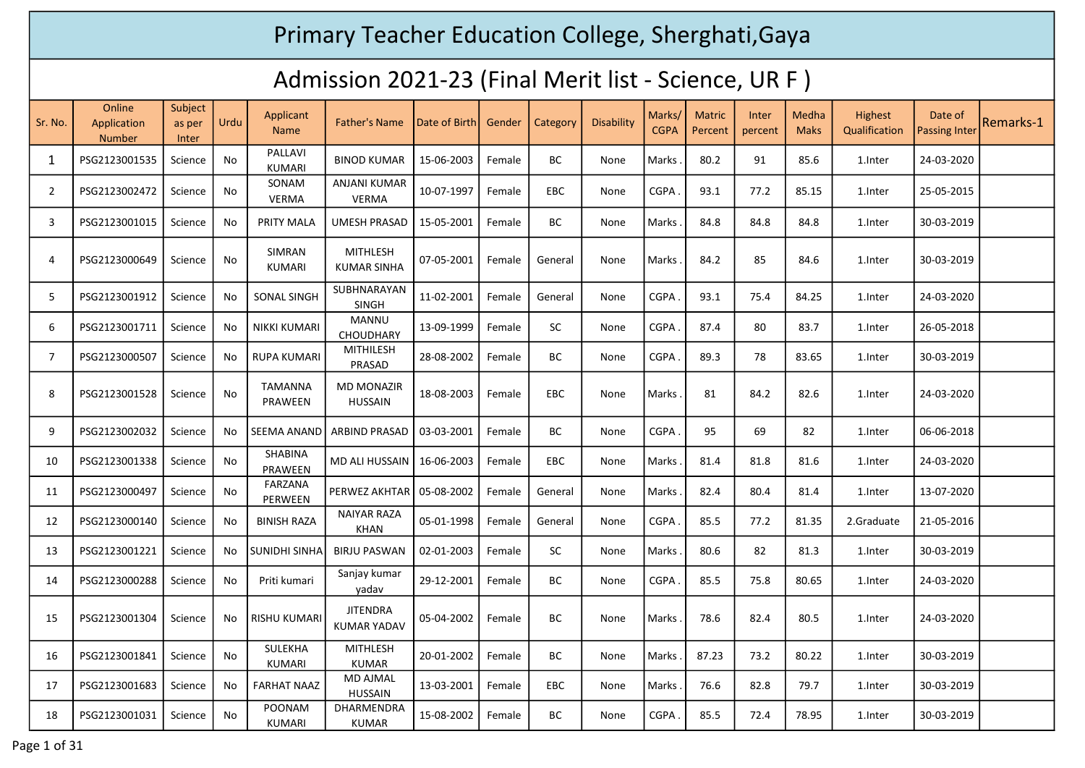## Primary Teacher Education College, Sherghati,Gaya

## Admission 2021-23 (Final Merit list - Science, UR F )

| Sr. No.        | Online<br>Application<br><b>Number</b> | Subject<br>as per<br>Inter | Urdu | Applicant<br><b>Name</b>         | <b>Father's Name</b>                  | Date of Birth | Gender | Category   | Disability | Marks/<br><b>CGPA</b> | <b>Matric</b><br>Percent | <b>Inter</b><br>percent | <b>Medha</b><br><b>Maks</b> | Highest<br>Qualification | Date of<br><b>Passing Inter</b> | Remarks-1 |
|----------------|----------------------------------------|----------------------------|------|----------------------------------|---------------------------------------|---------------|--------|------------|------------|-----------------------|--------------------------|-------------------------|-----------------------------|--------------------------|---------------------------------|-----------|
| 1              | PSG2123001535                          | Science                    | No   | PALLAVI<br><b>KUMARI</b>         | <b>BINOD KUMAR</b>                    | 15-06-2003    | Female | <b>BC</b>  | None       | Marks                 | 80.2                     | 91                      | 85.6                        | 1.Inter                  | 24-03-2020                      |           |
| 2              | PSG2123002472                          | Science                    | No   | SONAM<br>VERMA                   | ANJANI KUMAR<br><b>VERMA</b>          | 10-07-1997    | Female | <b>EBC</b> | None       | <b>CGPA</b>           | 93.1                     | 77.2                    | 85.15                       | 1.Inter                  | 25-05-2015                      |           |
| 3              | PSG2123001015                          | Science                    | No   | <b>PRITY MALA</b>                | <b>UMESH PRASAD</b>                   | 15-05-2001    | Female | <b>BC</b>  | None       | Marks                 | 84.8                     | 84.8                    | 84.8                        | 1.Inter                  | 30-03-2019                      |           |
| 4              | PSG2123000649                          | Science                    | No   | <b>SIMRAN</b><br><b>KUMARI</b>   | <b>MITHLESH</b><br><b>KUMAR SINHA</b> | 07-05-2001    | Female | General    | None       | Marks                 | 84.2                     | 85                      | 84.6                        | 1.Inter                  | 30-03-2019                      |           |
| 5              | PSG2123001912                          | Science                    | No   | SONAL SINGH                      | SUBHNARAYAN<br><b>SINGH</b>           | 11-02-2001    | Female | General    | None       | CGPA.                 | 93.1                     | 75.4                    | 84.25                       | 1.Inter                  | 24-03-2020                      |           |
| 6              | PSG2123001711                          | Science                    | No   | NIKKI KUMARI                     | <b>MANNU</b><br><b>CHOUDHARY</b>      | 13-09-1999    | Female | <b>SC</b>  | None       | <b>CGPA</b>           | 87.4                     | 80                      | 83.7                        | 1.Inter                  | 26-05-2018                      |           |
| $\overline{7}$ | PSG2123000507                          | Science                    | No   | <b>RUPA KUMARI</b>               | MITHILESH<br>PRASAD                   | 28-08-2002    | Female | ВC         | None       | CGPA.                 | 89.3                     | 78                      | 83.65                       | 1.Inter                  | 30-03-2019                      |           |
| 8              | PSG2123001528                          | Science                    | No   | <b>TAMANNA</b><br><b>PRAWEEN</b> | <b>MD MONAZIR</b><br><b>HUSSAIN</b>   | 18-08-2003    | Female | <b>EBC</b> | None       | Marks                 | 81                       | 84.2                    | 82.6                        | 1.Inter                  | 24-03-2020                      |           |
| 9              | PSG2123002032                          | Science                    | No   | <b>SEEMA ANAND</b>               | ARBIND PRASAD                         | 03-03-2001    | Female | ВC         | None       | <b>CGPA</b>           | 95                       | 69                      | 82                          | 1.Inter                  | 06-06-2018                      |           |
| 10             | PSG2123001338                          | Science                    | No   | SHABINA<br>PRAWEEN               | MD ALI HUSSAIN                        | 16-06-2003    | Female | <b>EBC</b> | None       | Marks                 | 81.4                     | 81.8                    | 81.6                        | 1.Inter                  | 24-03-2020                      |           |
| 11             | PSG2123000497                          | Science                    | No   | FARZANA<br>PERWEEN               | PERWEZ AKHTAR                         | 05-08-2002    | Female | General    | None       | Marks                 | 82.4                     | 80.4                    | 81.4                        | 1.Inter                  | 13-07-2020                      |           |
| 12             | PSG2123000140                          | Science                    | No   | <b>BINISH RAZA</b>               | <b>NAIYAR RAZA</b><br><b>KHAN</b>     | 05-01-1998    | Female | General    | None       | CGPA                  | 85.5                     | 77.2                    | 81.35                       | 2.Graduate               | 21-05-2016                      |           |
| 13             | PSG2123001221                          | Science                    | No   | <b>SUNIDHI SINHA</b>             | <b>BIRJU PASWAN</b>                   | 02-01-2003    | Female | SC.        | None       | Marks                 | 80.6                     | 82                      | 81.3                        | 1.Inter                  | 30-03-2019                      |           |
| 14             | PSG2123000288                          | Science                    | No   | Priti kumari                     | Sanjay kumar<br>yadav                 | 29-12-2001    | Female | ВC         | None       | CGPA                  | 85.5                     | 75.8                    | 80.65                       | 1.Inter                  | 24-03-2020                      |           |
| 15             | PSG2123001304                          | Science                    | No   | <b>RISHU KUMARI</b>              | <b>JITENDRA</b><br><b>KUMAR YADAV</b> | 05-04-2002    | Female | <b>BC</b>  | None       | Marks                 | 78.6                     | 82.4                    | 80.5                        | 1.Inter                  | 24-03-2020                      |           |
| 16             | PSG2123001841                          | Science                    | No   | SULEKHA<br><b>KUMARI</b>         | <b>MITHLESH</b><br><b>KUMAR</b>       | 20-01-2002    | Female | ВC         | None       | Marks .               | 87.23                    | 73.2                    | 80.22                       | 1.Inter                  | 30-03-2019                      |           |
| 17             | PSG2123001683                          | Science                    | No   | <b>FARHAT NAAZ</b>               | <b>MD AJMAL</b><br><b>HUSSAIN</b>     | 13-03-2001    | Female | <b>EBC</b> | None       | Marks                 | 76.6                     | 82.8                    | 79.7                        | 1.Inter                  | 30-03-2019                      |           |
| 18             | PSG2123001031                          | Science                    | No   | <b>POONAM</b><br><b>KUMARI</b>   | DHARMENDRA<br><b>KUMAR</b>            | 15-08-2002    | Female | <b>BC</b>  | None       | CGPA                  | 85.5                     | 72.4                    | 78.95                       | 1.Inter                  | 30-03-2019                      |           |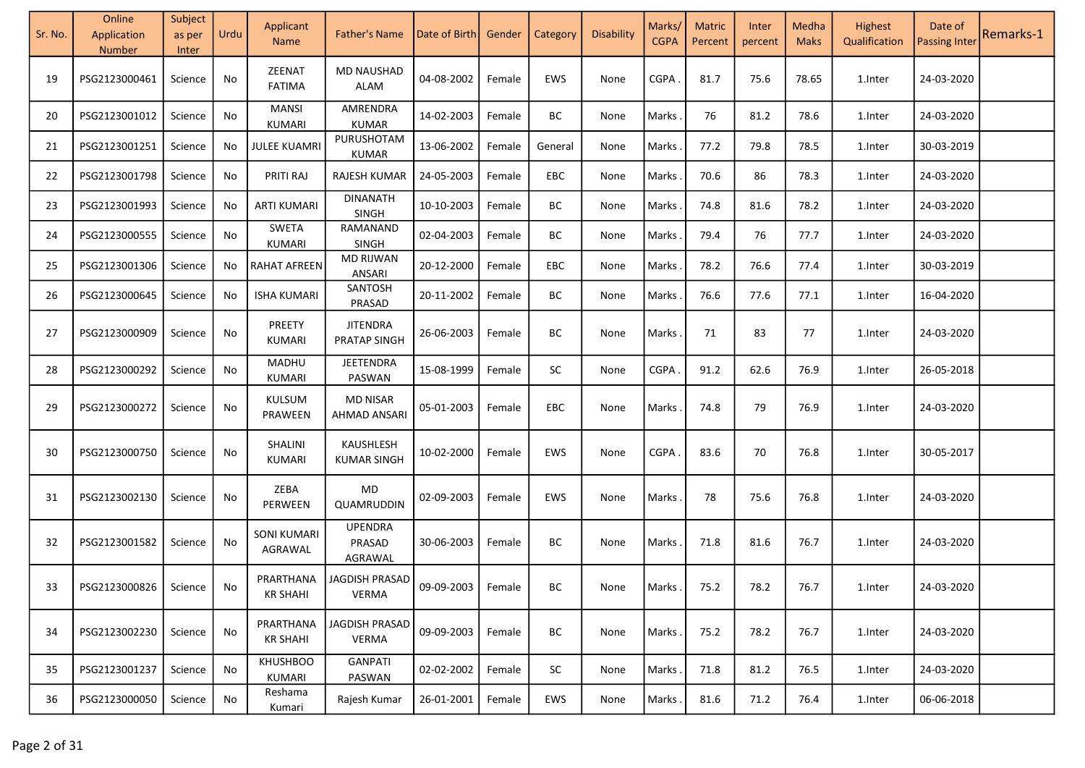| Sr. No. | Online<br>Application<br><b>Number</b> | Subject<br>as per<br>Inter | Urdu | Applicant<br><b>Name</b>      | <b>Father's Name</b>                   | Date of Birth  | Gender | Category  | Disability | Marks/<br><b>CGPA</b> | <b>Matric</b><br>Percent | Inter<br>percent | Medha<br><b>Maks</b> | Highest<br>Qualification | Date of<br><b>Passing Inter</b> | Remarks-1 |
|---------|----------------------------------------|----------------------------|------|-------------------------------|----------------------------------------|----------------|--------|-----------|------------|-----------------------|--------------------------|------------------|----------------------|--------------------------|---------------------------------|-----------|
| 19      | PSG2123000461                          | Science                    | No   | ZEENAT<br><b>FATIMA</b>       | <b>MD NAUSHAD</b><br><b>ALAM</b>       | 04-08-2002     | Female | EWS       | None       | <b>CGPA</b>           | 81.7                     | 75.6             | 78.65                | 1.Inter                  | 24-03-2020                      |           |
| 20      | PSG2123001012                          | Science                    | No   | <b>MANSI</b><br>KUMARI        | AMRENDRA<br><b>KUMAR</b>               | 14-02-2003     | Female | BC        | None       | Marks                 | 76                       | 81.2             | 78.6                 | 1.Inter                  | 24-03-2020                      |           |
| 21      | PSG2123001251                          | Science                    | No   | <b>JULEE KUAMRI</b>           | PURUSHOTAM<br><b>KUMAR</b>             | 13-06-2002     | Female | General   | None       | Marks                 | 77.2                     | 79.8             | 78.5                 | 1.Inter                  | 30-03-2019                      |           |
| 22      | PSG2123001798                          | Science                    | No   | PRITI RAJ                     | RAJESH KUMAR                           | 24-05-2003     | Female | EBC       | None       | Marks                 | 70.6                     | 86               | 78.3                 | 1.Inter                  | 24-03-2020                      |           |
| 23      | PSG2123001993                          | Science                    | No   | <b>ARTI KUMARI</b>            | <b>DINANATH</b><br><b>SINGH</b>        | 10-10-2003     | Female | BC        | None       | Marks                 | 74.8                     | 81.6             | 78.2                 | 1.Inter                  | 24-03-2020                      |           |
| 24      | PSG2123000555                          | Science                    | No   | <b>SWETA</b><br>KUMARI        | RAMANAND<br><b>SINGH</b>               | 02-04-2003     | Female | BC        | None       | Marks                 | 79.4                     | 76               | 77.7                 | 1.Inter                  | 24-03-2020                      |           |
| 25      | PSG2123001306                          | Science                    | No   | <b>RAHAT AFREEN</b>           | <b>MD RIJWAN</b><br>ANSARI             | 20-12-2000     | Female | EBC       | None       | Marks                 | 78.2                     | 76.6             | 77.4                 | 1.Inter                  | 30-03-2019                      |           |
| 26      | PSG2123000645                          | Science                    | No   | <b>ISHA KUMARI</b>            | SANTOSH<br>PRASAD                      | 20-11-2002     | Female | BC        | None       | Marks                 | 76.6                     | 77.6             | 77.1                 | 1.Inter                  | 16-04-2020                      |           |
| 27      | PSG2123000909                          | Science                    | No   | PREETY<br>KUMARI              | <b>JITENDRA</b><br><b>PRATAP SINGH</b> | 26-06-2003     | Female | BC        | None       | Marks                 | 71                       | 83               | 77                   | 1.Inter                  | 24-03-2020                      |           |
| 28      | PSG2123000292                          | Science                    | No   | MADHU<br>KUMARI               | JEETENDRA<br>PASWAN                    | 15-08-1999     | Female | SC        | None       | CGPA                  | 91.2                     | 62.6             | 76.9                 | 1.Inter                  | 26-05-2018                      |           |
| 29      | PSG2123000272                          | Science                    | No   | KULSUM<br>PRAWEEN             | <b>MD NISAR</b><br>AHMAD ANSARI        | 05-01-2003     | Female | EBC       | None       | Marks                 | 74.8                     | 79               | 76.9                 | 1.Inter                  | 24-03-2020                      |           |
| 30      | PSG2123000750                          | Science                    | No   | SHALINI<br>KUMARI             | KAUSHLESH<br><b>KUMAR SINGH</b>        | 10-02-2000     | Female | EWS       | None       | <b>CGPA</b>           | 83.6                     | 70               | 76.8                 | 1.Inter                  | 30-05-2017                      |           |
| 31      | PSG2123002130                          | Science                    | No   | ZEBA<br>PERWEEN               | MD<br>QUAMRUDDIN                       | 02-09-2003     | Female | EWS       | None       | Marks                 | 78                       | 75.6             | 76.8                 | 1.Inter                  | 24-03-2020                      |           |
| 32      | PSG2123001582                          | Science                    | No   | <b>SONI KUMARI</b><br>AGRAWAL | <b>UPENDRA</b><br>PRASAD<br>AGRAWAL    | 30-06-2003     | Female | <b>BC</b> | None       | Marks                 | 71.8                     | 81.6             | 76.7                 | 1.Inter                  | 24-03-2020                      |           |
| 33      | PSG2123000826                          | Science                    | No   | PRARTHANA<br><b>KR SHAHI</b>  | JAGDISH PRASAD<br><b>VERMA</b>         | $ 09-09-2003 $ | Female | BC        | None       | Marks .               | 75.2                     | 78.2             | 76.7                 | 1.Inter                  | 24-03-2020                      |           |
| 34      | PSG2123002230                          | Science                    | No   | PRARTHANA<br>KR SHAHI         | JAGDISH PRASAD<br><b>VERMA</b>         | 09-09-2003     | Female | BC        | None       | Marks                 | 75.2                     | 78.2             | 76.7                 | 1.Inter                  | 24-03-2020                      |           |
| 35      | PSG2123001237                          | Science                    | No   | <b>KHUSHBOO</b><br>KUMARI     | <b>GANPATI</b><br>PASWAN               | 02-02-2002     | Female | <b>SC</b> | None       | Marks                 | 71.8                     | 81.2             | 76.5                 | 1.Inter                  | 24-03-2020                      |           |
| 36      | PSG2123000050                          | Science                    | No   | Reshama<br>Kumari             | Rajesh Kumar                           | 26-01-2001     | Female | EWS       | None       | Marks                 | 81.6                     | 71.2             | 76.4                 | 1.Inter                  | 06-06-2018                      |           |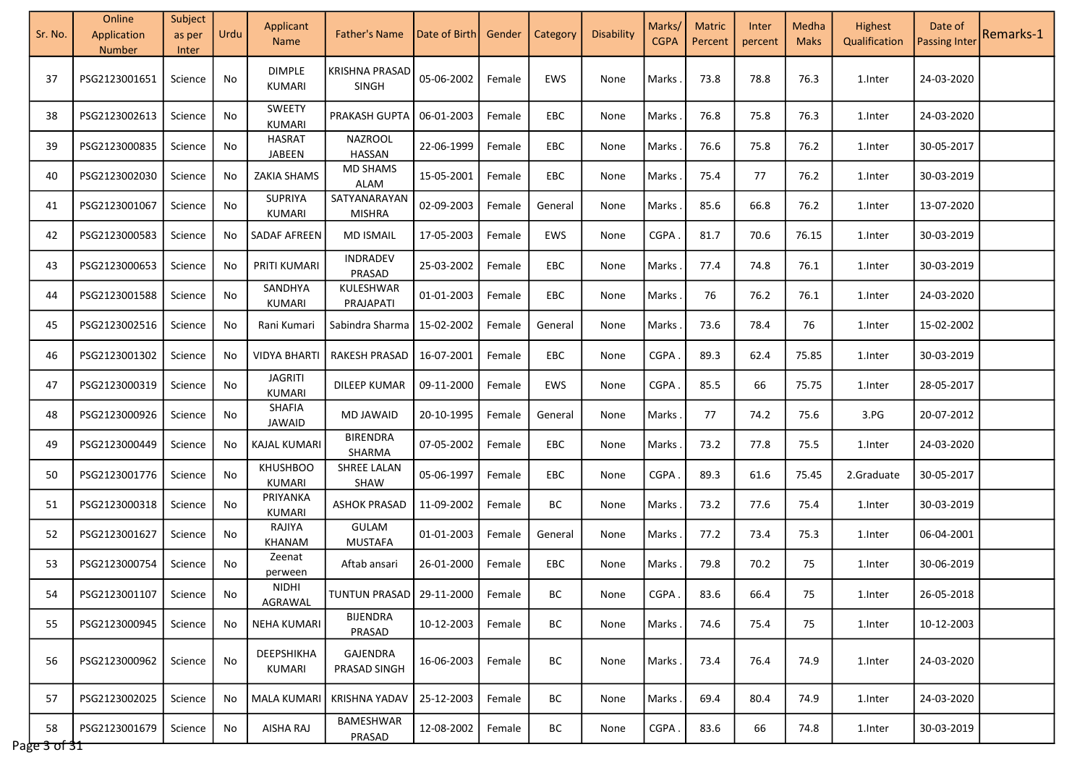| Sr. No.            | Online<br>Application<br>Number | Subject<br>as per<br><b>Inter</b> | Urdu | Applicant<br>Name                | <b>Father's Name</b>            | Date of Birth | Gender | Category   | Disability | Marks/<br><b>CGPA</b> | <b>Matric</b><br>Percent | Inter<br>percent | Medha<br><b>Maks</b> | Highest<br>Qualification | Date of<br><b>Passing Inter</b> | Remarks-1 |
|--------------------|---------------------------------|-----------------------------------|------|----------------------------------|---------------------------------|---------------|--------|------------|------------|-----------------------|--------------------------|------------------|----------------------|--------------------------|---------------------------------|-----------|
| 37                 | PSG2123001651                   | Science                           | No   | <b>DIMPLE</b><br>KUMARI          | KRISHNA PRASAD<br><b>SINGH</b>  | 05-06-2002    | Female | <b>EWS</b> | None       | Marks                 | 73.8                     | 78.8             | 76.3                 | 1.Inter                  | 24-03-2020                      |           |
| 38                 | PSG2123002613                   | Science                           | No   | <b>SWEETY</b><br>KUMARI          | PRAKASH GUPTA                   | 06-01-2003    | Female | EBC        | None       | Marks                 | 76.8                     | 75.8             | 76.3                 | 1.Inter                  | 24-03-2020                      |           |
| 39                 | PSG2123000835                   | Science                           | No   | <b>HASRAT</b><br>JABEEN          | NAZROOL<br>HASSAN               | 22-06-1999    | Female | EBC        | None       | Marks                 | 76.6                     | 75.8             | 76.2                 | 1.Inter                  | 30-05-2017                      |           |
| 40                 | PSG2123002030                   | Science                           | No   | ZAKIA SHAMS                      | <b>MD SHAMS</b><br>ALAM         | 15-05-2001    | Female | EBC        | None       | Marks                 | 75.4                     | 77               | 76.2                 | 1.Inter                  | 30-03-2019                      |           |
| 41                 | PSG2123001067                   | Science                           | No   | SUPRIYA<br>KUMARI                | SATYANARAYAN<br>MISHRA          | 02-09-2003    | Female | General    | None       | Marks                 | 85.6                     | 66.8             | 76.2                 | 1.Inter                  | 13-07-2020                      |           |
| 42                 | PSG2123000583                   | Science                           | No   | SADAF AFREEN                     | <b>MD ISMAIL</b>                | 17-05-2003    | Female | EWS        | None       | CGPA                  | 81.7                     | 70.6             | 76.15                | 1.Inter                  | 30-03-2019                      |           |
| 43                 | PSG2123000653                   | Science                           | No   | PRITI KUMARI                     | <b>INDRADEV</b><br>PRASAD       | 25-03-2002    | Female | EBC        | None       | Marks                 | 77.4                     | 74.8             | 76.1                 | 1.Inter                  | 30-03-2019                      |           |
| 44                 | PSG2123001588                   | Science                           | No   | SANDHYA<br>KUMARI                | KULESHWAR<br>PRAJAPATI          | 01-01-2003    | Female | EBC        | None       | Marks.                | 76                       | 76.2             | 76.1                 | 1.Inter                  | 24-03-2020                      |           |
| 45                 | PSG2123002516                   | Science                           | No   | Rani Kumari                      | Sabindra Sharma                 | 15-02-2002    | Female | General    | None       | Marks                 | 73.6                     | 78.4             | 76                   | 1.Inter                  | 15-02-2002                      |           |
| 46                 | PSG2123001302                   | Science                           | No   | VIDYA BHARTI                     | <b>RAKESH PRASAD</b>            | 16-07-2001    | Female | EBC        | None       | <b>CGPA</b>           | 89.3                     | 62.4             | 75.85                | 1.Inter                  | 30-03-2019                      |           |
| 47                 | PSG2123000319                   | Science                           | No   | <b>JAGRITI</b><br><b>KUMARI</b>  | <b>DILEEP KUMAR</b>             | 09-11-2000    | Female | EWS        | None       | CGPA                  | 85.5                     | 66               | 75.75                | 1.Inter                  | 28-05-2017                      |           |
| 48                 | PSG2123000926                   | Science                           | No   | SHAFIA<br>JAWAID                 | <b>MD JAWAID</b>                | 20-10-1995    | Female | General    | None       | Marks                 | 77                       | 74.2             | 75.6                 | 3.PG                     | 20-07-2012                      |           |
| 49                 | PSG2123000449                   | Science                           | No   | KAJAL KUMARI                     | <b>BIRENDRA</b><br>SHARMA       | 07-05-2002    | Female | EBC        | None       | Marks                 | 73.2                     | 77.8             | 75.5                 | 1.Inter                  | 24-03-2020                      |           |
| 50                 | PSG2123001776                   | Science                           | No   | <b>KHUSHBOO</b><br><b>KUMARI</b> | SHREE LALAN<br><b>SHAW</b>      | 05-06-1997    | Female | EBC        | None       | <b>CGPA</b>           | 89.3                     | 61.6             | 75.45                | 2.Graduate               | 30-05-2017                      |           |
| 51                 | PSG2123000318                   | Science                           | No   | PRIYANKA<br>KUMARI               | <b>ASHOK PRASAD</b>             | 11-09-2002    | Female | BC         | None       | Marks.                | 73.2                     | 77.6             | 75.4                 | 1.Inter                  | 30-03-2019                      |           |
| 52                 | PSG2123001627                   | Science                           | No   | RAJIYA<br>KHANAM                 | <b>GULAM</b><br><b>MUSTAFA</b>  | 01-01-2003    | Female | General    | None       | Marks                 | 77.2                     | 73.4             | 75.3                 | 1.Inter                  | 06-04-2001                      |           |
| 53                 | PSG2123000754                   | Science                           | No   | Zeenat<br>perween                | Aftab ansari                    | 26-01-2000    | Female | EBC        | None       | Marks                 | 79.8                     | 70.2             | 75                   | 1.Inter                  | 30-06-2019                      |           |
| 54                 | PSG2123001107                   | Science                           | No   | <b>NIDHI</b><br>AGRAWAL          | TUNTUN PRASAD   29-11-2000      |               | Female | BС         | None       | CGPA.                 | 83.6                     | 66.4             | 75                   | 1.Inter                  | 26-05-2018                      |           |
| 55                 | PSG2123000945                   | Science                           | No   | <b>NEHA KUMARI</b>               | <b>BIJENDRA</b><br>PRASAD       | 10-12-2003    | Female | BC         | None       | Marks.                | 74.6                     | 75.4             | 75                   | 1.Inter                  | 10-12-2003                      |           |
| 56                 | PSG2123000962                   | Science                           | No   | DEEPSHIKHA<br>KUMARI             | <b>GAJENDRA</b><br>PRASAD SINGH | 16-06-2003    | Female | BC         | None       | Marks                 | 73.4                     | 76.4             | 74.9                 | 1.Inter                  | 24-03-2020                      |           |
| 57                 | PSG2123002025                   | Science                           | No   | <b>MALA KUMARI</b>               | KRISHNA YADAV                   | 25-12-2003    | Female | BC         | None       | Marks                 | 69.4                     | 80.4             | 74.9                 | 1.Inter                  | 24-03-2020                      |           |
| 58<br>Page 3 of 31 | PSG2123001679                   | Science                           | No   | AISHA RAJ                        | <b>BAMESHWAR</b><br>PRASAD      | 12-08-2002    | Female | BС         | None       | CGPA.                 | 83.6                     | 66               | 74.8                 | 1.Inter                  | 30-03-2019                      |           |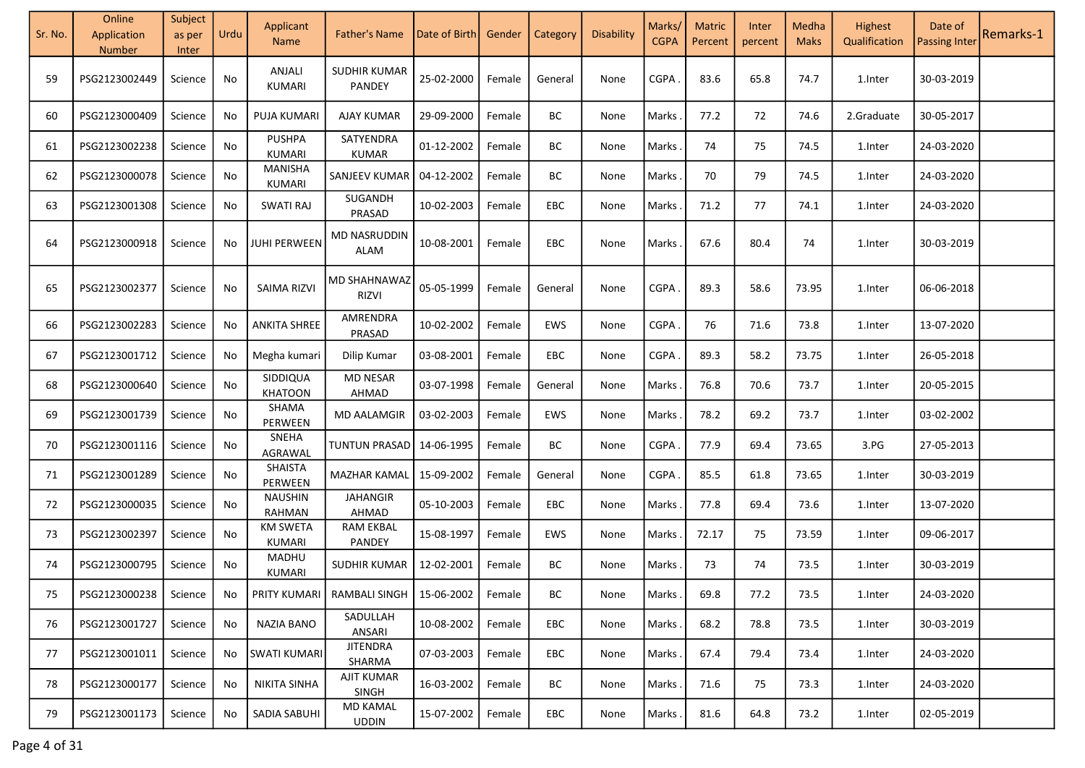| Sr. No. | Online<br>Application<br><b>Number</b> | Subject<br>as per<br>Inter | Urdu                         | Applicant<br><b>Name</b>  | <b>Father's Name</b>                               | Date of Birth | Gender | Category   | <b>Disability</b> | Marks/<br><b>CGPA</b> | <b>Matric</b><br>Percent | Inter<br>percent | Medha<br><b>Maks</b> | Highest<br>Qualification | Date of<br><b>Passing Inter</b> | Remarks-1 |
|---------|----------------------------------------|----------------------------|------------------------------|---------------------------|----------------------------------------------------|---------------|--------|------------|-------------------|-----------------------|--------------------------|------------------|----------------------|--------------------------|---------------------------------|-----------|
| 59      | PSG2123002449                          | Science                    | No                           | ANJALI<br>KUMARI          | <b>SUDHIR KUMAR</b><br><b>PANDEY</b>               | 25-02-2000    | Female | General    | None              | CGPA                  | 83.6                     | 65.8             | 74.7                 | 1.Inter                  | 30-03-2019                      |           |
| 60      | PSG2123000409                          | Science                    | No                           | PUJA KUMARI               | <b>AJAY KUMAR</b>                                  | 29-09-2000    | Female | BC         | None              | Marks                 | 77.2                     | 72               | 74.6                 | 2.Graduate               | 30-05-2017                      |           |
| 61      | PSG2123002238                          | Science                    | No                           | <b>PUSHPA</b><br>KUMARI   | SATYENDRA<br><b>KUMAR</b>                          | 01-12-2002    | Female | ВC         | None              | Marks                 | 74                       | 75               | 74.5                 | 1.Inter                  | 24-03-2020                      |           |
| 62      | PSG2123000078                          | Science                    | $\operatorname{\mathsf{No}}$ | <b>MANISHA</b><br>KUMARI  | SANJEEV KUMAR                                      | 04-12-2002    | Female | BC         | None              | Marks                 | 70                       | 79               | 74.5                 | 1.Inter                  | 24-03-2020                      |           |
| 63      | PSG2123001308                          | Science                    | No                           | <b>SWATI RAJ</b>          | SUGANDH<br>PRASAD                                  | 10-02-2003    | Female | EBC        | None              | <b>Marks</b>          | 71.2                     | 77               | 74.1                 | 1.Inter                  | 24-03-2020                      |           |
| 64      | PSG2123000918                          | Science                    | No                           | <b>JUHI PERWEEN</b>       | MD NASRUDDIN<br><b>ALAM</b>                        | 10-08-2001    | Female | <b>EBC</b> | None              | Marks                 | 67.6                     | 80.4             | 74                   | 1.Inter                  | 30-03-2019                      |           |
| 65      | PSG2123002377                          | Science                    | No                           | <b>SAIMA RIZVI</b>        | MD SHAHNAWAZ<br>RIZVI                              | 05-05-1999    | Female | General    | None              | CGPA                  | 89.3                     | 58.6             | 73.95                | 1.Inter                  | 06-06-2018                      |           |
| 66      | PSG2123002283                          | Science                    | No                           | <b>ANKITA SHREE</b>       | AMRENDRA<br>PRASAD                                 | 10-02-2002    | Female | EWS        | None              | CGPA                  | 76                       | 71.6             | 73.8                 | 1.Inter                  | 13-07-2020                      |           |
| 67      | PSG2123001712                          | Science                    | No                           | Megha kumari              | Dilip Kumar                                        | 03-08-2001    | Female | EBC        | None              | CGPA                  | 89.3                     | 58.2             | 73.75                | 1.Inter                  | 26-05-2018                      |           |
| 68      | PSG2123000640                          | Science                    | No                           | SIDDIQUA<br>KHATOON       | <b>MD NESAR</b><br>AHMAD                           | 03-07-1998    | Female | General    | None              | Marks                 | 76.8                     | 70.6             | 73.7                 | 1.Inter                  | 20-05-2015                      |           |
| 69      | PSG2123001739                          | Science                    | No                           | SHAMA<br>PERWEEN          | <b>MD AALAMGIR</b>                                 | 03-02-2003    | Female | EWS        | None              | <b>Marks</b>          | 78.2                     | 69.2             | 73.7                 | 1.Inter                  | 03-02-2002                      |           |
| 70      | PSG2123001116                          | Science                    | No                           | SNEHA<br>AGRAWAL          | TUNTUN PRASAD                                      | 14-06-1995    | Female | ВC         | None              | CGPA                  | 77.9                     | 69.4             | 73.65                | 3.PG                     | 27-05-2013                      |           |
| 71      | PSG2123001289                          | Science                    | No                           | SHAISTA<br>PERWEEN        | MAZHAR KAMAL                                       | 15-09-2002    | Female | General    | None              | CGPA                  | 85.5                     | 61.8             | 73.65                | 1.Inter                  | 30-03-2019                      |           |
| 72      | PSG2123000035                          | Science                    | No                           | <b>NAUSHIN</b><br>RAHMAN  | <b>JAHANGIR</b><br>AHMAD                           | 05-10-2003    | Female | EBC        | None              | Marks                 | 77.8                     | 69.4             | 73.6                 | 1.Inter                  | 13-07-2020                      |           |
| 73      | PSG2123002397                          | Science                    | No                           | <b>KM SWETA</b><br>KUMARI | <b>RAM EKBAL</b><br>PANDEY                         | 15-08-1997    | Female | EWS        | None              | Marks                 | 72.17                    | 75               | 73.59                | 1.Inter                  | 09-06-2017                      |           |
| 74      | PSG2123000795                          | Science                    | No                           | MADHU<br>KUMARI           | SUDHIR KUMAR                                       | 12-02-2001    | Female | BC         | None              | Marks                 | 73                       | 74               | 73.5                 | 1.Inter                  | 30-03-2019                      |           |
| 75      | PSG2123000238   Science                |                            | No.                          |                           | PRITY KUMARI   RAMBALI SINGH   15-06-2002   Female |               |        | BC         | None              | Marks.                | 69.8                     | 77.2             | 73.5                 | 1.Inter                  | 24-03-2020                      |           |
| 76      | PSG2123001727                          | Science                    | No                           | <b>NAZIA BANO</b>         | SADULLAH<br>ANSARI                                 | 10-08-2002    | Female | EBC        | None              | Marks.                | 68.2                     | 78.8             | 73.5                 | 1.Inter                  | 30-03-2019                      |           |
| 77      | PSG2123001011                          | Science                    | No                           | <b>SWATI KUMARI</b>       | <b>JITENDRA</b><br>SHARMA                          | $07-03-2003$  | Female | EBC        | None              | Marks.                | 67.4                     | 79.4             | 73.4                 | 1.Inter                  | 24-03-2020                      |           |
| 78      | PSG2123000177                          | Science                    | No                           | <b>NIKITA SINHA</b>       | <b>AJIT KUMAR</b><br>SINGH                         | 16-03-2002    | Female | BC         | None              | Marks .               | 71.6                     | 75               | 73.3                 | 1.Inter                  | 24-03-2020                      |           |
| 79      | PSG2123001173                          | Science                    | No                           | SADIA SABUHI              | <b>MD KAMAL</b><br><b>UDDIN</b>                    | 15-07-2002    | Female | EBC        | None              | Marks.                | 81.6                     | 64.8             | 73.2                 | 1.Inter                  | 02-05-2019                      |           |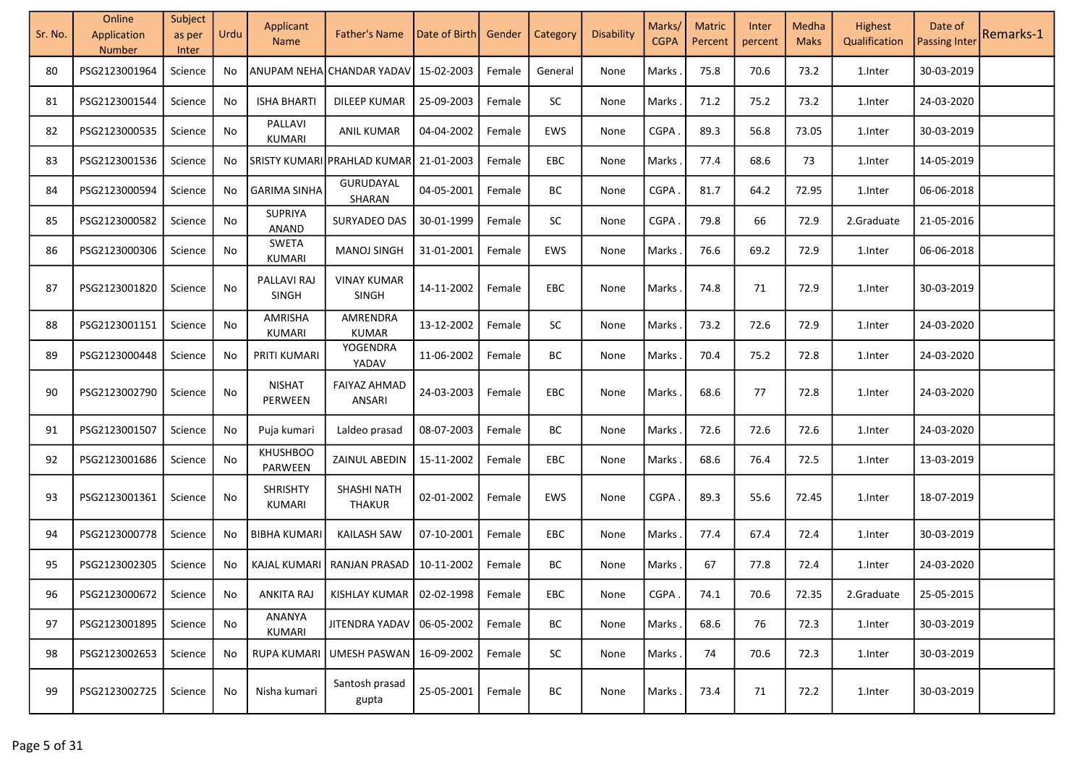| Sr. No. | Online<br>Application<br>Number | Subject<br>as per<br>Inter | Urdu | Applicant<br><b>Name</b>       | <b>Father's Name</b>                | Date of Birth | Gender | Category   | Disability | Marks/<br><b>CGPA</b> | <b>Matric</b><br>Percent | Inter<br>percent | Medha<br><b>Maks</b> | Highest<br>Qualification | Date of<br><b>Passing Inter</b> | Remarks-1 |
|---------|---------------------------------|----------------------------|------|--------------------------------|-------------------------------------|---------------|--------|------------|------------|-----------------------|--------------------------|------------------|----------------------|--------------------------|---------------------------------|-----------|
| 80      | PSG2123001964                   | Science                    | No   |                                | ANUPAM NEHA CHANDAR YADAV           | 15-02-2003    | Female | General    | None       | Marks                 | 75.8                     | 70.6             | 73.2                 | 1.Inter                  | 30-03-2019                      |           |
| 81      | PSG2123001544                   | Science                    | No   | <b>ISHA BHARTI</b>             | DILEEP KUMAR                        | 25-09-2003    | Female | SC         | None       | Marks                 | 71.2                     | 75.2             | 73.2                 | 1.Inter                  | 24-03-2020                      |           |
| 82      | PSG2123000535                   | Science                    | No   | PALLAVI<br>KUMARI              | <b>ANIL KUMAR</b>                   | 04-04-2002    | Female | EWS        | None       | <b>CGPA</b>           | 89.3                     | 56.8             | 73.05                | 1.Inter                  | 30-03-2019                      |           |
| 83      | PSG2123001536                   | Science                    | No   |                                | SRISTY KUMARI PRAHLAD KUMAR         | 21-01-2003    | Female | <b>EBC</b> | None       | Marks                 | 77.4                     | 68.6             | 73                   | 1.Inter                  | 14-05-2019                      |           |
| 84      | PSG2123000594                   | Science                    | No   | <b>GARIMA SINHA</b>            | GURUDAYAL<br>SHARAN                 | 04-05-2001    | Female | BC         | None       | <b>CGPA</b>           | 81.7                     | 64.2             | 72.95                | 1.Inter                  | 06-06-2018                      |           |
| 85      | PSG2123000582                   | Science                    | No   | <b>SUPRIYA</b><br><b>ANAND</b> | SURYADEO DAS                        | 30-01-1999    | Female | SC         | None       | CGPA                  | 79.8                     | 66               | 72.9                 | 2.Graduate               | 21-05-2016                      |           |
| 86      | PSG2123000306                   | Science                    | No   | <b>SWETA</b><br><b>KUMARI</b>  | <b>MANOJ SINGH</b>                  | 31-01-2001    | Female | EWS        | None       | Marks                 | 76.6                     | 69.2             | 72.9                 | 1.Inter                  | 06-06-2018                      |           |
| 87      | PSG2123001820                   | Science                    | No   | PALLAVI RAJ<br><b>SINGH</b>    | <b>VINAY KUMAR</b><br><b>SINGH</b>  | 14-11-2002    | Female | <b>EBC</b> | None       | Marks                 | 74.8                     | 71               | 72.9                 | 1.Inter                  | 30-03-2019                      |           |
| 88      | PSG2123001151                   | Science                    | No   | AMRISHA<br>KUMARI              | AMRENDRA<br><b>KUMAR</b>            | 13-12-2002    | Female | <b>SC</b>  | None       | Marks                 | 73.2                     | 72.6             | 72.9                 | 1.Inter                  | 24-03-2020                      |           |
| 89      | PSG2123000448                   | Science                    | No   | PRITI KUMARI                   | YOGENDRA<br>YADAV                   | 11-06-2002    | Female | BC         | None       | Marks                 | 70.4                     | 75.2             | 72.8                 | 1.Inter                  | 24-03-2020                      |           |
| 90      | PSG2123002790                   | Science                    | No   | <b>NISHAT</b><br>PERWEEN       | <b>FAIYAZ AHMAD</b><br>ANSARI       | 24-03-2003    | Female | <b>EBC</b> | None       | Marks                 | 68.6                     | 77               | 72.8                 | 1.Inter                  | 24-03-2020                      |           |
| 91      | PSG2123001507                   | Science                    | No   | Puja kumari                    | Laldeo prasad                       | 08-07-2003    | Female | BC         | None       | Marks                 | 72.6                     | 72.6             | 72.6                 | 1.Inter                  | 24-03-2020                      |           |
| 92      | PSG2123001686                   | Science                    | No   | <b>KHUSHBOO</b><br>PARWEEN     | ZAINUL ABEDIN                       | 15-11-2002    | Female | EBC        | None       | Marks                 | 68.6                     | 76.4             | 72.5                 | 1.Inter                  | 13-03-2019                      |           |
| 93      | PSG2123001361                   | Science                    | No   | <b>SHRISHTY</b><br>KUMARI      | <b>SHASHI NATH</b><br><b>THAKUR</b> | 02-01-2002    | Female | EWS        | None       | <b>CGPA</b>           | 89.3                     | 55.6             | 72.45                | 1.Inter                  | 18-07-2019                      |           |
| 94      | PSG2123000778                   | Science                    | No   | BIBHA KUMARI                   | <b>KAILASH SAW</b>                  | 07-10-2001    | Female | <b>EBC</b> | None       | Marks                 | 77.4                     | 67.4             | 72.4                 | 1.Inter                  | 30-03-2019                      |           |
| 95      | PSG2123002305                   | Science                    | No   | KAJAL KUMARI                   | RANJAN PRASAD                       | 10-11-2002    | Female | BC         | None       | Marks                 | 67                       | 77.8             | 72.4                 | 1.Inter                  | 24-03-2020                      |           |
| 96      | PSG2123000672   Science         |                            | No   | ANKITA RAJ                     | KISHLAY KUMAR   02-02-1998   Female |               |        | EBC        | None       | CGPA.                 | 74.1                     | 70.6             | 72.35                | 2.Graduate               | 25-05-2015                      |           |
| 97      | PSG2123001895                   | Science                    | No   | ANANYA<br>KUMARI               | JITENDRA YADAV   06-05-2002         |               | Female | BC         | None       | Marks.                | 68.6                     | 76               | 72.3                 | 1.Inter                  | 30-03-2019                      |           |
| 98      | PSG2123002653                   | Science                    | No   | RUPA KUMARI                    | UMESH PASWAN   16-09-2002           |               | Female | <b>SC</b>  | None       | Marks.                | 74                       | 70.6             | 72.3                 | 1.Inter                  | 30-03-2019                      |           |
| 99      | PSG2123002725                   | Science                    | No   | Nisha kumari                   | Santosh prasad<br>gupta             | 25-05-2001    | Female | BC         | None       | Marks                 | 73.4                     | 71               | 72.2                 | 1.Inter                  | 30-03-2019                      |           |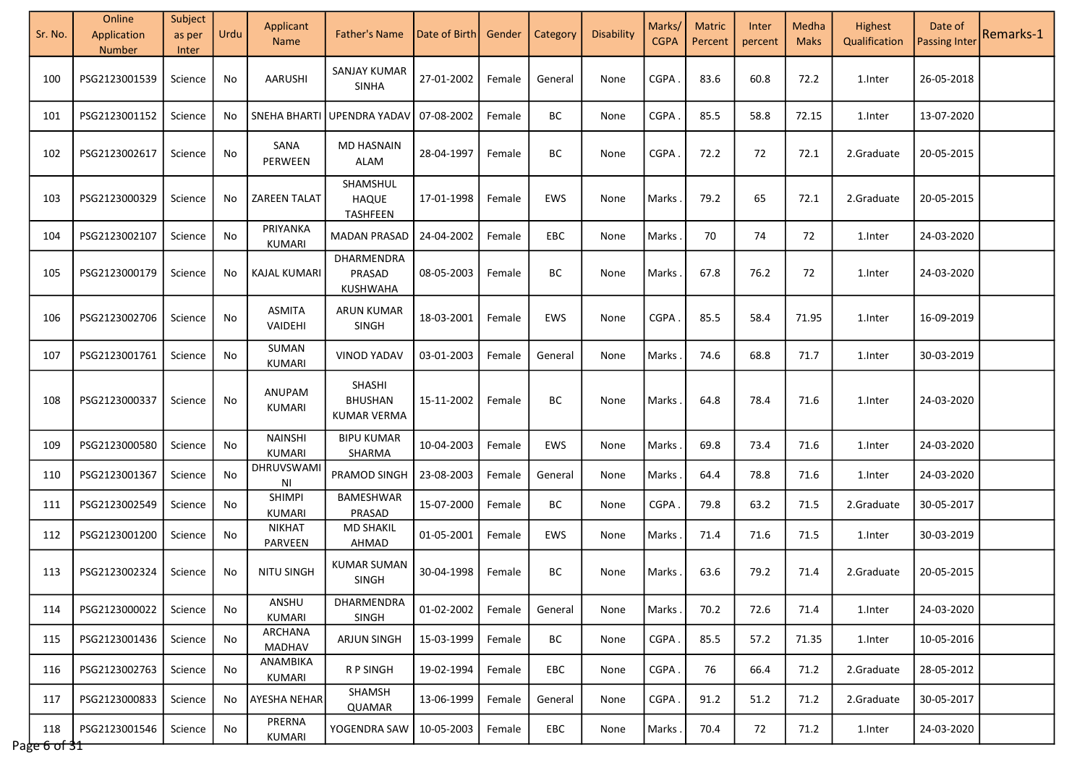| Sr. No.             | Online<br>Application<br>Number | Subject<br>as per<br><b>Inter</b> | Urdu | Applicant<br><b>Name</b>       | <b>Father's Name</b>                           | Date of Birth | Gender | <b>Category</b> | Disability | Marks/<br><b>CGPA</b> | <b>Matric</b><br>Percent | Inter<br>percent | Medha<br><b>Maks</b> | Highest<br>Qualification | Date of<br><b>Passing Inter</b> | Remarks-1 |
|---------------------|---------------------------------|-----------------------------------|------|--------------------------------|------------------------------------------------|---------------|--------|-----------------|------------|-----------------------|--------------------------|------------------|----------------------|--------------------------|---------------------------------|-----------|
| 100                 | PSG2123001539                   | Science                           | No   | AARUSHI                        | <b>SANJAY KUMAR</b><br><b>SINHA</b>            | 27-01-2002    | Female | General         | None       | <b>CGPA</b>           | 83.6                     | 60.8             | 72.2                 | 1.Inter                  | 26-05-2018                      |           |
| 101                 | PSG2123001152                   | Science                           | No   | <b>SNEHA BHART</b>             | UPENDRA YADAV                                  | 07-08-2002    | Female | BC              | None       | <b>CGPA</b>           | 85.5                     | 58.8             | 72.15                | 1.Inter                  | 13-07-2020                      |           |
| 102                 | PSG2123002617                   | Science                           | No   | SANA<br>PERWEEN                | <b>MD HASNAIN</b><br>ALAM                      | 28-04-1997    | Female | BС              | None       | <b>CGPA</b>           | 72.2                     | 72               | 72.1                 | 2.Graduate               | 20-05-2015                      |           |
| 103                 | PSG2123000329                   | Science                           | No   | <b>ZAREEN TALAT</b>            | SHAMSHUL<br><b>HAQUE</b><br>TASHFEEN           | 17-01-1998    | Female | EWS             | None       | Marks                 | 79.2                     | 65               | 72.1                 | 2.Graduate               | 20-05-2015                      |           |
| 104                 | PSG2123002107                   | Science                           | No   | PRIYANKA<br>KUMARI             | <b>MADAN PRASAD</b>                            | 24-04-2002    | Female | EBC             | None       | Marks                 | 70                       | 74               | 72                   | 1.Inter                  | 24-03-2020                      |           |
| 105                 | PSG2123000179                   | Science                           | No   | <b>KAJAL KUMARI</b>            | DHARMENDRA<br>PRASAD<br>KUSHWAHA               | 08-05-2003    | Female | BС              | None       | Marks                 | 67.8                     | 76.2             | 72                   | 1.Inter                  | 24-03-2020                      |           |
| 106                 | PSG2123002706                   | Science                           | No   | ASMITA<br>VAIDEHI              | <b>ARUN KUMAR</b><br><b>SINGH</b>              | 18-03-2001    | Female | EWS             | None       | <b>CGPA</b>           | 85.5                     | 58.4             | 71.95                | 1.Inter                  | 16-09-2019                      |           |
| 107                 | PSG2123001761                   | Science                           | No   | SUMAN<br>KUMARI                | <b>VINOD YADAV</b>                             | 03-01-2003    | Female | General         | None       | Marks                 | 74.6                     | 68.8             | 71.7                 | 1.Inter                  | 30-03-2019                      |           |
| 108                 | PSG2123000337                   | Science                           | No   | ANUPAM<br><b>KUMARI</b>        | SHASHI<br><b>BHUSHAN</b><br><b>KUMAR VERMA</b> | 15-11-2002    | Female | BC              | None       | Marks                 | 64.8                     | 78.4             | 71.6                 | 1.Inter                  | 24-03-2020                      |           |
| 109                 | PSG2123000580                   | Science                           | No   | <b>NAINSHI</b><br>KUMARI       | <b>BIPU KUMAR</b><br>SHARMA                    | 10-04-2003    | Female | EWS             | None       | Marks                 | 69.8                     | 73.4             | 71.6                 | 1.Inter                  | 24-03-2020                      |           |
| 110                 | PSG2123001367                   | Science                           | No   | <b>DHRUVSWAM</b><br>ΝI         | PRAMOD SINGH                                   | 23-08-2003    | Female | General         | None       | Marks                 | 64.4                     | 78.8             | 71.6                 | 1.Inter                  | 24-03-2020                      |           |
| 111                 | PSG2123002549                   | Science                           | No   | <b>SHIMPI</b><br><b>KUMARI</b> | <b>BAMESHWAR</b><br>PRASAD                     | 15-07-2000    | Female | BС              | None       | CGPA.                 | 79.8                     | 63.2             | 71.5                 | 2.Graduate               | 30-05-2017                      |           |
| 112                 | PSG2123001200                   | Science                           | No   | <b>NIKHAT</b><br>PARVEEN       | <b>MD SHAKIL</b><br>AHMAD                      | 01-05-2001    | Female | EWS             | None       | Marks                 | 71.4                     | 71.6             | 71.5                 | 1.Inter                  | 30-03-2019                      |           |
| 113                 | PSG2123002324                   | Science                           | No   | <b>NITU SINGH</b>              | <b>KUMAR SUMAN</b><br><b>SINGH</b>             | 30-04-1998    | Female | BC              | None       | Marks                 | 63.6                     | 79.2             | 71.4                 | 2.Graduate               | 20-05-2015                      |           |
| 114                 | PSG2123000022                   | Science                           | No   | ANSHU<br><b>KUMARI</b>         | DHARMENDRA<br><b>SINGH</b>                     | 01-02-2002    | Female | General         | None       | Marks                 | 70.2                     | 72.6             | 71.4                 | 1.Inter                  | 24-03-2020                      |           |
| 115                 | PSG2123001436                   | Science                           | No   | ARCHANA<br>MADHAV              | <b>ARJUN SINGH</b>                             | 15-03-1999    | Female | BC              | None       | CGPA.                 | 85.5                     | 57.2             | 71.35                | 1.Inter                  | 10-05-2016                      |           |
| 116                 | PSG2123002763                   | Science                           | No   | ANAMBIKA<br>KUMARI             | R P SINGH                                      | 19-02-1994    | Female | EBC             | None       | CGPA                  | 76                       | 66.4             | 71.2                 | 2.Graduate               | 28-05-2012                      |           |
| 117                 | PSG2123000833                   | Science                           | No   | AYESHA NEHAR                   | SHAMSH<br>QUAMAR                               | 13-06-1999    | Female | General         | None       | CGPA                  | 91.2                     | 51.2             | 71.2                 | 2.Graduate               | 30-05-2017                      |           |
| 118<br>Page 6 of 31 | PSG2123001546                   | Science                           | No   | PRERNA<br>KUMARI               | YOGENDRA SAW                                   | 10-05-2003    | Female | EBC             | None       | Marks.                | 70.4                     | 72               | 71.2                 | 1.Inter                  | 24-03-2020                      |           |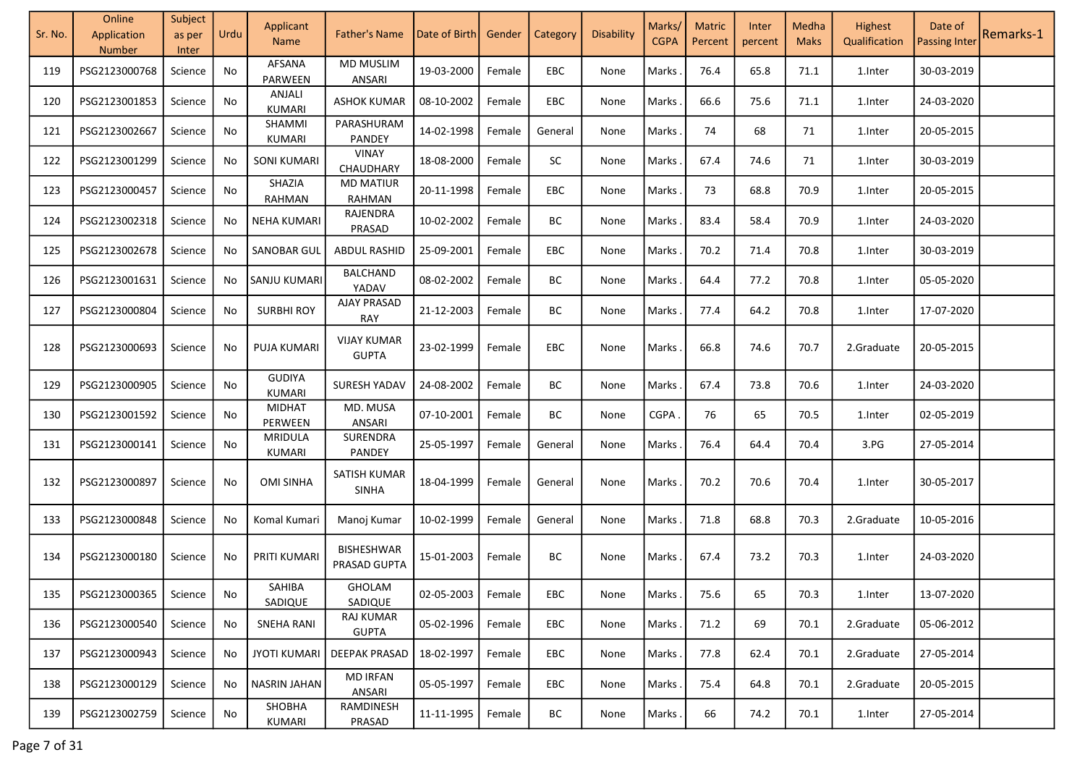| Sr. No. | Online<br>Application<br><b>Number</b> | Subject<br>as per<br>Inter | Urdu | Applicant<br><b>Name</b> | <b>Father's Name</b>               | Date of Birth       | Gender | Category   | Disability | Marks/<br><b>CGPA</b> | <b>Matric</b><br>Percent | Inter<br>percent | Medha<br><b>Maks</b> | Highest<br>Qualification | Date of<br><b>Passing Inter</b> | Remarks-1 |
|---------|----------------------------------------|----------------------------|------|--------------------------|------------------------------------|---------------------|--------|------------|------------|-----------------------|--------------------------|------------------|----------------------|--------------------------|---------------------------------|-----------|
| 119     | PSG2123000768                          | Science                    | No   | AFSANA<br>PARWEEN        | <b>MD MUSLIM</b><br>ANSARI         | 19-03-2000          | Female | <b>EBC</b> | None       | Marks                 | 76.4                     | 65.8             | 71.1                 | 1.Inter                  | 30-03-2019                      |           |
| 120     | PSG2123001853                          | Science                    | No   | ANJALI<br>KUMARI         | <b>ASHOK KUMAR</b>                 | 08-10-2002          | Female | <b>EBC</b> | None       | Marks                 | 66.6                     | 75.6             | 71.1                 | 1.Inter                  | 24-03-2020                      |           |
| 121     | PSG2123002667                          | Science                    | No   | SHAMMI<br><b>KUMARI</b>  | PARASHURAM<br><b>PANDEY</b>        | 14-02-1998          | Female | General    | None       | Marks                 | 74                       | 68               | 71                   | 1.Inter                  | 20-05-2015                      |           |
| 122     | PSG2123001299                          | Science                    | No   | <b>SONI KUMARI</b>       | <b>VINAY</b><br>CHAUDHARY          | 18-08-2000          | Female | SC         | None       | Marks                 | 67.4                     | 74.6             | 71                   | 1.Inter                  | 30-03-2019                      |           |
| 123     | PSG2123000457                          | Science                    | No   | SHAZIA<br>RAHMAN         | <b>MD MATIUR</b><br><b>RAHMAN</b>  | 20-11-1998          | Female | EBC        | None       | Marks                 | 73                       | 68.8             | 70.9                 | 1.Inter                  | 20-05-2015                      |           |
| 124     | PSG2123002318                          | Science                    | No   | <b>NEHA KUMARI</b>       | RAJENDRA<br>PRASAD                 | 10-02-2002          | Female | ВC         | None       | Marks                 | 83.4                     | 58.4             | 70.9                 | 1.Inter                  | 24-03-2020                      |           |
| 125     | PSG2123002678                          | Science                    | No   | <b>SANOBAR GUL</b>       | <b>ABDUL RASHID</b>                | 25-09-2001          | Female | EBC        | None       | Marks                 | 70.2                     | 71.4             | 70.8                 | 1.Inter                  | 30-03-2019                      |           |
| 126     | PSG2123001631                          | Science                    | No   | <b>SANJU KUMARI</b>      | <b>BALCHAND</b><br>YADAV           | 08-02-2002          | Female | BC         | None       | Marks                 | 64.4                     | 77.2             | 70.8                 | 1.Inter                  | 05-05-2020                      |           |
| 127     | PSG2123000804                          | Science                    | No   | <b>SURBHI ROY</b>        | <b>AJAY PRASAD</b><br>RAY          | 21-12-2003          | Female | ВC         | None       | Marks                 | 77.4                     | 64.2             | 70.8                 | 1.Inter                  | 17-07-2020                      |           |
| 128     | PSG2123000693                          | Science                    | No   | PUJA KUMARI              | <b>VIJAY KUMAR</b><br><b>GUPTA</b> | 23-02-1999          | Female | EBC        | None       | Marks                 | 66.8                     | 74.6             | 70.7                 | 2.Graduate               | 20-05-2015                      |           |
| 129     | PSG2123000905                          | Science                    | No   | <b>GUDIYA</b><br>KUMARI  | <b>SURESH YADAV</b>                | 24-08-2002          | Female | BC         | None       | Marks                 | 67.4                     | 73.8             | 70.6                 | 1.Inter                  | 24-03-2020                      |           |
| 130     | PSG2123001592                          | Science                    | No   | <b>MIDHAT</b><br>PERWEEN | MD. MUSA<br>ANSARI                 | 07-10-2001          | Female | BC         | None       | CGPA                  | 76                       | 65               | 70.5                 | 1. Inter                 | 02-05-2019                      |           |
| 131     | PSG2123000141                          | Science                    | No   | <b>MRIDULA</b><br>KUMARI | SURENDRA<br>PANDEY                 | 25-05-1997          | Female | General    | None       | Marks                 | 76.4                     | 64.4             | 70.4                 | 3.PG                     | 27-05-2014                      |           |
| 132     | PSG2123000897                          | Science                    | No   | <b>OMI SINHA</b>         | SATISH KUMAR<br>SINHA              | 18-04-1999          | Female | General    | None       | Marks                 | 70.2                     | 70.6             | 70.4                 | 1.Inter                  | 30-05-2017                      |           |
| 133     | PSG2123000848                          | Science                    | No   | Komal Kumari             | Manoj Kumar                        | 10-02-1999          | Female | General    | None       | Marks                 | 71.8                     | 68.8             | 70.3                 | 2.Graduate               | 10-05-2016                      |           |
| 134     | PSG2123000180                          | Science                    | No   | PRITI KUMARI             | <b>BISHESHWAR</b><br>PRASAD GUPTA  | 15-01-2003          | Female | BC         | None       | Marks                 | 67.4                     | 73.2             | 70.3                 | 1.Inter                  | 24-03-2020                      |           |
| 135     | PSG2123000365                          | Science                    | No   | SAHIBA<br>SADIQUE        | GHOLAM<br>SADIQUE                  | 02-05-2003   Female |        | EBC        | None       | Marks.                | 75.6                     | 65               | 70.3                 | 1.Inter                  | 13-07-2020                      |           |
| 136     | PSG2123000540                          | Science                    | No   | <b>SNEHA RANI</b>        | <b>RAJ KUMAR</b><br><b>GUPTA</b>   | 05-02-1996          | Female | <b>EBC</b> | None       | Marks.                | 71.2                     | 69               | 70.1                 | 2.Graduate               | 05-06-2012                      |           |
| 137     | PSG2123000943                          | Science                    | No   | <b>JYOTI KUMARI</b>      | DEEPAK PRASAD                      | 18-02-1997          | Female | <b>EBC</b> | None       | Marks.                | 77.8                     | 62.4             | 70.1                 | 2.Graduate               | 27-05-2014                      |           |
| 138     | PSG2123000129                          | Science                    | No   | <b>NASRIN JAHAN</b>      | <b>MD IRFAN</b><br>ANSARI          | 05-05-1997          | Female | <b>EBC</b> | None       | Marks.                | 75.4                     | 64.8             | 70.1                 | 2.Graduate               | 20-05-2015                      |           |
| 139     | PSG2123002759                          | Science                    | No   | SHOBHA<br>KUMARI         | RAMDINESH<br>PRASAD                | 11-11-1995          | Female | BC         | None       | Marks.                | 66                       | 74.2             | 70.1                 | 1.Inter                  | 27-05-2014                      |           |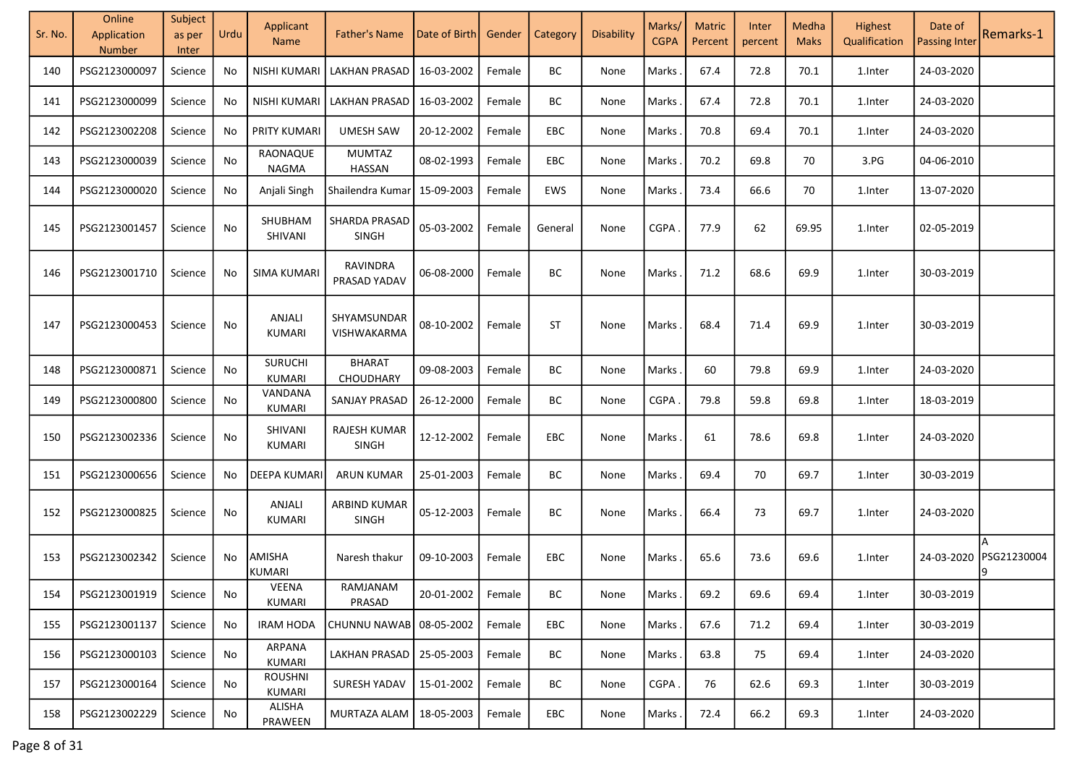| Sr. No. | Online<br>Application<br>Number | Subject<br>as per<br>Inter | Urdu | Applicant<br><b>Name</b> | <b>Father's Name</b>            | Date of Birth       | Gender | Category   | Disability | Marks/<br><b>CGPA</b> | <b>Matric</b><br>Percent | Inter<br>percent | Medha<br><b>Maks</b> | Highest<br>Qualification | Date of<br><b>Passing Inter</b> | Remarks-1              |
|---------|---------------------------------|----------------------------|------|--------------------------|---------------------------------|---------------------|--------|------------|------------|-----------------------|--------------------------|------------------|----------------------|--------------------------|---------------------------------|------------------------|
| 140     | PSG2123000097                   | Science                    | No   | NISHI KUMARI             | LAKHAN PRASAD                   | 16-03-2002          | Female | BC         | None       | Marks                 | 67.4                     | 72.8             | 70.1                 | 1.Inter                  | 24-03-2020                      |                        |
| 141     | PSG2123000099                   | Science                    | No   | <b>NISHI KUMARI</b>      | <b>LAKHAN PRASAD</b>            | 16-03-2002          | Female | BC         | None       | Marks                 | 67.4                     | 72.8             | 70.1                 | 1.Inter                  | 24-03-2020                      |                        |
| 142     | PSG2123002208                   | Science                    | No   | PRITY KUMARI             | <b>UMESH SAW</b>                | 20-12-2002          | Female | EBC        | None       | Marks                 | 70.8                     | 69.4             | 70.1                 | 1.Inter                  | 24-03-2020                      |                        |
| 143     | PSG2123000039                   | Science                    | No   | RAONAQUE<br><b>NAGMA</b> | <b>MUMTAZ</b><br>HASSAN         | 08-02-1993          | Female | EBC        | None       | Marks                 | 70.2                     | 69.8             | 70                   | 3.PG                     | 04-06-2010                      |                        |
| 144     | PSG2123000020                   | Science                    | No   | Anjali Singh             | Shailendra Kumar                | 15-09-2003          | Female | EWS        | None       | Marks.                | 73.4                     | 66.6             | 70                   | 1.Inter                  | 13-07-2020                      |                        |
| 145     | PSG2123001457                   | Science                    | No   | SHUBHAM<br>SHIVANI       | SHARDA PRASAD<br><b>SINGH</b>   | 05-03-2002          | Female | General    | None       | <b>CGPA</b>           | 77.9                     | 62               | 69.95                | 1.Inter                  | 02-05-2019                      |                        |
| 146     | PSG2123001710                   | Science                    | No   | <b>SIMA KUMARI</b>       | <b>RAVINDRA</b><br>PRASAD YADAV | 06-08-2000          | Female | BC         | None       | Marks.                | 71.2                     | 68.6             | 69.9                 | 1.Inter                  | 30-03-2019                      |                        |
| 147     | PSG2123000453                   | Science                    | No   | ANJALI<br><b>KUMARI</b>  | SHYAMSUNDAR<br>VISHWAKARMA      | 08-10-2002          | Female | <b>ST</b>  | None       | Marks                 | 68.4                     | 71.4             | 69.9                 | 1.Inter                  | 30-03-2019                      |                        |
| 148     | PSG2123000871                   | Science                    | No   | <b>SURUCHI</b><br>KUMARI | <b>BHARAT</b><br>CHOUDHARY      | 09-08-2003          | Female | BC         | None       | Marks                 | 60                       | 79.8             | 69.9                 | 1.Inter                  | 24-03-2020                      |                        |
| 149     | PSG2123000800                   | Science                    | No.  | VANDANA<br>KUMARI        | SANJAY PRASAD                   | 26-12-2000          | Female | BC         | None       | CGPA.                 | 79.8                     | 59.8             | 69.8                 | 1.Inter                  | 18-03-2019                      |                        |
| 150     | PSG2123002336                   | Science                    | No   | SHIVANI<br><b>KUMARI</b> | RAJESH KUMAR<br><b>SINGH</b>    | 12-12-2002          | Female | <b>EBC</b> | None       | Marks                 | 61                       | 78.6             | 69.8                 | 1.Inter                  | 24-03-2020                      |                        |
| 151     | PSG2123000656                   | Science                    | No   | <b>DEEPA KUMARI</b>      | <b>ARUN KUMAR</b>               | 25-01-2003          | Female | BC         | None       | Marks.                | 69.4                     | 70               | 69.7                 | 1.Inter                  | 30-03-2019                      |                        |
| 152     | PSG2123000825                   | Science                    | No   | ANJALI<br>KUMARI         | ARBIND KUMAR<br>SINGH           | 05-12-2003          | Female | BC         | None       | Marks                 | 66.4                     | 73               | 69.7                 | 1.Inter                  | 24-03-2020                      |                        |
| 153     | PSG2123002342                   | Science                    | No   | AMISHA<br><b>KUMARI</b>  | Naresh thakur                   | 09-10-2003          | Female | EBC        | None       | Marks                 | 65.6                     | 73.6             | 69.6                 | 1.Inter                  |                                 | 24-03-2020 PSG21230004 |
| 154     | PSG2123001919                   | Science                    | No.  | <b>VEENA</b><br>KUMARI   | RAMJANAM<br>PRASAD              | 20-01-2002   Female |        | BC         | None       | Marks.                | 69.2                     | 69.6             | 69.4                 | 1.Inter                  | 30-03-2019                      |                        |
| 155     | PSG2123001137                   | Science                    | No   | <b>IRAM HODA</b>         | CHUNNU NAWAB 08-05-2002         |                     | Female | EBC        | None       | Marks.                | 67.6                     | 71.2             | 69.4                 | 1.Inter                  | 30-03-2019                      |                        |
| 156     | PSG2123000103                   | Science                    | No   | ARPANA<br>KUMARI         | <b>LAKHAN PRASAD</b>            | 25-05-2003          | Female | BC         | None       | Marks.                | 63.8                     | 75               | 69.4                 | 1.Inter                  | 24-03-2020                      |                        |
| 157     | PSG2123000164                   | Science                    | No   | <b>ROUSHNI</b><br>KUMARI | SURESH YADAV                    | 15-01-2002          | Female | BC         | None       | CGPA.                 | 76                       | 62.6             | 69.3                 | 1.Inter                  | 30-03-2019                      |                        |
| 158     | PSG2123002229                   | Science                    | No   | ALISHA<br>PRAWEEN        | MURTAZA ALAM                    | 18-05-2003          | Female | EBC        | None       | Marks.                | 72.4                     | 66.2             | 69.3                 | 1.Inter                  | 24-03-2020                      |                        |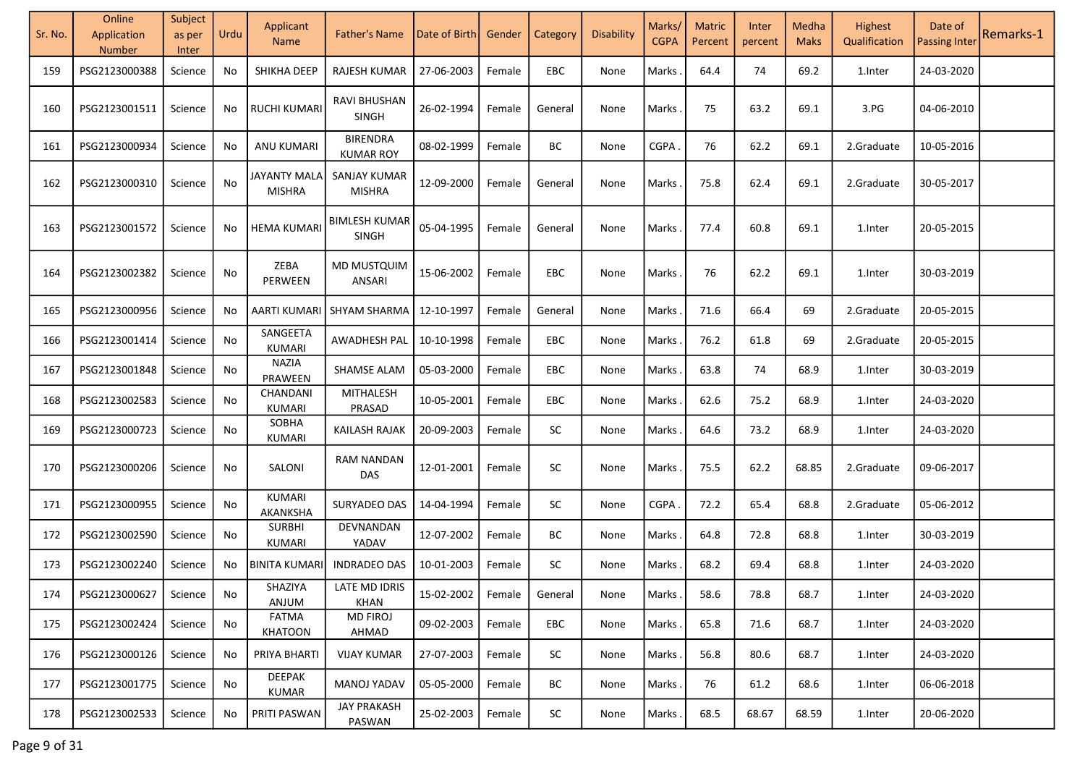| Sr. No. | Online<br>Application<br>Number | Subject<br>as per<br>Inter | Urdu | Applicant<br><b>Name</b>       | <b>Father's Name</b>                | Date of Birth       | Gender | Category   | Disability | Marks/<br><b>CGPA</b> | <b>Matric</b><br>Percent | Inter<br>percent | Medha<br><b>Maks</b> | Highest<br>Qualification | Date of<br><b>Passing Inter</b> | Remarks-1 |
|---------|---------------------------------|----------------------------|------|--------------------------------|-------------------------------------|---------------------|--------|------------|------------|-----------------------|--------------------------|------------------|----------------------|--------------------------|---------------------------------|-----------|
| 159     | PSG2123000388                   | Science                    | No   | SHIKHA DEEP                    | RAJESH KUMAR                        | 27-06-2003          | Female | EBC        | None       | Marks                 | 64.4                     | 74               | 69.2                 | 1.Inter                  | 24-03-2020                      |           |
| 160     | PSG2123001511                   | Science                    | No   | <b>RUCHI KUMARI</b>            | <b>RAVI BHUSHAN</b><br>SINGH        | 26-02-1994          | Female | General    | None       | Marks                 | 75                       | 63.2             | 69.1                 | 3.FG                     | 04-06-2010                      |           |
| 161     | PSG2123000934                   | Science                    | No   | ANU KUMARI                     | <b>BIRENDRA</b><br><b>KUMAR ROY</b> | 08-02-1999          | Female | BC         | None       | CGPA                  | 76                       | 62.2             | 69.1                 | 2.Graduate               | 10-05-2016                      |           |
| 162     | PSG2123000310                   | Science                    | No   | JAYANTY MALA<br><b>MISHRA</b>  | SANJAY KUMAR<br><b>MISHRA</b>       | 12-09-2000          | Female | General    | None       | Marks                 | 75.8                     | 62.4             | 69.1                 | 2.Graduate               | 30-05-2017                      |           |
| 163     | PSG2123001572                   | Science                    | No   | <b>HEMA KUMARI</b>             | <b>BIMLESH KUMAR</b><br>SINGH       | 05-04-1995          | Female | General    | None       | Marks                 | 77.4                     | 60.8             | 69.1                 | 1.Inter                  | 20-05-2015                      |           |
| 164     | PSG2123002382                   | Science                    | No   | ZEBA<br>PERWEEN                | MD MUSTQUIM<br><b>ANSARI</b>        | 15-06-2002          | Female | <b>EBC</b> | None       | Marks                 | 76                       | 62.2             | 69.1                 | 1.Inter                  | 30-03-2019                      |           |
| 165     | PSG2123000956                   | Science                    | No   | AARTI KUMARI                   | SHYAM SHARMA                        | 12-10-1997          | Female | General    | None       | Marks                 | 71.6                     | 66.4             | 69                   | 2.Graduate               | 20-05-2015                      |           |
| 166     | PSG2123001414                   | Science                    | No   | SANGEETA<br><b>KUMARI</b>      | AWADHESH PAL                        | 10-10-1998          | Female | <b>EBC</b> | None       | Marks                 | 76.2                     | 61.8             | 69                   | 2.Graduate               | 20-05-2015                      |           |
| 167     | PSG2123001848                   | Science                    | No   | <b>NAZIA</b><br>PRAWEEN        | <b>SHAMSE ALAM</b>                  | 05-03-2000          | Female | <b>EBC</b> | None       | Marks                 | 63.8                     | 74               | 68.9                 | 1.Inter                  | 30-03-2019                      |           |
| 168     | PSG2123002583                   | Science                    | No   | CHANDANI<br>KUMARI             | <b>MITHALESH</b><br>PRASAD          | 10-05-2001          | Female | <b>EBC</b> | None       | Marks                 | 62.6                     | 75.2             | 68.9                 | 1.Inter                  | 24-03-2020                      |           |
| 169     | PSG2123000723                   | Science                    | No   | SOBHA<br><b>KUMARI</b>         | <b>KAILASH RAJAK</b>                | 20-09-2003          | Female | <b>SC</b>  | None       | Marks                 | 64.6                     | 73.2             | 68.9                 | 1.Inter                  | 24-03-2020                      |           |
| 170     | PSG2123000206                   | Science                    | No   | SALONI                         | <b>RAM NANDAN</b><br><b>DAS</b>     | 12-01-2001          | Female | SC         | None       | Marks                 | 75.5                     | 62.2             | 68.85                | 2.Graduate               | 09-06-2017                      |           |
| 171     | PSG2123000955                   | Science                    | No   | <b>KUMARI</b><br>AKANKSHA      | SURYADEO DAS                        | 14-04-1994          | Female | SC         | None       | <b>CGPA</b>           | 72.2                     | 65.4             | 68.8                 | 2.Graduate               | 05-06-2012                      |           |
| 172     | PSG2123002590                   | Science                    | No   | <b>SURBHI</b><br>KUMARI        | DEVNANDAN<br>YADAV                  | 12-07-2002          | Female | BC         | None       | Marks                 | 64.8                     | 72.8             | 68.8                 | 1.Inter                  | 30-03-2019                      |           |
| 173     | PSG2123002240                   | Science                    | No   | <b>BINITA KUMARI</b>           | <b>INDRADEO DAS</b>                 | 10-01-2003          | Female | $\sf SC$   | None       | Marks                 | 68.2                     | 69.4             | 68.8                 | 1.Inter                  | 24-03-2020                      |           |
| 174     | PSG2123000627   Science         |                            | No   | SHAZIYA<br>ANJUM               | LATE MD IDRIS<br><b>KHAN</b>        | 15-02-2002   Female |        | General    | None       | Marks                 | 58.6                     | 78.8             | 68.7                 | 1.Inter                  | 24-03-2020                      |           |
| 175     | PSG2123002424                   | Science                    | No   | <b>FATMA</b><br><b>KHATOON</b> | <b>MD FIROJ</b><br>AHMAD            | 09-02-2003          | Female | <b>EBC</b> | None       | Marks.                | 65.8                     | 71.6             | 68.7                 | 1.Inter                  | 24-03-2020                      |           |
| 176     | PSG2123000126                   | Science                    | No   | PRIYA BHARTI                   | <b>VIJAY KUMAR</b>                  | 27-07-2003          | Female | SC         | None       | Marks.                | 56.8                     | 80.6             | 68.7                 | 1.Inter                  | 24-03-2020                      |           |
| 177     | PSG2123001775                   | Science                    | No   | DEEPAK<br><b>KUMAR</b>         | MANOJ YADAV                         | 05-05-2000          | Female | BC         | None       | Marks.                | 76                       | 61.2             | 68.6                 | 1.Inter                  | 06-06-2018                      |           |
| 178     | PSG2123002533                   | Science                    | No   | PRITI PASWAN                   | <b>JAY PRAKASH</b><br>PASWAN        | 25-02-2003          | Female | SC         | None       | Marks                 | 68.5                     | 68.67            | 68.59                | 1.Inter                  | 20-06-2020                      |           |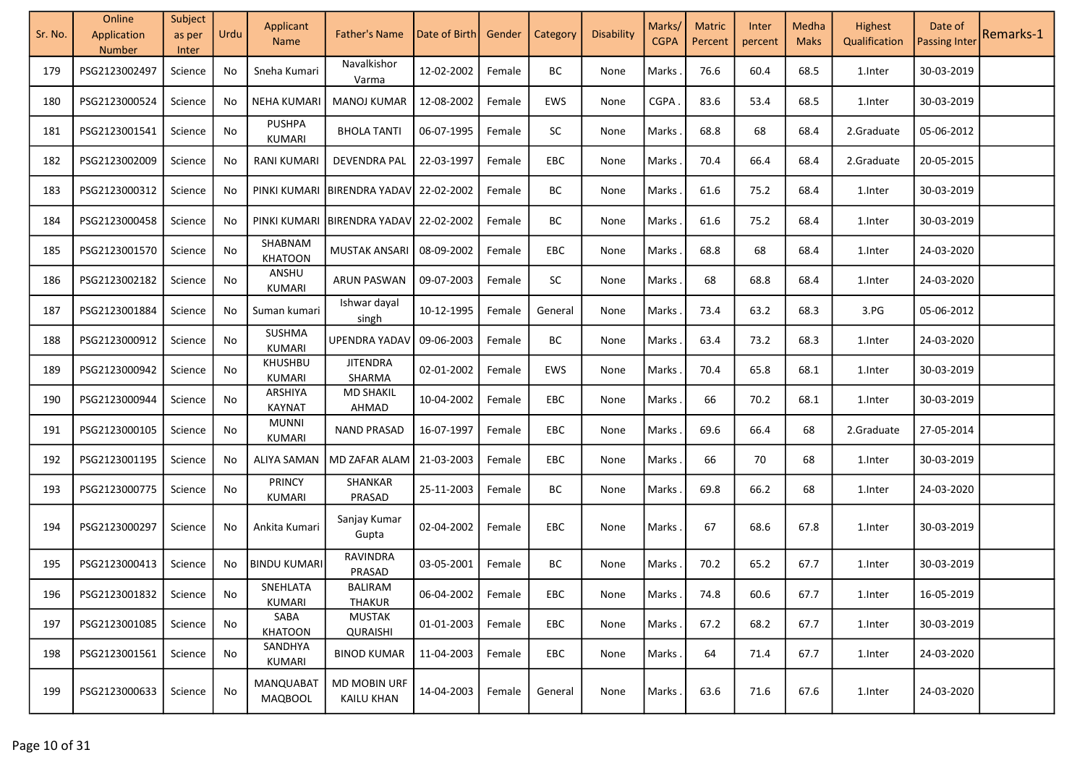| Sr. No. | Online<br>Application<br><b>Number</b> | Subject<br>as per<br>Inter | Urdu | Applicant<br><b>Name</b>           | <b>Father's Name</b>              | Date of Birth     | Gender | Category   | Disability | Marks/<br><b>CGPA</b> | <b>Matric</b><br>Percent | Inter<br>percent | Medha<br><b>Maks</b> | Highest<br>Qualification | Date of<br><b>Passing Inter</b> | Remarks-1 |
|---------|----------------------------------------|----------------------------|------|------------------------------------|-----------------------------------|-------------------|--------|------------|------------|-----------------------|--------------------------|------------------|----------------------|--------------------------|---------------------------------|-----------|
| 179     | PSG2123002497                          | Science                    | No   | Sneha Kumari                       | Navalkishor<br>Varma              | 12-02-2002        | Female | ВC         | None       | Marks                 | 76.6                     | 60.4             | 68.5                 | 1.Inter                  | 30-03-2019                      |           |
| 180     | PSG2123000524                          | Science                    | No   | <b>NEHA KUMARI</b>                 | <b>MANOJ KUMAR</b>                | 12-08-2002        | Female | EWS        | None       | CGPA                  | 83.6                     | 53.4             | 68.5                 | 1.Inter                  | 30-03-2019                      |           |
| 181     | PSG2123001541                          | Science                    | No   | <b>PUSHPA</b><br>KUMARI            | <b>BHOLA TANTI</b>                | 06-07-1995        | Female | SC         | None       | Marks                 | 68.8                     | 68               | 68.4                 | 2.Graduate               | 05-06-2012                      |           |
| 182     | PSG2123002009                          | Science                    | No   | <b>RANI KUMARI</b>                 | <b>DEVENDRA PAL</b>               | 22-03-1997        | Female | EBC        | None       | Marks                 | 70.4                     | 66.4             | 68.4                 | 2.Graduate               | 20-05-2015                      |           |
| 183     | PSG2123000312                          | Science                    | No   |                                    | PINKI KUMARI BIRENDRA YADAV       | 22-02-2002        | Female | BC         | None       | Marks                 | 61.6                     | 75.2             | 68.4                 | 1.Inter                  | 30-03-2019                      |           |
| 184     | PSG2123000458                          | Science                    | No   |                                    | PINKI KUMARI BIRENDRA YADAV       | 22-02-2002        | Female | BC         | None       | Marks                 | 61.6                     | 75.2             | 68.4                 | 1.Inter                  | 30-03-2019                      |           |
| 185     | PSG2123001570                          | Science                    | No   | SHABNAM<br><b>KHATOON</b>          | <b>MUSTAK ANSARI</b>              | 08-09-2002        | Female | EBC        | None       | Marks                 | 68.8                     | 68               | 68.4                 | 1.Inter                  | 24-03-2020                      |           |
| 186     | PSG2123002182                          | Science                    | No   | ANSHU<br>KUMARI                    | <b>ARUN PASWAN</b>                | 09-07-2003        | Female | SC         | None       | Marks                 | 68                       | 68.8             | 68.4                 | 1.Inter                  | 24-03-2020                      |           |
| 187     | PSG2123001884                          | Science                    | No   | Suman kumari                       | Ishwar dayal<br>singh             | 10-12-1995        | Female | General    | None       | Marks                 | 73.4                     | 63.2             | 68.3                 | 3.PG                     | 05-06-2012                      |           |
| 188     | PSG2123000912                          | Science                    | No   | SUSHMA<br>KUMARI                   | <b>UPENDRA YADAV</b>              | 09-06-2003        | Female | BC         | None       | Marks                 | 63.4                     | 73.2             | 68.3                 | 1.Inter                  | 24-03-2020                      |           |
| 189     | PSG2123000942                          | Science                    | No   | KHUSHBU<br>KUMARI                  | <b>JITENDRA</b><br>SHARMA         | 02-01-2002        | Female | EWS        | None       | Marks                 | 70.4                     | 65.8             | 68.1                 | 1.Inter                  | 30-03-2019                      |           |
| 190     | PSG2123000944                          | Science                    | No   | ARSHIYA<br><b>KAYNAT</b>           | <b>MD SHAKIL</b><br>AHMAD         | 10-04-2002        | Female | <b>EBC</b> | None       | Marks                 | 66                       | 70.2             | 68.1                 | 1.Inter                  | 30-03-2019                      |           |
| 191     | PSG2123000105                          | Science                    | No   | <b>MUNNI</b><br>KUMARI             | <b>NAND PRASAD</b>                | 16-07-1997        | Female | EBC        | None       | Marks                 | 69.6                     | 66.4             | 68                   | 2.Graduate               | 27-05-2014                      |           |
| 192     | PSG2123001195                          | Science                    | No   | ALIYA SAMAN                        | MD ZAFAR ALAM                     | 21-03-2003        | Female | EBC        | None       | Marks                 | 66                       | 70               | 68                   | 1.Inter                  | 30-03-2019                      |           |
| 193     | PSG2123000775                          | Science                    | No   | <b>PRINCY</b><br>KUMARI            | SHANKAR<br>PRASAD                 | 25-11-2003        | Female | BC         | None       | Marks                 | 69.8                     | 66.2             | 68                   | 1.Inter                  | 24-03-2020                      |           |
| 194     | PSG2123000297                          | Science                    | No   | Ankita Kumari                      | Sanjay Kumar<br>Gupta             | 02-04-2002        | Female | <b>EBC</b> | None       | Marks                 | 67                       | 68.6             | 67.8                 | 1.Inter                  | 30-03-2019                      |           |
| 195     | PSG2123000413                          | Science                    | No   | <b>BINDU KUMARI</b>                | <b>RAVINDRA</b><br>PRASAD         | 03-05-2001        | Female | BC         | None       | Marks                 | 70.2                     | 65.2             | 67.7                 | 1.Inter                  | 30-03-2019                      |           |
| 196     | PSG2123001832                          | Science                    | No   | SNEHLATA<br>KUMARI                 | <b>BALIRAM</b><br><b>THAKUR</b>   | 06-04-2002 Female |        | EBC        | None       | Marks.                | 74.8                     | 60.6             | 67.7                 | 1.Inter                  | 16-05-2019                      |           |
| 197     | PSG2123001085                          | Science                    | No   | SABA<br><b>KHATOON</b>             | MUSTAK<br><b>QURAISHI</b>         | 01-01-2003        | Female | <b>EBC</b> | None       | Marks.                | 67.2                     | 68.2             | 67.7                 | 1.Inter                  | 30-03-2019                      |           |
| 198     | PSG2123001561                          | Science                    | No   | <b>SANDHYA</b><br>KUMARI           | <b>BINOD KUMAR</b>                | 11-04-2003        | Female | EBC        | None       | Marks.                | 64                       | 71.4             | 67.7                 | 1.Inter                  | 24-03-2020                      |           |
| 199     | PSG2123000633                          | Science                    | No   | <b>MANQUABAT</b><br><b>MAQBOOL</b> | MD MOBIN URF<br><b>KAILU KHAN</b> | 14-04-2003        | Female | General    | None       | Marks .               | 63.6                     | 71.6             | 67.6                 | 1.Inter                  | 24-03-2020                      |           |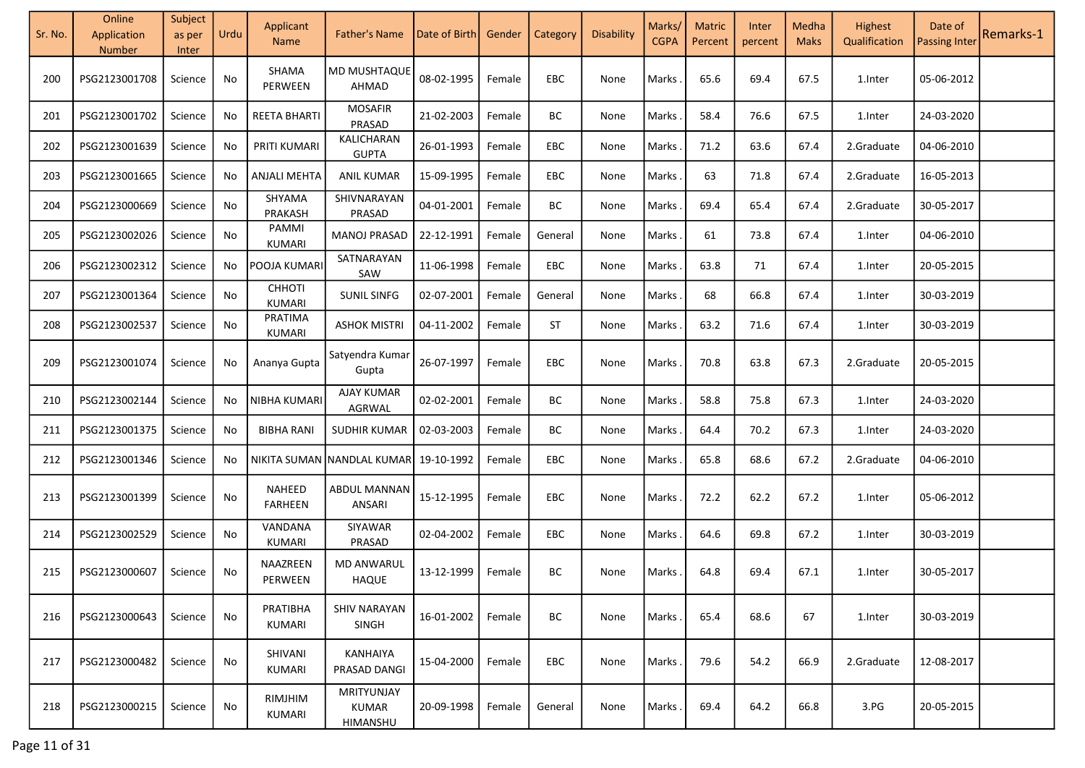| Sr. No. | Online<br>Application | Subject<br>as per | Urdu | Applicant<br><b>Name</b> | <b>Father's Name</b>                   | Date of Birth | Gender | Category | Disability | Marks/<br><b>CGPA</b> | <b>Matric</b><br>Percent | Inter<br>percent | Medha<br><b>Maks</b> | <b>Highest</b><br>Qualification | Date of<br><b>Passing Inter</b> | Remarks-1 |
|---------|-----------------------|-------------------|------|--------------------------|----------------------------------------|---------------|--------|----------|------------|-----------------------|--------------------------|------------------|----------------------|---------------------------------|---------------------------------|-----------|
|         | <b>Number</b>         | Inter             |      |                          |                                        |               |        |          |            |                       |                          |                  |                      |                                 |                                 |           |
| 200     | PSG2123001708         | Science           | No   | SHAMA<br>PERWEEN         | <b>MD MUSHTAQUE</b><br>AHMAD           | 08-02-1995    | Female | EBC      | None       | Marks                 | 65.6                     | 69.4             | 67.5                 | 1.Inter                         | 05-06-2012                      |           |
| 201     | PSG2123001702         | Science           | No   | <b>REETA BHARTI</b>      | <b>MOSAFIR</b><br>PRASAD               | 21-02-2003    | Female | BC       | None       | Marks                 | 58.4                     | 76.6             | 67.5                 | 1.Inter                         | 24-03-2020                      |           |
| 202     | PSG2123001639         | Science           | No   | PRITI KUMARI             | KALICHARAN<br><b>GUPTA</b>             | 26-01-1993    | Female | EBC      | None       | Marks                 | 71.2                     | 63.6             | 67.4                 | 2.Graduate                      | 04-06-2010                      |           |
| 203     | PSG2123001665         | Science           | No   | <b>ANJALI MEHTA</b>      | <b>ANIL KUMAR</b>                      | 15-09-1995    | Female | EBC      | None       | Marks                 | 63                       | 71.8             | 67.4                 | 2.Graduate                      | 16-05-2013                      |           |
| 204     | PSG2123000669         | Science           | No   | SHYAMA<br>PRAKASH        | SHIVNARAYAN<br>PRASAD                  | 04-01-2001    | Female | BC       | None       | <b>Marks</b>          | 69.4                     | 65.4             | 67.4                 | 2.Graduate                      | 30-05-2017                      |           |
| 205     | PSG2123002026         | Science           | No   | PAMMI<br>KUMARI          | MANOJ PRASAD                           | 22-12-1991    | Female | General  | None       | <b>Marks</b>          | 61                       | 73.8             | 67.4                 | 1. Inter                        | 04-06-2010                      |           |
| 206     | PSG2123002312         | Science           | No   | POOJA KUMARI             | SATNARAYAN<br>SAW                      | 11-06-1998    | Female | EBC      | None       | <b>Marks</b>          | 63.8                     | 71               | 67.4                 | 1.Inter                         | 20-05-2015                      |           |
| 207     | PSG2123001364         | Science           | No   | <b>CHHOTI</b><br>KUMARI  | <b>SUNIL SINFG</b>                     | 02-07-2001    | Female | General  | None       | <b>Marks</b>          | 68                       | 66.8             | 67.4                 | 1.Inter                         | 30-03-2019                      |           |
| 208     | PSG2123002537         | Science           | No   | PRATIMA<br>KUMARI        | <b>ASHOK MISTRI</b>                    | 04-11-2002    | Female | ST       | None       | Marks                 | 63.2                     | 71.6             | 67.4                 | 1.Inter                         | 30-03-2019                      |           |
| 209     | PSG2123001074         | Science           | No   | Ananya Gupta             | Satyendra Kumar<br>Gupta               | 26-07-1997    | Female | EBC      | None       | Marks                 | 70.8                     | 63.8             | 67.3                 | 2.Graduate                      | 20-05-2015                      |           |
| 210     | PSG2123002144         | Science           | No   | NIBHA KUMARI             | <b>AJAY KUMAR</b><br>AGRWAL            | 02-02-2001    | Female | BC       | None       | <b>Marks</b>          | 58.8                     | 75.8             | 67.3                 | 1.Inter                         | 24-03-2020                      |           |
| 211     | PSG2123001375         | Science           | No   | <b>BIBHA RANI</b>        | SUDHIR KUMAR                           | 02-03-2003    | Female | BC       | None       | <b>Marks</b>          | 64.4                     | 70.2             | 67.3                 | 1.Inter                         | 24-03-2020                      |           |
| 212     | PSG2123001346         | Science           | No   |                          | NIKITA SUMAN NANDLAL KUMAR             | 19-10-1992    | Female | EBC      | None       | <b>Marks</b>          | 65.8                     | 68.6             | 67.2                 | 2.Graduate                      | 04-06-2010                      |           |
| 213     | PSG2123001399         | Science           | No   | NAHEED<br><b>FARHEEN</b> | ABDUL MANNAN<br>ANSARI                 | 15-12-1995    | Female | EBC      | None       | <b>Marks</b>          | 72.2                     | 62.2             | 67.2                 | 1.Inter                         | 05-06-2012                      |           |
| 214     | PSG2123002529         | Science           | No   | VANDANA<br>KUMARI        | SIYAWAR<br>PRASAD                      | 02-04-2002    | Female | EBC      | None       | <b>Marks</b>          | 64.6                     | 69.8             | 67.2                 | 1.Inter                         | 30-03-2019                      |           |
| 215     | PSG2123000607         | Science           | No   | NAAZREEN<br>PERWEEN      | <b>MD ANWARUL</b><br><b>HAQUE</b>      | 13-12-1999    | Female | BC       | None       | Marks                 | 64.8                     | 69.4             | 67.1                 | 1.Inter                         | 30-05-2017                      |           |
| 216     | PSG2123000643         | Science           | No   | PRATIBHA<br>KUMARI       | <b>SHIV NARAYAN</b><br><b>SINGH</b>    | 16-01-2002    | Female | BC       | None       | Marks                 | 65.4                     | 68.6             | 67                   | 1.Inter                         | 30-03-2019                      |           |
| 217     | PSG2123000482         | Science           | No   | SHIVANI<br>KUMARI        | KANHAIYA<br><b>PRASAD DANGI</b>        | 15-04-2000    | Female | EBC      | None       | Marks                 | 79.6                     | 54.2             | 66.9                 | 2.Graduate                      | 12-08-2017                      |           |
| 218     | PSG2123000215         | Science           | No   | RIMJHIM<br>KUMARI        | MRITYUNJAY<br><b>KUMAR</b><br>HIMANSHU | 20-09-1998    | Female | General  | None       | Marks .               | 69.4                     | 64.2             | 66.8                 | 3.PG                            | 20-05-2015                      |           |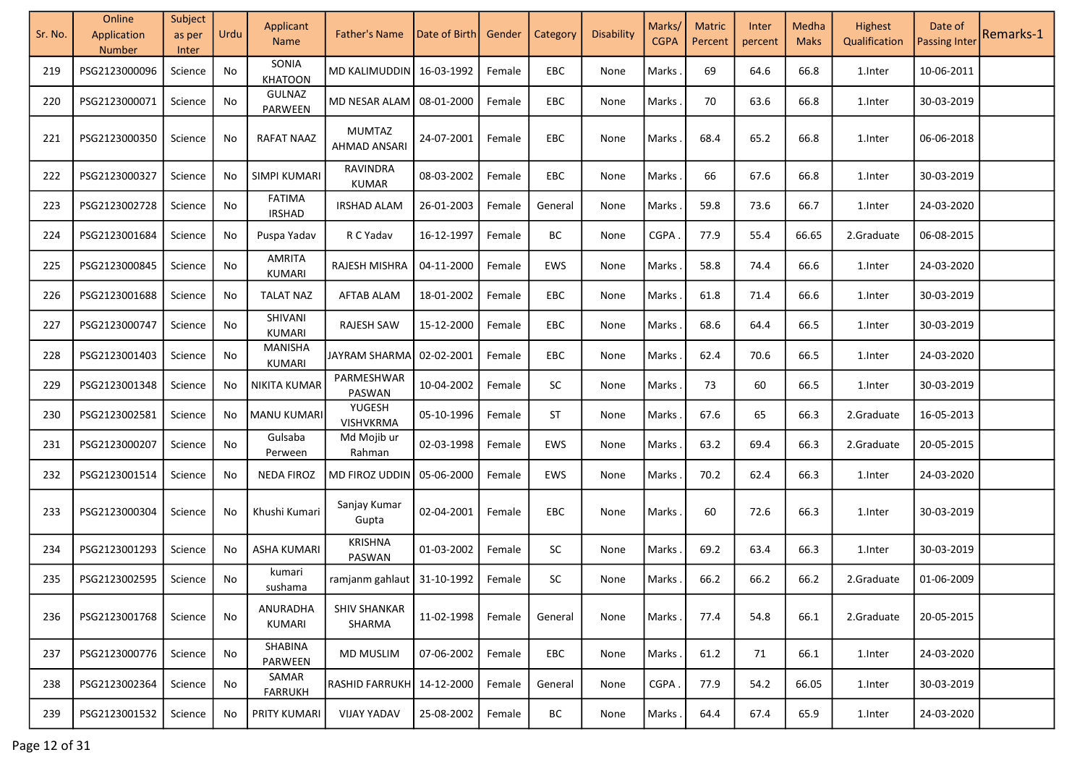| Sr. No. | Online<br>Application<br><b>Number</b> | Subject<br>as per<br>Inter | Urdu | Applicant<br><b>Name</b>        | <b>Father's Name</b>          | Date of Birth | Gender | Category | Disability | Marks/<br><b>CGPA</b> | <b>Matric</b><br>Percent | Inter<br>percent | Medha<br><b>Maks</b> | Highest<br>Qualification | Date of<br><b>Passing Inter</b> | Remarks-1 |
|---------|----------------------------------------|----------------------------|------|---------------------------------|-------------------------------|---------------|--------|----------|------------|-----------------------|--------------------------|------------------|----------------------|--------------------------|---------------------------------|-----------|
| 219     | PSG2123000096                          | Science                    | No   | SONIA<br><b>KHATOON</b>         | MD KALIMUDDIN                 | 16-03-1992    | Female | EBC      | None       | Marks                 | 69                       | 64.6             | 66.8                 | 1.Inter                  | 10-06-2011                      |           |
| 220     | PSG2123000071                          | Science                    | No   | <b>GULNAZ</b><br>PARWEEN        | MD NESAR ALAM                 | 08-01-2000    | Female | EBC      | None       | Marks                 | 70                       | 63.6             | 66.8                 | 1.Inter                  | 30-03-2019                      |           |
| 221     | PSG2123000350                          | Science                    | No   | <b>RAFAT NAAZ</b>               | MUMTAZ<br>AHMAD ANSARI        | 24-07-2001    | Female | EBC      | None       | Marks                 | 68.4                     | 65.2             | 66.8                 | 1.Inter                  | 06-06-2018                      |           |
| 222     | PSG2123000327                          | Science                    | No   | SIMPI KUMARI                    | <b>RAVINDRA</b><br>KUMAR      | 08-03-2002    | Female | EBC      | None       | Marks                 | 66                       | 67.6             | 66.8                 | 1.Inter                  | 30-03-2019                      |           |
| 223     | PSG2123002728                          | Science                    | No   | <b>FATIMA</b><br><b>IRSHAD</b>  | <b>IRSHAD ALAM</b>            | 26-01-2003    | Female | General  | None       | Marks                 | 59.8                     | 73.6             | 66.7                 | 1.Inter                  | 24-03-2020                      |           |
| 224     | PSG2123001684                          | Science                    | No   | Puspa Yadav                     | R C Yadav                     | 16-12-1997    | Female | BC       | None       | <b>CGPA</b>           | 77.9                     | 55.4             | 66.65                | 2.Graduate               | 06-08-2015                      |           |
| 225     | PSG2123000845                          | Science                    | No   | <b>AMRITA</b><br>KUMARI         | RAJESH MISHRA                 | 04-11-2000    | Female | EWS      | None       | Marks                 | 58.8                     | 74.4             | 66.6                 | 1.Inter                  | 24-03-2020                      |           |
| 226     | PSG2123001688                          | Science                    | No   | <b>TALAT NAZ</b>                | <b>AFTAB ALAM</b>             | 18-01-2002    | Female | EBC      | None       | Marks                 | 61.8                     | 71.4             | 66.6                 | 1.Inter                  | 30-03-2019                      |           |
| 227     | PSG2123000747                          | Science                    | No   | SHIVANI<br>KUMARI               | RAJESH SAW                    | 15-12-2000    | Female | EBC      | None       | Marks                 | 68.6                     | 64.4             | 66.5                 | 1.Inter                  | 30-03-2019                      |           |
| 228     | PSG2123001403                          | Science                    | No   | <b>MANISHA</b><br><b>KUMARI</b> | JAYRAM SHARMA                 | 02-02-2001    | Female | EBC      | None       | Marks                 | 62.4                     | 70.6             | 66.5                 | 1.Inter                  | 24-03-2020                      |           |
| 229     | PSG2123001348                          | Science                    | No   | NIKITA KUMAR                    | PARMESHWAR<br>PASWAN          | 10-04-2002    | Female | SC       | None       | Marks                 | 73                       | 60               | 66.5                 | 1.Inter                  | 30-03-2019                      |           |
| 230     | PSG2123002581                          | Science                    | No   | MANU KUMARI                     | YUGESH<br><b>VISHVKRMA</b>    | 05-10-1996    | Female | ST       | None       | Marks.                | 67.6                     | 65               | 66.3                 | 2.Graduate               | 16-05-2013                      |           |
| 231     | PSG2123000207                          | Science                    | No   | Gulsaba<br>Perween              | Md Mojib ur<br>Rahman         | 02-03-1998    | Female | EWS      | None       | Marks                 | 63.2                     | 69.4             | 66.3                 | 2.Graduate               | 20-05-2015                      |           |
| 232     | PSG2123001514                          | Science                    | No   | <b>NEDA FIROZ</b>               | MD FIROZ UDDIN                | 05-06-2000    | Female | EWS      | None       | Marks                 | 70.2                     | 62.4             | 66.3                 | 1.Inter                  | 24-03-2020                      |           |
| 233     | PSG2123000304                          | Science                    | No   | Khushi Kumari                   | Sanjay Kumar<br>Gupta         | 02-04-2001    | Female | EBC      | None       | Marks                 | 60                       | 72.6             | 66.3                 | 1.Inter                  | 30-03-2019                      |           |
| 234     | PSG2123001293                          | Science                    | No   | <b>ASHA KUMARI</b>              | <b>KRISHNA</b><br>PASWAN      | 01-03-2002    | Female | SC       | None       | Marks                 | 69.2                     | 63.4             | 66.3                 | 1.Inter                  | 30-03-2019                      |           |
| 235     | PSG2123002595                          | Science                    | No   | kumari<br>sushama               | ramjanm gahlaut               | 31-10-1992    | Female | $\sf SC$ | None       | Marks                 | 66.2                     | 66.2             | 66.2                 | 2.Graduate               | 01-06-2009                      |           |
| 236     | PSG2123001768                          | Science                    | No   | ANURADHA<br>KUMARI              | <b>SHIV SHANKAR</b><br>SHARMA | 11-02-1998    | Female | General  | None       | Marks                 | 77.4                     | 54.8             | 66.1                 | 2.Graduate               | 20-05-2015                      |           |
| 237     | PSG2123000776                          | Science                    | No   | SHABINA<br>PARWEEN              | <b>MD MUSLIM</b>              | 07-06-2002    | Female | EBC      | None       | Marks.                | 61.2                     | 71               | 66.1                 | 1.Inter                  | 24-03-2020                      |           |
| 238     | PSG2123002364                          | Science                    | No   | SAMAR<br><b>FARRUKH</b>         | <b>RASHID FARRUKH</b>         | 14-12-2000    | Female | General  | None       | CGPA.                 | 77.9                     | 54.2             | 66.05                | 1.Inter                  | 30-03-2019                      |           |
| 239     | PSG2123001532                          | Science                    | No   | PRITY KUMARI                    | <b>VIJAY YADAV</b>            | 25-08-2002    | Female | BC       | None       | Marks.                | 64.4                     | 67.4             | 65.9                 | 1.Inter                  | 24-03-2020                      |           |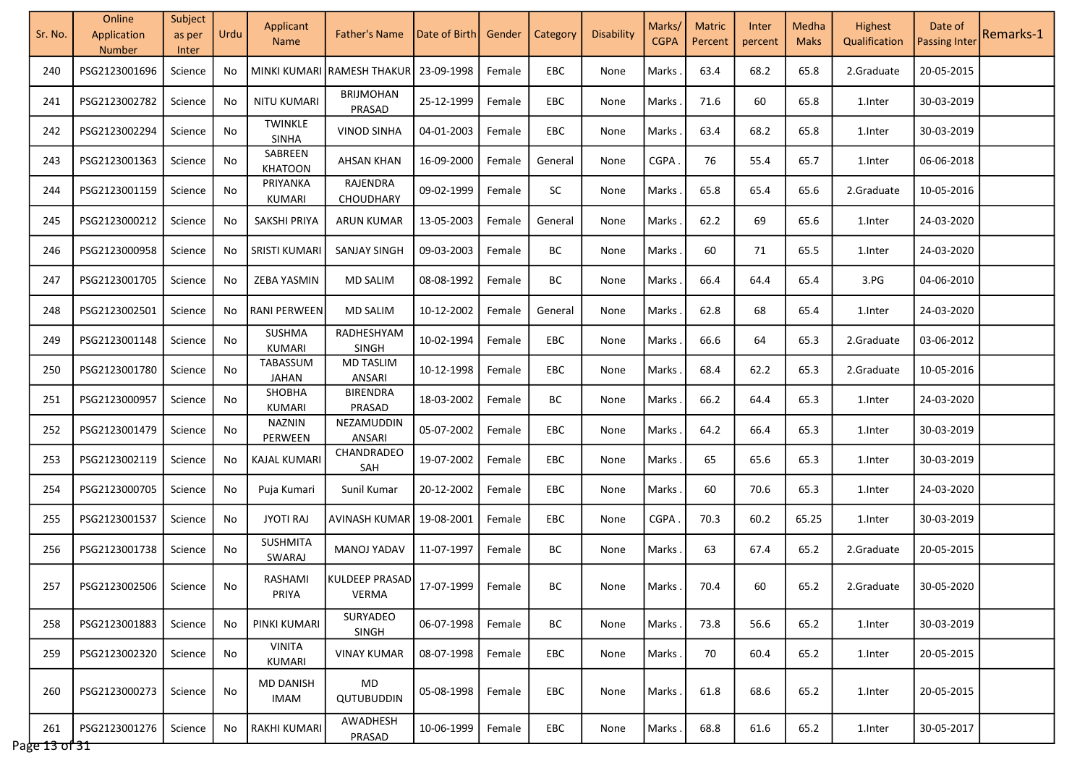| Sr. No.              | Online<br>Application<br><b>Number</b> | Subject<br>as per<br>Inter | Urdu | Applicant<br><b>Name</b>        | <b>Father's Name</b>              | Date of Birth | Gender | Category   | <b>Disability</b> | Marks/<br><b>CGPA</b> | <b>Matric</b><br>Percent | Inter<br>percent | Medha<br><b>Maks</b> | Highest<br>Qualification | Date of<br><b>Passing Inter</b> | Remarks-1 |
|----------------------|----------------------------------------|----------------------------|------|---------------------------------|-----------------------------------|---------------|--------|------------|-------------------|-----------------------|--------------------------|------------------|----------------------|--------------------------|---------------------------------|-----------|
| 240                  | PSG2123001696                          | Science                    | No.  |                                 | MINKI KUMARI RAMESH THAKUR        | 23-09-1998    | Female | EBC        | None              | Marks                 | 63.4                     | 68.2             | 65.8                 | 2.Graduate               | 20-05-2015                      |           |
| 241                  | PSG2123002782                          | Science                    | No   | <b>NITU KUMARI</b>              | <b>BRIJMOHAN</b><br>PRASAD        | 25-12-1999    | Female | EBC        | None              | <b>Marks</b>          | 71.6                     | 60               | 65.8                 | 1.Inter                  | 30-03-2019                      |           |
| 242                  | PSG2123002294                          | Science                    | No   | <b>TWINKLE</b><br><b>SINHA</b>  | <b>VINOD SINHA</b>                | 04-01-2003    | Female | <b>EBC</b> | None              | Marks                 | 63.4                     | 68.2             | 65.8                 | 1.Inter                  | 30-03-2019                      |           |
| 243                  | PSG2123001363                          | Science                    | No   | SABREEN<br><b>KHATOON</b>       | <b>AHSAN KHAN</b>                 | 16-09-2000    | Female | General    | None              | <b>CGPA</b>           | 76                       | 55.4             | 65.7                 | 1.Inter                  | 06-06-2018                      |           |
| 244                  | PSG2123001159                          | Science                    | No   | PRIYANKA<br>KUMARI              | RAJENDRA<br>CHOUDHARY             | 09-02-1999    | Female | SC         | None              | Marks                 | 65.8                     | 65.4             | 65.6                 | 2.Graduate               | 10-05-2016                      |           |
| 245                  | PSG2123000212                          | Science                    | No   | SAKSHI PRIYA                    | <b>ARUN KUMAR</b>                 | 13-05-2003    | Female | General    | None              | Marks                 | 62.2                     | 69               | 65.6                 | 1.Inter                  | 24-03-2020                      |           |
| 246                  | PSG2123000958                          | Science                    | No.  | <b>SRISTI KUMARI</b>            | <b>SANJAY SINGH</b>               | 09-03-2003    | Female | BС         | None              | <b>Marks</b>          | 60                       | 71               | 65.5                 | 1.Inter                  | 24-03-2020                      |           |
| 247                  | PSG2123001705                          | Science                    | No   | ZEBA YASMIN                     | <b>MD SALIM</b>                   | 08-08-1992    | Female | BС         | None              | <b>Marks</b>          | 66.4                     | 64.4             | 65.4                 | 3.PG                     | 04-06-2010                      |           |
| 248                  | PSG2123002501                          | Science                    | No   | RANI PERWEEN                    | <b>MD SALIM</b>                   | 10-12-2002    | Female | General    | None              | <b>Marks</b>          | 62.8                     | 68               | 65.4                 | 1.Inter                  | 24-03-2020                      |           |
| 249                  | PSG2123001148                          | Science                    | No   | SUSHMA<br><b>KUMARI</b>         | RADHESHYAM<br>SINGH               | 10-02-1994    | Female | EBC        | None              | Marks                 | 66.6                     | 64               | 65.3                 | 2.Graduate               | 03-06-2012                      |           |
| 250                  | PSG2123001780                          | Science                    | No   | TABASSUM<br><b>JAHAN</b>        | <b>MD TASLIM</b><br><b>ANSARI</b> | 10-12-1998    | Female | EBC        | None              | Marks                 | 68.4                     | 62.2             | 65.3                 | 2.Graduate               | 10-05-2016                      |           |
| 251                  | PSG2123000957                          | Science                    | No   | SHOBHA<br><b>KUMARI</b>         | <b>BIRENDRA</b><br>PRASAD         | 18-03-2002    | Female | BC         | None              | Marks                 | 66.2                     | 64.4             | 65.3                 | 1.Inter                  | 24-03-2020                      |           |
| 252                  | PSG2123001479                          | Science                    | No   | <b>NAZNIN</b><br>PERWEEN        | NEZAMUDDIN<br>ANSARI              | 05-07-2002    | Female | EBC        | None              | Marks                 | 64.2                     | 66.4             | 65.3                 | 1.Inter                  | 30-03-2019                      |           |
| 253                  | PSG2123002119                          | Science                    | No.  | KAJAL KUMARI                    | CHANDRADEO<br><b>SAH</b>          | 19-07-2002    | Female | EBC        | None              | <b>Marks</b>          | 65                       | 65.6             | 65.3                 | 1.Inter                  | 30-03-2019                      |           |
| 254                  | PSG2123000705                          | Science                    | No   | Puja Kumari                     | Sunil Kumar                       | 20-12-2002    | Female | EBC        | None              | <b>Marks</b>          | 60                       | 70.6             | 65.3                 | 1.Inter                  | 24-03-2020                      |           |
| 255                  | PSG2123001537                          | Science                    | No   | <b>JYOTI RAJ</b>                | AVINASH KUMAR                     | 19-08-2001    | Female | EBC        | None              | CGPA.                 | 70.3                     | 60.2             | 65.25                | 1.Inter                  | 30-03-2019                      |           |
| 256                  | PSG2123001738                          | Science                    | No   | <b>SUSHMITA</b><br>SWARAJ       | <b>MANOJ YADAV</b>                | 11-07-1997    | Female | BC         | None              | Marks                 | 63                       | 67.4             | 65.2                 | 2.Graduate               | 20-05-2015                      |           |
| 257                  | PSG2123002506                          | Science                    | No   | RASHAMI<br>PRIYA                | <b>KULDEEP PRASAD</b><br>VERMA    | 17-07-1999    | Female | BС         | None              | Marks .               | 70.4                     | 60               | 65.2                 | 2.Graduate               | 30-05-2020                      |           |
| 258                  | PSG2123001883                          | Science                    | No   | PINKI KUMARI                    | SURYADEO<br>SINGH                 | 06-07-1998    | Female | BC         | None              | Marks                 | 73.8                     | 56.6             | 65.2                 | 1.Inter                  | 30-03-2019                      |           |
| 259                  | PSG2123002320                          | Science                    | No   | <b>VINITA</b><br>KUMARI         | <b>VINAY KUMAR</b>                | 08-07-1998    | Female | EBC        | None              | Marks.                | 70                       | 60.4             | 65.2                 | 1.Inter                  | 20-05-2015                      |           |
| 260                  | PSG2123000273                          | Science                    | No   | <b>MD DANISH</b><br><b>IMAM</b> | MD<br>QUTUBUDDIN                  | 05-08-1998    | Female | EBC        | None              | Marks                 | 61.8                     | 68.6             | 65.2                 | 1.Inter                  | 20-05-2015                      |           |
| 261<br>Page 13 of 31 | PSG2123001276                          | Science                    | No.  | <b>RAKHI KUMARI</b>             | AWADHESH<br>PRASAD                | 10-06-1999    | Female | <b>EBC</b> | None              | Marks.                | 68.8                     | 61.6             | 65.2                 | 1.Inter                  | 30-05-2017                      |           |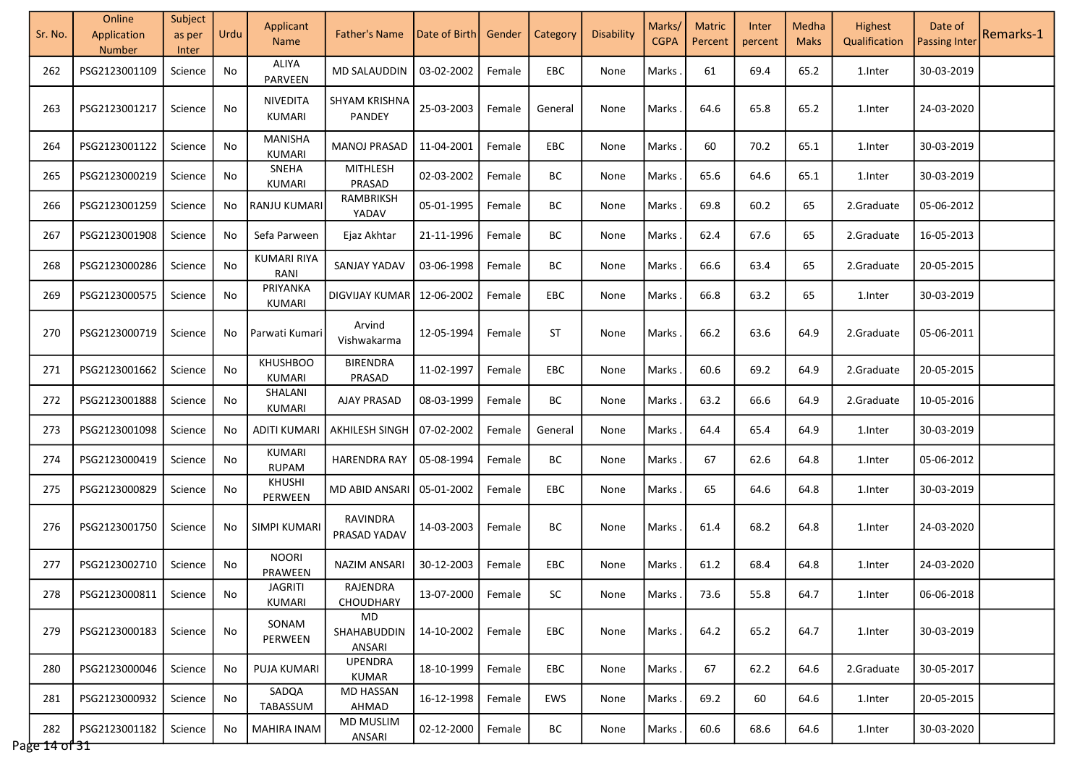| Sr. No.              | Online<br>Application<br>Number | Subject<br>as per<br>Inter | Urdu | Applicant<br><b>Name</b>        | <b>Father's Name</b>        | Date of Birth       | Gender | Category   | Disability | Marks/<br><b>CGPA</b> | <b>Matric</b><br>Percent | Inter<br>percent | Medha<br><b>Maks</b> | Highest<br>Qualification | Date of<br><b>Passing Inter</b> | Remarks-1 |
|----------------------|---------------------------------|----------------------------|------|---------------------------------|-----------------------------|---------------------|--------|------------|------------|-----------------------|--------------------------|------------------|----------------------|--------------------------|---------------------------------|-----------|
| 262                  | PSG2123001109                   | Science                    | No   | ALIYA<br>PARVEEN                | <b>MD SALAUDDIN</b>         | 03-02-2002          | Female | EBC        | None       | Marks                 | 61                       | 69.4             | 65.2                 | 1.Inter                  | 30-03-2019                      |           |
| 263                  | PSG2123001217                   | Science                    | No   | NIVEDITA<br>KUMARI              | SHYAM KRISHNA<br>PANDEY     | 25-03-2003          | Female | General    | None       | Marks                 | 64.6                     | 65.8             | 65.2                 | 1.Inter                  | 24-03-2020                      |           |
| 264                  | PSG2123001122                   | Science                    | No   | <b>MANISHA</b><br><b>KUMARI</b> | MANOJ PRASAD                | 11-04-2001          | Female | EBC        | None       | Marks                 | 60                       | 70.2             | 65.1                 | 1.Inter                  | 30-03-2019                      |           |
| 265                  | PSG2123000219                   | Science                    | No   | SNEHA<br>KUMARI                 | <b>MITHLESH</b><br>PRASAD   | 02-03-2002          | Female | BC         | None       | Marks                 | 65.6                     | 64.6             | 65.1                 | 1.Inter                  | 30-03-2019                      |           |
| 266                  | PSG2123001259                   | Science                    | No   | <b>RANJU KUMARI</b>             | RAMBRIKSH<br>YADAV          | 05-01-1995          | Female | BC         | None       | Marks                 | 69.8                     | 60.2             | 65                   | 2.Graduate               | 05-06-2012                      |           |
| 267                  | PSG2123001908                   | Science                    | No.  | Sefa Parween                    | Ejaz Akhtar                 | 21-11-1996          | Female | ВC         | None       | Marks                 | 62.4                     | 67.6             | 65                   | 2.Graduate               | 16-05-2013                      |           |
| 268                  | PSG2123000286                   | Science                    | No   | <b>KUMARI RIYA</b><br>RANI      | <b>SANJAY YADAV</b>         | 03-06-1998          | Female | BC         | None       | Marks                 | 66.6                     | 63.4             | 65                   | 2.Graduate               | 20-05-2015                      |           |
| 269                  | PSG2123000575                   | Science                    | No   | PRIYANKA<br>KUMARI              | DIGVIJAY KUMAR              | 12-06-2002          | Female | EBC        | None       | Marks                 | 66.8                     | 63.2             | 65                   | 1.Inter                  | 30-03-2019                      |           |
| 270                  | PSG2123000719                   | Science                    | No   | Parwati Kumari                  | Arvind<br>Vishwakarma       | 12-05-1994          | Female | ST         | None       | Marks                 | 66.2                     | 63.6             | 64.9                 | 2.Graduate               | 05-06-2011                      |           |
| 271                  | PSG2123001662                   | Science                    | No   | <b>KHUSHBOO</b><br>KUMARI       | <b>BIRENDRA</b><br>PRASAD   | 11-02-1997          | Female | EBC        | None       | Marks                 | 60.6                     | 69.2             | 64.9                 | 2.Graduate               | 20-05-2015                      |           |
| 272                  | PSG2123001888                   | Science                    | No   | SHALANI<br><b>KUMARI</b>        | <b>AJAY PRASAD</b>          | 08-03-1999          | Female | BC         | None       | Marks                 | 63.2                     | 66.6             | 64.9                 | 2.Graduate               | 10-05-2016                      |           |
| 273                  | PSG2123001098                   | Science                    | No.  | <b>ADITI KUMARI</b>             | AKHILESH SINGH              | 07-02-2002          | Female | General    | None       | Marks                 | 64.4                     | 65.4             | 64.9                 | 1.Inter                  | 30-03-2019                      |           |
| 274                  | PSG2123000419                   | Science                    | No   | <b>KUMARI</b><br><b>RUPAM</b>   | <b>HARENDRA RAY</b>         | 05-08-1994          | Female | BC         | None       | Marks                 | 67                       | 62.6             | 64.8                 | 1.Inter                  | 05-06-2012                      |           |
| 275                  | PSG2123000829                   | Science                    | No   | <b>KHUSHI</b><br>PERWEEN        | MD ABID ANSARI 05-01-2002   |                     | Female | <b>EBC</b> | None       | Marks                 | 65                       | 64.6             | 64.8                 | 1.Inter                  | 30-03-2019                      |           |
| 276                  | PSG2123001750                   | Science                    | No   | <b>SIMPI KUMARI</b>             | RAVINDRA<br>PRASAD YADAV    | 14-03-2003          | Female | BC         | None       | Marks                 | 61.4                     | 68.2             | 64.8                 | 1.Inter                  | 24-03-2020                      |           |
| 277                  | PSG2123002710                   | Science                    | No   | <b>NOORI</b><br>PRAWEEN         | <b>NAZIM ANSARI</b>         | 30-12-2003          | Female | EBC        | None       | Marks                 | 61.2                     | 68.4             | 64.8                 | 1.Inter                  | 24-03-2020                      |           |
| 278                  | PSG2123000811   Science         |                            | No   | <b>JAGRITI</b><br>KUMARI        | RAJENDRA<br>CHOUDHARY       | 13-07-2000   Female |        | SC         | None       | Marks.                | 73.6                     | 55.8             | 64.7                 | 1.Inter                  | 06-06-2018                      |           |
| 279                  | PSG2123000183                   | Science                    | No   | SONAM<br>PERWEEN                | MD<br>SHAHABUDDIN<br>ANSARI | 14-10-2002          | Female | EBC        | None       | Marks                 | 64.2                     | 65.2             | 64.7                 | 1.Inter                  | 30-03-2019                      |           |
| 280                  | PSG2123000046                   | Science                    | No   | <b>PUJA KUMARI</b>              | <b>UPENDRA</b><br>KUMAR     | 18-10-1999          | Female | EBC        | None       | Marks.                | 67                       | 62.2             | 64.6                 | 2.Graduate               | 30-05-2017                      |           |
| 281                  | PSG2123000932                   | Science                    | No   | SADQA<br>TABASSUM               | <b>MD HASSAN</b><br>AHMAD   | 16-12-1998          | Female | EWS        | None       | Marks.                | 69.2                     | 60               | 64.6                 | 1.Inter                  | 20-05-2015                      |           |
| 282<br>Page 14 of 31 | PSG2123001182                   | Science                    | No   | <b>MAHIRA INAM</b>              | <b>MD MUSLIM</b><br>ANSARI  | 02-12-2000          | Female | ВC         | None       | Marks                 | 60.6                     | 68.6             | 64.6                 | 1.Inter                  | 30-03-2020                      |           |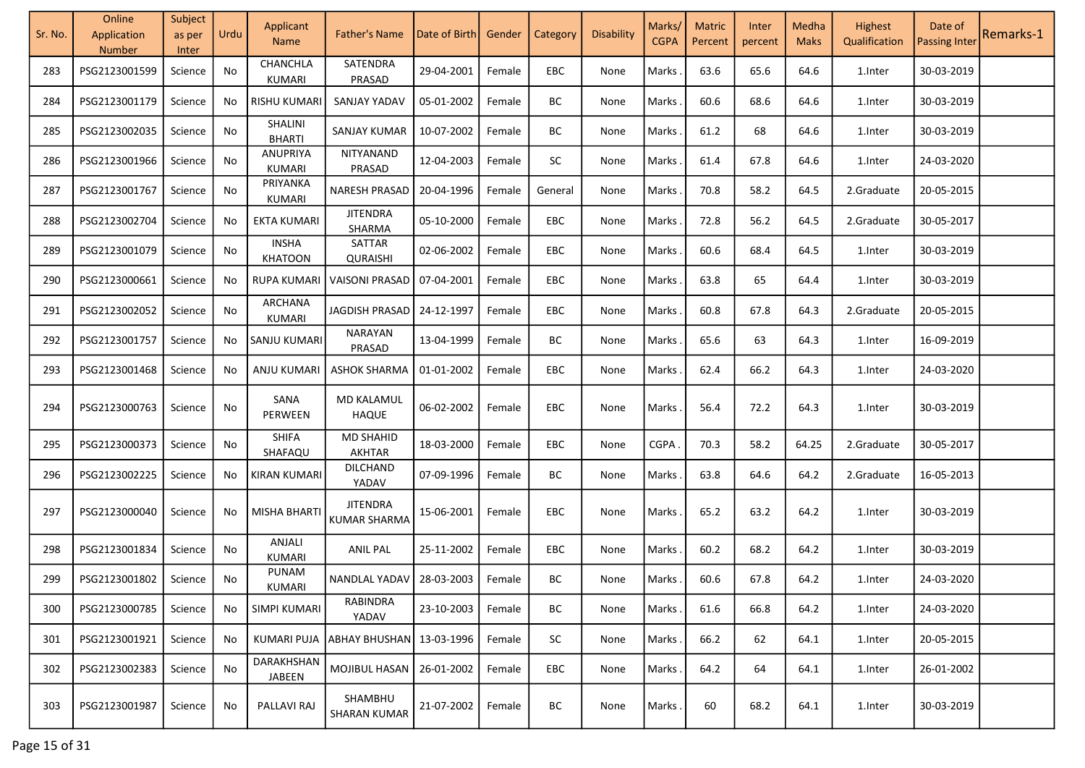| Sr. No. | Online<br>Application<br><b>Number</b> | Subject<br>as per<br>Inter | Urdu | Applicant<br><b>Name</b>       | <b>Father's Name</b>                     | Date of Birth | Gender | Category  | Disability | Marks/<br><b>CGPA</b> | <b>Matric</b><br>Percent | Inter<br>percent | Medha<br><b>Maks</b> | Highest<br>Qualification | Date of<br><b>Passing Inter</b> | Remarks-1 |
|---------|----------------------------------------|----------------------------|------|--------------------------------|------------------------------------------|---------------|--------|-----------|------------|-----------------------|--------------------------|------------------|----------------------|--------------------------|---------------------------------|-----------|
| 283     | PSG2123001599                          | Science                    | No   | CHANCHLA<br><b>KUMARI</b>      | SATENDRA<br>PRASAD                       | 29-04-2001    | Female | EBC       | None       | Marks                 | 63.6                     | 65.6             | 64.6                 | 1.Inter                  | 30-03-2019                      |           |
| 284     | PSG2123001179                          | Science                    | No   | <b>RISHU KUMARI</b>            | SANJAY YADAV                             | 05-01-2002    | Female | BC        | None       | Marks                 | 60.6                     | 68.6             | 64.6                 | 1.Inter                  | 30-03-2019                      |           |
| 285     | PSG2123002035                          | Science                    | No   | SHALINI<br><b>BHARTI</b>       | <b>SANJAY KUMAR</b>                      | 10-07-2002    | Female | BC        | None       | Marks                 | 61.2                     | 68               | 64.6                 | 1.Inter                  | 30-03-2019                      |           |
| 286     | PSG2123001966                          | Science                    | No   | ANUPRIYA<br><b>KUMARI</b>      | NITYANAND<br>PRASAD                      | 12-04-2003    | Female | SC        | None       | Marks                 | 61.4                     | 67.8             | 64.6                 | 1.Inter                  | 24-03-2020                      |           |
| 287     | PSG2123001767                          | Science                    | No   | PRIYANKA<br>KUMARI             | <b>NARESH PRASAD</b>                     | 20-04-1996    | Female | General   | None       | <b>Marks</b>          | 70.8                     | 58.2             | 64.5                 | 2.Graduate               | 20-05-2015                      |           |
| 288     | PSG2123002704                          | Science                    | No   | <b>EKTA KUMARI</b>             | <b>JITENDRA</b><br>SHARMA                | 05-10-2000    | Female | EBC       | None       | <b>Marks</b>          | 72.8                     | 56.2             | 64.5                 | 2.Graduate               | 30-05-2017                      |           |
| 289     | PSG2123001079                          | Science                    | No   | <b>INSHA</b><br><b>KHATOON</b> | SATTAR<br><b>QURAISHI</b>                | 02-06-2002    | Female | EBC       | None       | Marks                 | 60.6                     | 68.4             | 64.5                 | 1.Inter                  | 30-03-2019                      |           |
| 290     | PSG2123000661                          | Science                    | No   | <b>RUPA KUMARI</b>             | <b>VAISONI PRASAD</b>                    | 07-04-2001    | Female | EBC       | None       | <b>Marks</b>          | 63.8                     | 65               | 64.4                 | 1.Inter                  | 30-03-2019                      |           |
| 291     | PSG2123002052                          | Science                    | No   | ARCHANA<br>KUMARI              | JAGDISH PRASAD                           | 24-12-1997    | Female | EBC       | None       | Marks                 | 60.8                     | 67.8             | 64.3                 | 2.Graduate               | 20-05-2015                      |           |
| 292     | PSG2123001757                          | Science                    | No   | SANJU KUMARI                   | NARAYAN<br>PRASAD                        | 13-04-1999    | Female | BC        | None       | Marks                 | 65.6                     | 63               | 64.3                 | 1.Inter                  | 16-09-2019                      |           |
| 293     | PSG2123001468                          | Science                    | No   | ANJU KUMARI                    | <b>ASHOK SHARMA</b>                      | 01-01-2002    | Female | EBC       | None       | Marks                 | 62.4                     | 66.2             | 64.3                 | 1.Inter                  | 24-03-2020                      |           |
| 294     | PSG2123000763                          | Science                    | No   | SANA<br>PERWEEN                | <b>MD KALAMUL</b><br><b>HAQUE</b>        | 06-02-2002    | Female | EBC       | None       | <b>Marks</b>          | 56.4                     | 72.2             | 64.3                 | 1.Inter                  | 30-03-2019                      |           |
| 295     | PSG2123000373                          | Science                    | No   | <b>SHIFA</b><br>SHAFAQU        | <b>MD SHAHID</b><br>AKHTAR               | 18-03-2000    | Female | EBC       | None       | CGPA.                 | 70.3                     | 58.2             | 64.25                | 2.Graduate               | 30-05-2017                      |           |
| 296     | PSG2123002225                          | Science                    | No   | KIRAN KUMARI                   | <b>DILCHAND</b><br>YADAV                 | 07-09-1996    | Female | <b>BC</b> | None       | Marks                 | 63.8                     | 64.6             | 64.2                 | 2.Graduate               | 16-05-2013                      |           |
| 297     | PSG2123000040                          | Science                    | No   | <b>MISHA BHARTI</b>            | <b>JITENDRA</b><br><b>KUMAR SHARMA</b>   | 15-06-2001    | Female | EBC       | None       | <b>Marks</b>          | 65.2                     | 63.2             | 64.2                 | 1.Inter                  | 30-03-2019                      |           |
| 298     | PSG2123001834                          | Science                    | No   | ANJALI<br><b>KUMARI</b>        | <b>ANIL PAL</b>                          | 25-11-2002    | Female | EBC       | None       | Marks                 | 60.2                     | 68.2             | 64.2                 | 1.Inter                  | 30-03-2019                      |           |
| 299     | PSG2123001802                          | Science                    | No   | <b>PUNAM</b><br>KUMARI         | NANDLAL YADAV                            | 28-03-2003    | Female | BC        | None       | Marks                 | 60.6                     | 67.8             | 64.2                 | 1.Inter                  | 24-03-2020                      |           |
| 300     | PSG2123000785                          | Science                    | No   | <b>SIMPI KUMARI</b>            | RABINDRA<br>YADAV                        | 23-10-2003    | Female | BС        | None       | Marks                 | 61.6                     | 66.8             | 64.2                 | 1.Inter                  | 24-03-2020                      |           |
| 301     | PSG2123001921                          | Science                    | No   |                                | KUMARI PUJA   ABHAY BHUSHAN   13-03-1996 |               | Female | <b>SC</b> | None       | Marks .               | 66.2                     | 62               | 64.1                 | 1.Inter                  | 20-05-2015                      |           |
| 302     | PSG2123002383                          | Science                    | No   | DARAKHSHAN<br>JABEEN           | MOJIBUL HASAN                            | 26-01-2002    | Female | EBC.      | None       | Marks .               | 64.2                     | 64               | 64.1                 | 1.Inter                  | 26-01-2002                      |           |
| 303     | PSG2123001987                          | Science                    | No   | PALLAVI RAJ                    | SHAMBHU<br><b>SHARAN KUMAR</b>           | 21-07-2002    | Female | BC        | None       | Marks.                | 60                       | 68.2             | 64.1                 | 1.Inter                  | 30-03-2019                      |           |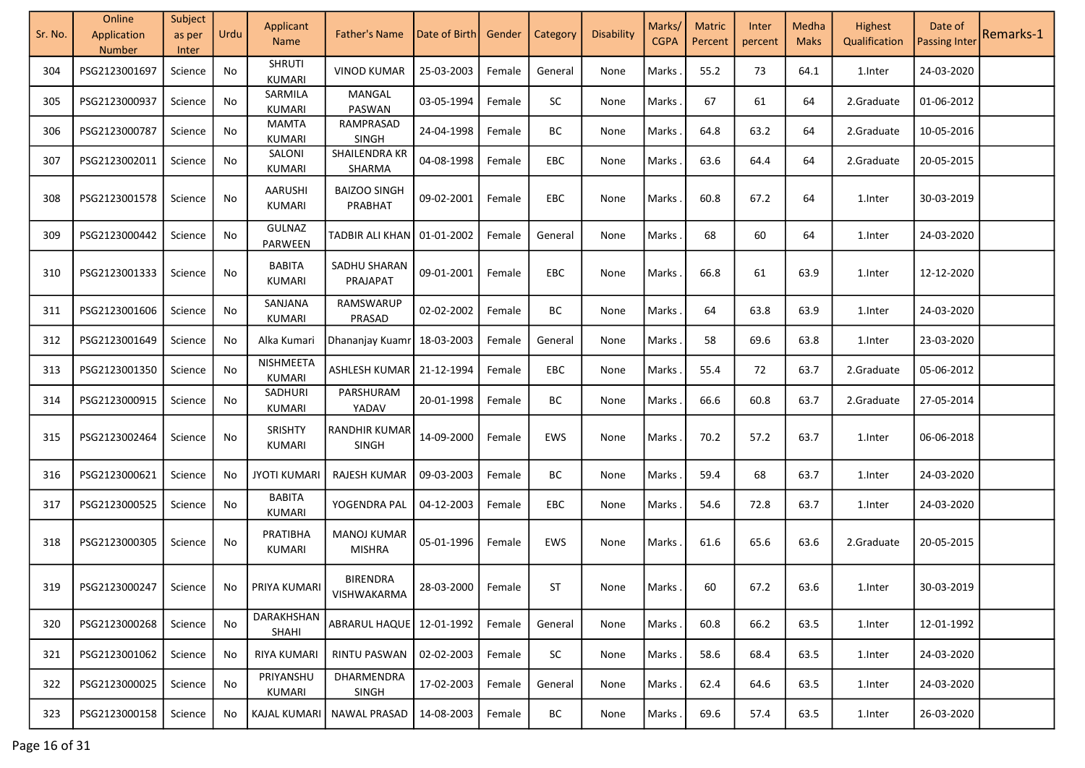| Sr. No. | Online                       | Subject         | Urdu | Applicant                       | <b>Father's Name</b>                 | Date of Birth       | Gender | Category   | <b>Disability</b> | Marks/      | <b>Matric</b> | Inter   | Medha       | Highest       | Date of              | Remarks-1 |
|---------|------------------------------|-----------------|------|---------------------------------|--------------------------------------|---------------------|--------|------------|-------------------|-------------|---------------|---------|-------------|---------------|----------------------|-----------|
|         | Application<br><b>Number</b> | as per<br>Inter |      | <b>Name</b>                     |                                      |                     |        |            |                   | <b>CGPA</b> | Percent       | percent | <b>Maks</b> | Qualification | <b>Passing Inter</b> |           |
| 304     | PSG2123001697                | Science         | No   | <b>SHRUTI</b><br><b>KUMARI</b>  | <b>VINOD KUMAR</b>                   | 25-03-2003          | Female | General    | None              | Marks       | 55.2          | 73      | 64.1        | 1.Inter       | 24-03-2020           |           |
| 305     | PSG2123000937                | Science         | No   | SARMILA<br><b>KUMARI</b>        | MANGAL<br>PASWAN                     | 03-05-1994          | Female | <b>SC</b>  | None              | Marks       | 67            | 61      | 64          | 2.Graduate    | 01-06-2012           |           |
| 306     | PSG2123000787                | Science         | No   | <b>MAMTA</b><br>KUMARI          | RAMPRASAD<br><b>SINGH</b>            | 24-04-1998          | Female | BC         | None              | Marks       | 64.8          | 63.2    | 64          | 2.Graduate    | 10-05-2016           |           |
| 307     | PSG2123002011                | Science         | No   | SALONI<br><b>KUMARI</b>         | SHAILENDRA KR<br>SHARMA              | 04-08-1998          | Female | <b>EBC</b> | None              | Marks       | 63.6          | 64.4    | 64          | 2.Graduate    | 20-05-2015           |           |
| 308     | PSG2123001578                | Science         | No   | <b>AARUSHI</b><br><b>KUMARI</b> | <b>BAIZOO SINGH</b><br>PRABHAT       | 09-02-2001          | Female | EBC        | None              | Marks       | 60.8          | 67.2    | 64          | 1.Inter       | 30-03-2019           |           |
| 309     | PSG2123000442                | Science         | No   | <b>GULNAZ</b><br>PARWEEN        | TADBIR ALI KHAN   01-01-2002         |                     | Female | General    | None              | Marks       | 68            | 60      | 64          | 1.Inter       | 24-03-2020           |           |
| 310     | PSG2123001333                | Science         | No   | <b>BABITA</b><br><b>KUMARI</b>  | SADHU SHARAN<br>PRAJAPAT             | 09-01-2001          | Female | EBC        | None              | Marks       | 66.8          | 61      | 63.9        | 1.Inter       | 12-12-2020           |           |
| 311     | PSG2123001606                | Science         | No   | SANJANA<br>KUMARI               | RAMSWARUP<br>PRASAD                  | 02-02-2002          | Female | BC         | None              | Marks       | 64            | 63.8    | 63.9        | 1.Inter       | 24-03-2020           |           |
| 312     | PSG2123001649                | Science         | No   | Alka Kumari                     | Dhananjay Kuamr                      | 18-03-2003          | Female | General    | None              | Marks       | 58            | 69.6    | 63.8        | 1.Inter       | 23-03-2020           |           |
| 313     | PSG2123001350                | Science         | No   | NISHMEETA<br><b>KUMARI</b>      | ASHLESH KUMAR                        | 21-12-1994          | Female | EBC        | None              | Marks       | 55.4          | 72      | 63.7        | 2.Graduate    | 05-06-2012           |           |
| 314     | PSG2123000915                | Science         | No   | SADHURI<br><b>KUMARI</b>        | PARSHURAM<br>YADAV                   | 20-01-1998          | Female | BC         | None              | Marks       | 66.6          | 60.8    | 63.7        | 2.Graduate    | 27-05-2014           |           |
| 315     | PSG2123002464                | Science         | No   | SRISHTY<br><b>KUMARI</b>        | <b>RANDHIR KUMAR</b><br><b>SINGH</b> | 14-09-2000          | Female | EWS        | None              | Marks       | 70.2          | 57.2    | 63.7        | 1.Inter       | 06-06-2018           |           |
| 316     | PSG2123000621                | Science         | No   | <b>JYOTI KUMARI</b>             | RAJESH KUMAR                         | 09-03-2003          | Female | BC         | None              | Marks       | 59.4          | 68      | 63.7        | 1.Inter       | 24-03-2020           |           |
| 317     | PSG2123000525                | Science         | No   | <b>BABITA</b><br><b>KUMARI</b>  | YOGENDRA PAL                         | 04-12-2003          | Female | <b>EBC</b> | None              | Marks       | 54.6          | 72.8    | 63.7        | 1.Inter       | 24-03-2020           |           |
| 318     | PSG2123000305                | Science         | No   | PRATIBHA<br><b>KUMARI</b>       | <b>MANOJ KUMAR</b><br><b>MISHRA</b>  | 05-01-1996          | Female | EWS        | None              | Marks       | 61.6          | 65.6    | 63.6        | 2.Graduate    | 20-05-2015           |           |
| 319     | PSG2123000247                | Science         | No   | <b>PRIYA KUMARI</b>             | <b>BIRENDRA</b><br>VISHWAKARMA       | 28-03-2000   Female |        | ST         | None              | Marks       | 60            | 67.2    | 63.6        | 1.Inter       | 30-03-2019           |           |
| 320     | PSG2123000268                | Science         | No   | DARAKHSHAN<br>SHAHI             | ABRARUL HAQUE                        | 12-01-1992          | Female | General    | None              | Marks       | 60.8          | 66.2    | 63.5        | 1.Inter       | 12-01-1992           |           |
| 321     | PSG2123001062                | Science         | No   | <b>RIYA KUMARI</b>              | RINTU PASWAN                         | 02-02-2003          | Female | SC         | None              | Marks       | 58.6          | 68.4    | 63.5        | 1.Inter       | 24-03-2020           |           |
| 322     | PSG2123000025                | Science         | No   | PRIYANSHU<br>KUMARI             | DHARMENDRA<br><b>SINGH</b>           | 17-02-2003          | Female | General    | None              | Marks       | 62.4          | 64.6    | 63.5        | 1.Inter       | 24-03-2020           |           |
| 323     | PSG2123000158                | Science         | No   | KAJAL KUMARI                    | NAWAL PRASAD                         | 14-08-2003          | Female | BC         | None              | Marks.      | 69.6          | 57.4    | 63.5        | 1.Inter       | 26-03-2020           |           |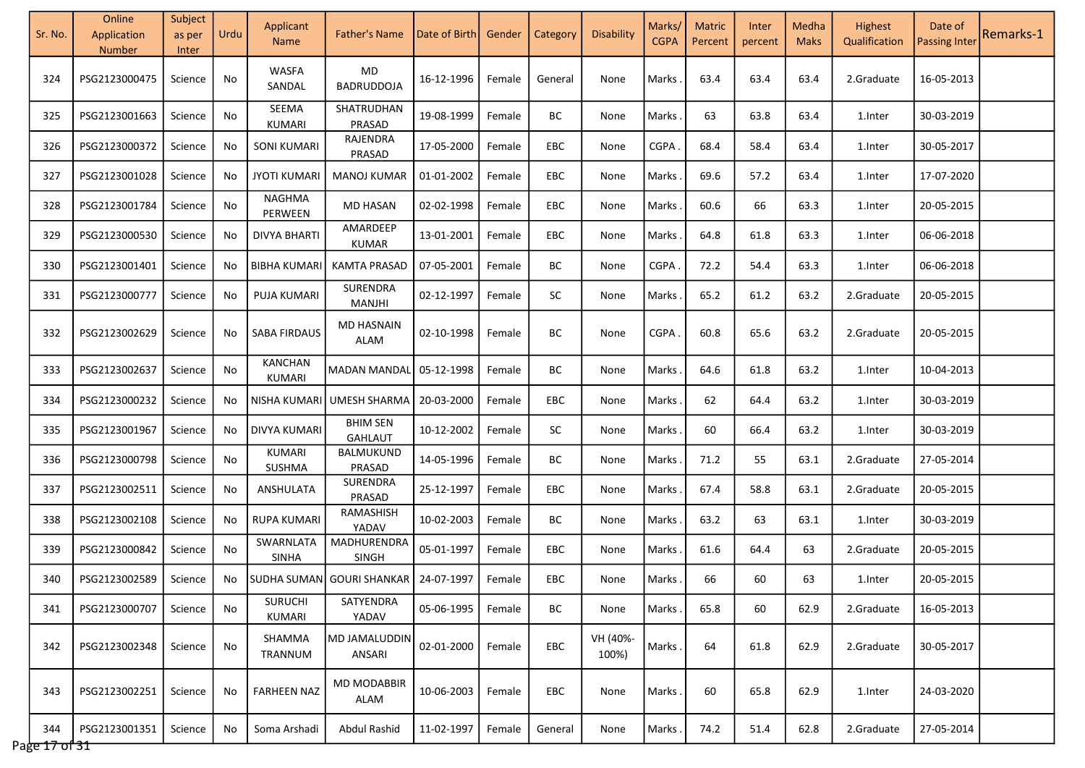| Sr. No.              | Online<br>Application<br>Number | Subject<br>as per<br>Inter | Urdu | Applicant<br><b>Name</b>        | <b>Father's Name</b>              | Date of Birth | Gender | Category   | Disability        | Marks/<br><b>CGPA</b> | <b>Matric</b><br>Percent | Inter<br>percent | Medha<br><b>Maks</b> | Highest<br>Qualification | Date of<br><b>Passing Inter</b> | Remarks-1 |
|----------------------|---------------------------------|----------------------------|------|---------------------------------|-----------------------------------|---------------|--------|------------|-------------------|-----------------------|--------------------------|------------------|----------------------|--------------------------|---------------------------------|-----------|
| 324                  | PSG2123000475                   | Science                    | No   | <b>WASFA</b><br>SANDAL          | MD<br><b>BADRUDDOJA</b>           | 16-12-1996    | Female | General    | None              | Marks                 | 63.4                     | 63.4             | 63.4                 | 2.Graduate               | 16-05-2013                      |           |
| 325                  | PSG2123001663                   | Science                    | No   | SEEMA<br>KUMARI                 | SHATRUDHAN<br>PRASAD              | 19-08-1999    | Female | BC         | None              | Marks                 | 63                       | 63.8             | 63.4                 | 1.Inter                  | 30-03-2019                      |           |
| 326                  | PSG2123000372                   | Science                    | No   | <b>SONI KUMARI</b>              | RAJENDRA<br>PRASAD                | 17-05-2000    | Female | EBC        | None              | <b>CGPA</b>           | 68.4                     | 58.4             | 63.4                 | 1.Inter                  | 30-05-2017                      |           |
| 327                  | PSG2123001028                   | Science                    | No   | <b>JYOTI KUMARI</b>             | <b>MANOJ KUMAR</b>                | 01-01-2002    | Female | EBC        | None              | Marks                 | 69.6                     | 57.2             | 63.4                 | 1.Inter                  | 17-07-2020                      |           |
| 328                  | PSG2123001784                   | Science                    | No   | NAGHMA<br>PERWEEN               | <b>MD HASAN</b>                   | 02-02-1998    | Female | EBC        | None              | Marks                 | 60.6                     | 66               | 63.3                 | 1.Inter                  | 20-05-2015                      |           |
| 329                  | PSG2123000530                   | Science                    | No   | <b>DIVYA BHARTI</b>             | AMARDEEP<br>KUMAR                 | 13-01-2001    | Female | <b>EBC</b> | None              | Marks                 | 64.8                     | 61.8             | 63.3                 | 1.Inter                  | 06-06-2018                      |           |
| 330                  | PSG2123001401                   | Science                    | No   | <b>BIBHA KUMARI</b>             | <b>KAMTA PRASAD</b>               | 07-05-2001    | Female | BC         | None              | <b>CGPA</b>           | 72.2                     | 54.4             | 63.3                 | 1.Inter                  | 06-06-2018                      |           |
| 331                  | PSG2123000777                   | Science                    | No   | PUJA KUMARI                     | SURENDRA<br>MANJHI                | 02-12-1997    | Female | <b>SC</b>  | None              | Marks                 | 65.2                     | 61.2             | 63.2                 | 2.Graduate               | 20-05-2015                      |           |
| 332                  | PSG2123002629                   | Science                    | No   | SABA FIRDAUS                    | <b>MD HASNAIN</b><br>ALAM         | 02-10-1998    | Female | BC         | None              | <b>CGPA</b>           | 60.8                     | 65.6             | 63.2                 | 2.Graduate               | 20-05-2015                      |           |
| 333                  | PSG2123002637                   | Science                    | No   | <b>KANCHAN</b><br><b>KUMARI</b> | <b>MADAN MANDAL</b>               | 05-12-1998    | Female | BС         | None              | Marks                 | 64.6                     | 61.8             | 63.2                 | 1. Inter                 | 10-04-2013                      |           |
| 334                  | PSG2123000232                   | Science                    | No   | NISHA KUMARI                    | UMESH SHARMA                      | 20-03-2000    | Female | <b>EBC</b> | None              | Marks                 | 62                       | 64.4             | 63.2                 | 1.Inter                  | 30-03-2019                      |           |
| 335                  | PSG2123001967                   | Science                    | No.  | DIVYA KUMARI                    | <b>BHIM SEN</b><br><b>GAHLAUT</b> | 10-12-2002    | Female | SC         | None              | Marks                 | 60                       | 66.4             | 63.2                 | 1.Inter                  | 30-03-2019                      |           |
| 336                  | PSG2123000798                   | Science                    | No   | KUMARI<br>SUSHMA                | BALMUKUND<br>PRASAD               | 14-05-1996    | Female | BC         | None              | Marks                 | 71.2                     | 55               | 63.1                 | 2.Graduate               | 27-05-2014                      |           |
| 337                  | PSG2123002511                   | Science                    | No   | ANSHULATA                       | SURENDRA<br>PRASAD                | 25-12-1997    | Female | EBC        | None              | Marks                 | 67.4                     | 58.8             | 63.1                 | 2.Graduate               | 20-05-2015                      |           |
| 338                  | PSG2123002108                   | Science                    | No   | <b>RUPA KUMARI</b>              | RAMASHISH<br>YADAV                | 10-02-2003    | Female | ВC         | None              | Marks                 | 63.2                     | 63               | 63.1                 | 1.Inter                  | 30-03-2019                      |           |
| 339                  | PSG2123000842                   | Science                    | No   | SWARNLATA<br><b>SINHA</b>       | MADHURENDRA<br><b>SINGH</b>       | 05-01-1997    | Female | EBC        | None              | Marks                 | 61.6                     | 64.4             | 63                   | 2.Graduate               | 20-05-2015                      |           |
| 340                  | PSG2123002589                   | Science                    | No   |                                 | SUDHA SUMAN GOURI SHANKAR         | 24-07-1997    | Female | <b>EBC</b> | None              | Marks                 | 66                       | 60               | 63                   | 1. Inter                 | 20-05-2015                      |           |
| 341                  | PSG2123000707                   | Science                    | No   | <b>SURUCHI</b><br><b>KUMARI</b> | SATYENDRA<br>YADAV                | 05-06-1995    | Female | BС         | None              | Marks                 | 65.8                     | 60               | 62.9                 | 2.Graduate               | 16-05-2013                      |           |
| 342                  | PSG2123002348                   | Science                    | No   | SHAMMA<br>TRANNUM               | MD JAMALUDDIN<br>ANSARI           | 02-01-2000    | Female | <b>EBC</b> | VH (40%-<br>100%) | Marks                 | 64                       | 61.8             | 62.9                 | 2.Graduate               | 30-05-2017                      |           |
| 343                  | PSG2123002251                   | Science                    | No   | <b>FARHEEN NAZ</b>              | <b>MD MODABBIR</b><br>ALAM        | 10-06-2003    | Female | EBC        | None              | Marks                 | 60                       | 65.8             | 62.9                 | 1.Inter                  | 24-03-2020                      |           |
| 344<br>Page 17 of 31 | PSG2123001351                   | Science                    | No   | Soma Arshadi                    | Abdul Rashid                      | 11-02-1997    | Female | General    | None              | Marks                 | 74.2                     | 51.4             | 62.8                 | 2.Graduate               | 27-05-2014                      |           |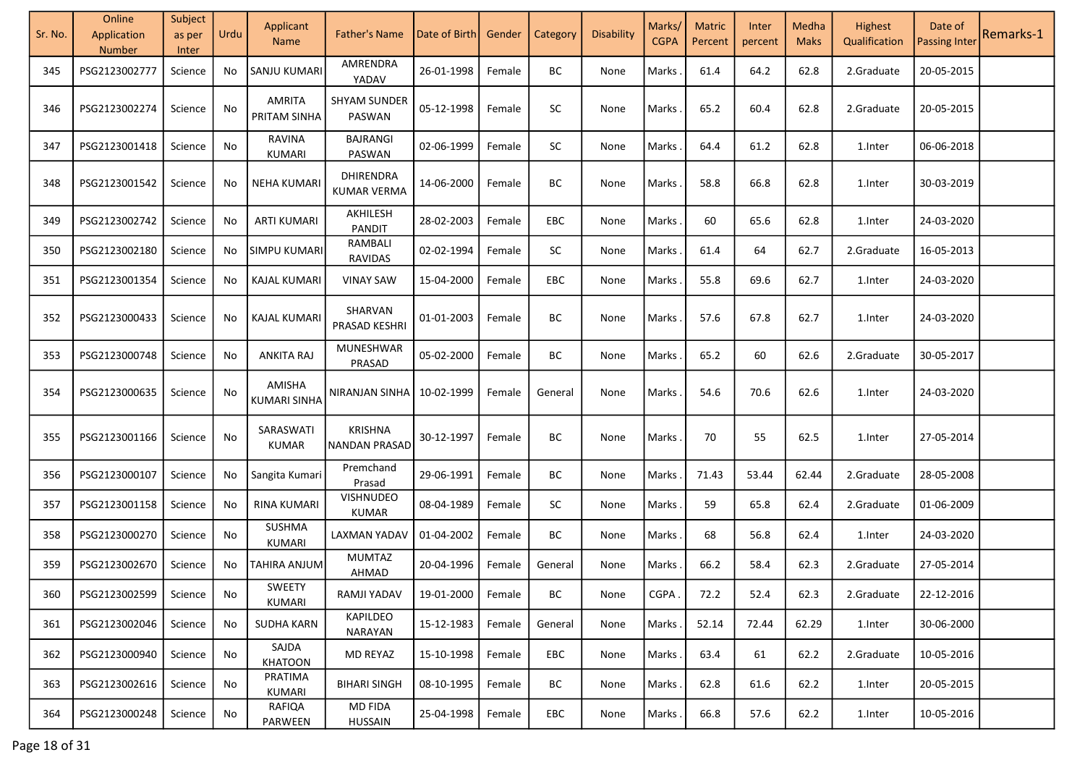| Sr. No. | Online<br>Application<br>Number | Subject<br>as per<br>Inter | Urdu | Applicant<br><b>Name</b>       | <b>Father's Name</b>                   | Date of Birth       | Gender | Category | Disability | Marks/<br><b>CGPA</b> | <b>Matric</b><br>Percent | Inter<br>percent | Medha<br><b>Maks</b> | Highest<br>Qualification | Date of<br><b>Passing Inter</b> | Remarks-1 |
|---------|---------------------------------|----------------------------|------|--------------------------------|----------------------------------------|---------------------|--------|----------|------------|-----------------------|--------------------------|------------------|----------------------|--------------------------|---------------------------------|-----------|
| 345     | PSG2123002777                   | Science                    | No   | SANJU KUMARI                   | AMRENDRA<br>YADAV                      | 26-01-1998          | Female | ВC       | None       | Marks                 | 61.4                     | 64.2             | 62.8                 | 2.Graduate               | 20-05-2015                      |           |
| 346     | PSG2123002274                   | Science                    | No   | AMRITA<br>PRITAM SINHA         | <b>SHYAM SUNDER</b><br>PASWAN          | 05-12-1998          | Female | SC       | None       | Marks                 | 65.2                     | 60.4             | 62.8                 | 2.Graduate               | 20-05-2015                      |           |
| 347     | PSG2123001418                   | Science                    | No   | <b>RAVINA</b><br>KUMARI        | <b>BAJRANGI</b><br><b>PASWAN</b>       | 02-06-1999          | Female | SC       | None       | Marks                 | 64.4                     | 61.2             | 62.8                 | 1.Inter                  | 06-06-2018                      |           |
| 348     | PSG2123001542                   | Science                    | No   | <b>NEHA KUMARI</b>             | DHIRENDRA<br><b>KUMAR VERMA</b>        | 14-06-2000          | Female | BC       | None       | Marks                 | 58.8                     | 66.8             | 62.8                 | 1.Inter                  | 30-03-2019                      |           |
| 349     | PSG2123002742                   | Science                    | No   | <b>ARTI KUMARI</b>             | AKHILESH<br><b>PANDIT</b>              | 28-02-2003          | Female | EBC      | None       | Marks                 | 60                       | 65.6             | 62.8                 | 1.Inter                  | 24-03-2020                      |           |
| 350     | PSG2123002180                   | Science                    | No   | SIMPU KUMARI                   | RAMBALI<br>RAVIDAS                     | 02-02-1994          | Female | SC       | None       | Marks                 | 61.4                     | 64               | 62.7                 | 2.Graduate               | 16-05-2013                      |           |
| 351     | PSG2123001354                   | Science                    | No   | KAJAL KUMARI                   | <b>VINAY SAW</b>                       | 15-04-2000          | Female | EBC      | None       | Marks                 | 55.8                     | 69.6             | 62.7                 | 1.Inter                  | 24-03-2020                      |           |
| 352     | PSG2123000433                   | Science                    | No   | KAJAL KUMARI                   | SHARVAN<br>PRASAD KESHRI               | 01-01-2003          | Female | BC       | None       | Marks                 | 57.6                     | 67.8             | 62.7                 | 1.Inter                  | 24-03-2020                      |           |
| 353     | PSG2123000748                   | Science                    | No   | ANKITA RAJ                     | MUNESHWAR<br>PRASAD                    | 05-02-2000          | Female | BC       | None       | Marks                 | 65.2                     | 60               | 62.6                 | 2.Graduate               | 30-05-2017                      |           |
| 354     | PSG2123000635                   | Science                    | No   | AMISHA<br>KUMARI SINHA         | NIRANJAN SINHA                         | 10-02-1999          | Female | General  | None       | Marks                 | 54.6                     | 70.6             | 62.6                 | 1.Inter                  | 24-03-2020                      |           |
| 355     | PSG2123001166                   | Science                    | No   | SARASWATI<br>KUMAR             | <b>KRISHNA</b><br><b>NANDAN PRASAD</b> | 30-12-1997          | Female | BC       | None       | Marks                 | 70                       | 55               | 62.5                 | 1.Inter                  | 27-05-2014                      |           |
| 356     | PSG2123000107                   | Science                    | No   | Sangita Kumari                 | Premchand<br>Prasad                    | 29-06-1991          | Female | BC       | None       | Marks                 | 71.43                    | 53.44            | 62.44                | 2.Graduate               | 28-05-2008                      |           |
| 357     | PSG2123001158                   | Science                    | No   | <b>RINA KUMARI</b>             | <b>VISHNUDEO</b><br><b>KUMAR</b>       | 08-04-1989          | Female | SC       | None       | Marks                 | 59                       | 65.8             | 62.4                 | 2.Graduate               | 01-06-2009                      |           |
| 358     | PSG2123000270                   | Science                    | No   | <b>SUSHMA</b><br><b>KUMARI</b> | LAXMAN YADAV                           | 01-04-2002          | Female | BC       | None       | Marks                 | 68                       | 56.8             | 62.4                 | 1.Inter                  | 24-03-2020                      |           |
| 359     | PSG2123002670                   | Science                    | No   | TAHIRA ANJUM                   | <b>MUMTAZ</b><br>AHMAD                 | 20-04-1996          | Female | General  | None       | Marks                 | 66.2                     | 58.4             | 62.3                 | 2.Graduate               | 27-05-2014                      |           |
| 360     | PSG2123002599                   | Science                    | No   | <b>SWEETY</b><br>KUMARI        | RAMJI YADAV                            | 19-01-2000   Female |        | BC       | None       | CGPA.                 | 72.2                     | 52.4             | 62.3                 | 2.Graduate               | 22-12-2016                      |           |
| 361     | PSG2123002046                   | Science                    | No   | <b>SUDHA KARN</b>              | <b>KAPILDEO</b><br>NARAYAN             | 15-12-1983          | Female | General  | None       | Marks.                | 52.14                    | 72.44            | 62.29                | 1.Inter                  | 30-06-2000                      |           |
| 362     | PSG2123000940                   | Science                    | No   | SAJDA<br><b>KHATOON</b>        | MD REYAZ                               | 15-10-1998          | Female | EBC      | None       | Marks.                | 63.4                     | 61               | 62.2                 | 2.Graduate               | 10-05-2016                      |           |
| 363     | PSG2123002616                   | Science                    | No   | PRATIMA<br>KUMARI              | <b>BIHARI SINGH</b>                    | 08-10-1995          | Female | BC       | None       | Marks.                | 62.8                     | 61.6             | 62.2                 | 1.Inter                  | 20-05-2015                      |           |
| 364     | PSG2123000248                   | Science                    | No   | RAFIQA<br>PARWEEN              | <b>MD FIDA</b><br><b>HUSSAIN</b>       | 25-04-1998          | Female | EBC      | None       | Marks.                | 66.8                     | 57.6             | 62.2                 | 1.Inter                  | 10-05-2016                      |           |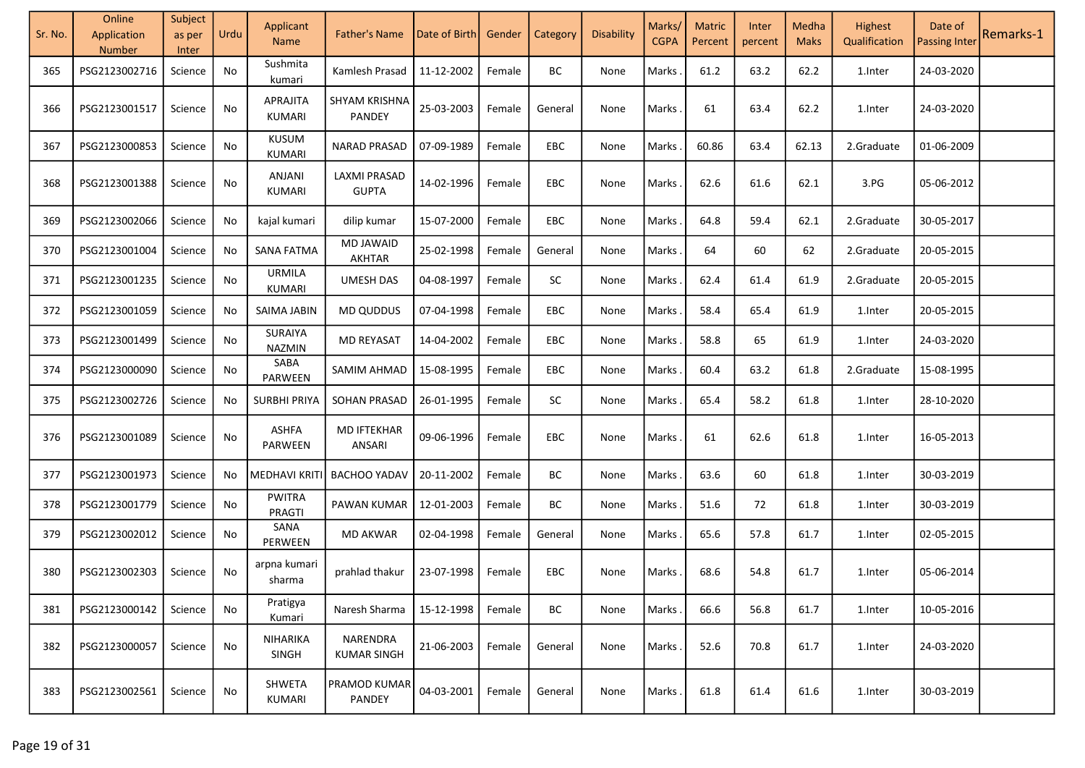| Sr. No. | Online<br>Application<br>Number | Subject<br>as per<br>Inter | Urdu | Applicant<br><b>Name</b>  | <b>Father's Name</b>                | Date of Birth | Gender | Category   | Disability | Marks/<br><b>CGPA</b> | <b>Matric</b><br>Percent | Inter<br>percent | Medha<br><b>Maks</b> | Highest<br>Qualification | Date of<br><b>Passing Inter</b> | Remarks-1 |
|---------|---------------------------------|----------------------------|------|---------------------------|-------------------------------------|---------------|--------|------------|------------|-----------------------|--------------------------|------------------|----------------------|--------------------------|---------------------------------|-----------|
| 365     | PSG2123002716                   | Science                    | No   | Sushmita<br>kumari        | Kamlesh Prasad                      | 11-12-2002    | Female | BC         | None       | Marks                 | 61.2                     | 63.2             | 62.2                 | 1.Inter                  | 24-03-2020                      |           |
| 366     | PSG2123001517                   | Science                    | No   | APRAJITA<br><b>KUMARI</b> | SHYAM KRISHNA<br><b>PANDEY</b>      | 25-03-2003    | Female | General    | None       | Marks                 | 61                       | 63.4             | 62.2                 | 1.Inter                  | 24-03-2020                      |           |
| 367     | PSG2123000853                   | Science                    | No   | <b>KUSUM</b><br>KUMARI    | <b>NARAD PRASAD</b>                 | 07-09-1989    | Female | EBC        | None       | Marks                 | 60.86                    | 63.4             | 62.13                | 2.Graduate               | 01-06-2009                      |           |
| 368     | PSG2123001388                   | Science                    | No   | ANJANI<br><b>KUMARI</b>   | <b>LAXMI PRASAD</b><br><b>GUPTA</b> | 14-02-1996    | Female | <b>EBC</b> | None       | Marks                 | 62.6                     | 61.6             | 62.1                 | 3.PG                     | 05-06-2012                      |           |
| 369     | PSG2123002066                   | Science                    | No   | kajal kumari              | dilip kumar                         | 15-07-2000    | Female | EBC        | None       | Marks                 | 64.8                     | 59.4             | 62.1                 | 2.Graduate               | 30-05-2017                      |           |
| 370     | PSG2123001004                   | Science                    | No   | <b>SANA FATMA</b>         | <b>MD JAWAID</b><br>AKHTAR          | 25-02-1998    | Female | General    | None       | Marks                 | 64                       | 60               | 62                   | 2.Graduate               | 20-05-2015                      |           |
| 371     | PSG2123001235                   | Science                    | No   | <b>URMILA</b><br>KUMARI   | <b>UMESH DAS</b>                    | 04-08-1997    | Female | SC         | None       | Marks                 | 62.4                     | 61.4             | 61.9                 | 2.Graduate               | 20-05-2015                      |           |
| 372     | PSG2123001059                   | Science                    | No   | SAIMA JABIN               | <b>MD QUDDUS</b>                    | 07-04-1998    | Female | EBC        | None       | Marks                 | 58.4                     | 65.4             | 61.9                 | 1.Inter                  | 20-05-2015                      |           |
| 373     | PSG2123001499                   | Science                    | No   | SURAIYA<br>NAZMIN         | <b>MD REYASAT</b>                   | 14-04-2002    | Female | EBC        | None       | Marks                 | 58.8                     | 65               | 61.9                 | 1.Inter                  | 24-03-2020                      |           |
| 374     | PSG2123000090                   | Science                    | No   | SABA<br>PARWEEN           | SAMIM AHMAD                         | 15-08-1995    | Female | EBC        | None       | Marks                 | 60.4                     | 63.2             | 61.8                 | 2.Graduate               | 15-08-1995                      |           |
| 375     | PSG2123002726                   | Science                    | No   | <b>SURBHI PRIYA</b>       | <b>SOHAN PRASAD</b>                 | 26-01-1995    | Female | SC         | None       | Marks                 | 65.4                     | 58.2             | 61.8                 | 1.Inter                  | 28-10-2020                      |           |
| 376     | PSG2123001089                   | Science                    | No   | <b>ASHFA</b><br>PARWEEN   | <b>MD IFTEKHAR</b><br>ANSARI        | 09-06-1996    | Female | <b>EBC</b> | None       | Marks                 | 61                       | 62.6             | 61.8                 | 1.Inter                  | 16-05-2013                      |           |
| 377     | PSG2123001973                   | Science                    | No.  | <b>MEDHAVI KRITI</b>      | <b>BACHOO YADAV</b>                 | 20-11-2002    | Female | BC         | None       | Marks                 | 63.6                     | 60               | 61.8                 | 1.Inter                  | 30-03-2019                      |           |
| 378     | PSG2123001779                   | Science                    | No   | <b>PWITRA</b><br>PRAGTI   | PAWAN KUMAR                         | 12-01-2003    | Female | BC         | None       | Marks                 | 51.6                     | 72               | 61.8                 | 1.Inter                  | 30-03-2019                      |           |
| 379     | PSG2123002012                   | Science                    | No   | SANA<br>PERWEEN           | <b>MD AKWAR</b>                     | 02-04-1998    | Female | General    | None       | Marks                 | 65.6                     | 57.8             | 61.7                 | 1.Inter                  | 02-05-2015                      |           |
| 380     | PSG2123002303                   | Science                    | No   | arpna kumari<br>sharma    | prahlad thakur                      | 23-07-1998    | Female | <b>EBC</b> | None       | Marks                 | 68.6                     | 54.8             | 61.7                 | 1.Inter                  | 05-06-2014                      |           |
| 381     | PSG2123000142                   | Science                    | No   | Pratigya<br>Kumari        | Naresh Sharma                       | 15-12-1998    | Female | BC         | None       | Marks                 | 66.6                     | 56.8             | 61.7                 | 1.Inter                  | 10-05-2016                      |           |
| 382     | PSG2123000057                   | Science                    | No   | NIHARIKA<br><b>SINGH</b>  | NARENDRA<br><b>KUMAR SINGH</b>      | 21-06-2003    | Female | General    | None       | Marks                 | 52.6                     | 70.8             | 61.7                 | 1.Inter                  | 24-03-2020                      |           |
| 383     | PSG2123002561                   | Science                    | No   | SHWETA<br><b>KUMARI</b>   | PRAMOD KUMAR<br>PANDEY              | 04-03-2001    | Female | General    | None       | Marks                 | 61.8                     | 61.4             | 61.6                 | 1.Inter                  | 30-03-2019                      |           |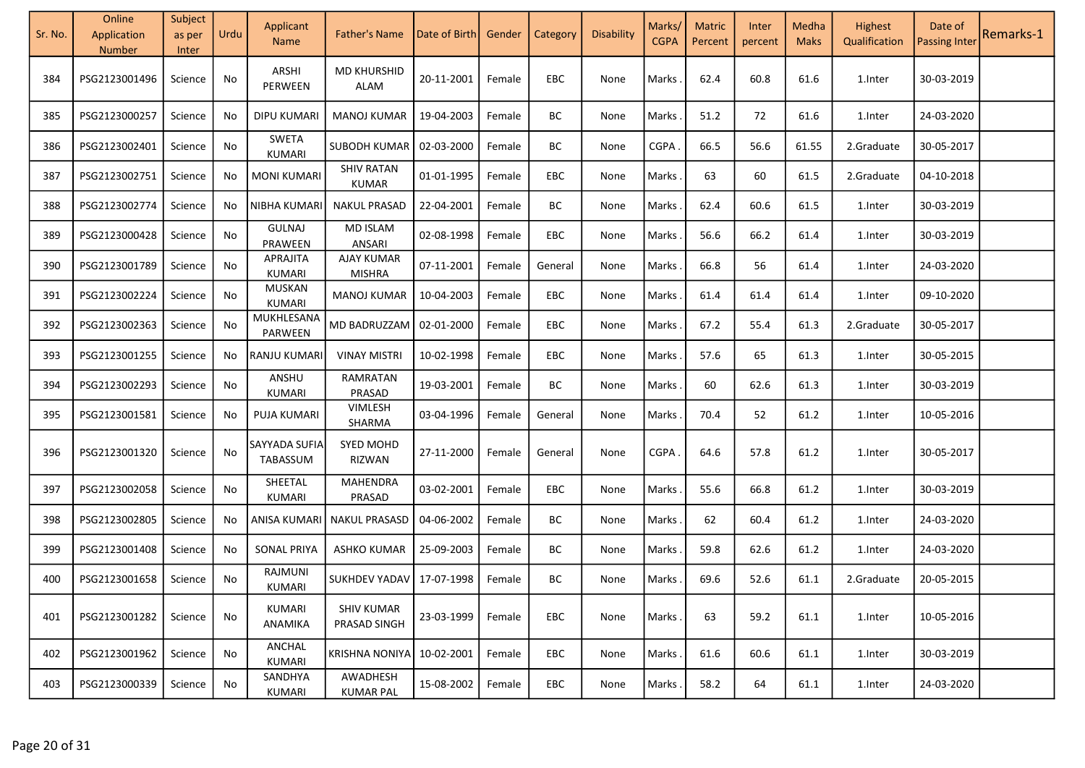| Sr. No. | Online<br>Application<br><b>Number</b> | Subject<br>as per<br>Inter | Urdu | Applicant<br><b>Name</b>       | <b>Father's Name</b>              | Date of Birth | Gender | Category | Disability | Marks/<br><b>CGPA</b> | <b>Matric</b><br>Percent | Inter<br>percent | Medha<br><b>Maks</b> | Highest<br>Qualification | Date of<br><b>Passing Inter</b> | Remarks-1 |
|---------|----------------------------------------|----------------------------|------|--------------------------------|-----------------------------------|---------------|--------|----------|------------|-----------------------|--------------------------|------------------|----------------------|--------------------------|---------------------------------|-----------|
| 384     | PSG2123001496                          | Science                    | No   | ARSHI<br>PERWEEN               | <b>MD KHURSHID</b><br><b>ALAM</b> | 20-11-2001    | Female | EBC      | None       | Marks                 | 62.4                     | 60.8             | 61.6                 | 1.Inter                  | 30-03-2019                      |           |
| 385     | PSG2123000257                          | Science                    | No   | <b>DIPU KUMARI</b>             | <b>MANOJ KUMAR</b>                | 19-04-2003    | Female | BC       | None       | Marks                 | 51.2                     | 72               | 61.6                 | 1.Inter                  | 24-03-2020                      |           |
| 386     | PSG2123002401                          | Science                    | No   | SWETA<br>KUMARI                | SUBODH KUMAR                      | 02-03-2000    | Female | BC       | None       | <b>CGPA</b>           | 66.5                     | 56.6             | 61.55                | 2.Graduate               | 30-05-2017                      |           |
| 387     | PSG2123002751                          | Science                    | No   | <b>MONI KUMARI</b>             | <b>SHIV RATAN</b><br><b>KUMAR</b> | 01-01-1995    | Female | EBC      | None       | Marks                 | 63                       | 60               | 61.5                 | 2.Graduate               | 04-10-2018                      |           |
| 388     | PSG2123002774                          | Science                    | No   | NIBHA KUMARI                   | <b>NAKUL PRASAD</b>               | 22-04-2001    | Female | BC       | None       | Marks                 | 62.4                     | 60.6             | 61.5                 | 1.Inter                  | 30-03-2019                      |           |
| 389     | PSG2123000428                          | Science                    | No   | <b>GULNAJ</b><br>PRAWEEN       | <b>MD ISLAM</b><br>ANSARI         | 02-08-1998    | Female | EBC      | None       | Marks                 | 56.6                     | 66.2             | 61.4                 | 1.Inter                  | 30-03-2019                      |           |
| 390     | PSG2123001789                          | Science                    | No   | APRAJITA<br>KUMARI             | <b>AJAY KUMAR</b><br>MISHRA       | 07-11-2001    | Female | General  | None       | Marks                 | 66.8                     | 56               | 61.4                 | 1.Inter                  | 24-03-2020                      |           |
| 391     | PSG2123002224                          | Science                    | No   | <b>MUSKAN</b><br><b>KUMARI</b> | <b>MANOJ KUMAR</b>                | 10-04-2003    | Female | EBC      | None       | Marks                 | 61.4                     | 61.4             | 61.4                 | 1.Inter                  | 09-10-2020                      |           |
| 392     | PSG2123002363                          | Science                    | No   | MUKHLESANA<br>PARWEEN          | MD BADRUZZAM                      | 02-01-2000    | Female | EBC      | None       | Marks                 | 67.2                     | 55.4             | 61.3                 | 2.Graduate               | 30-05-2017                      |           |
| 393     | PSG2123001255                          | Science                    | No   | <b>RANJU KUMARI</b>            | <b>VINAY MISTRI</b>               | 10-02-1998    | Female | EBC      | None       | Marks                 | 57.6                     | 65               | 61.3                 | 1.Inter                  | 30-05-2015                      |           |
| 394     | PSG2123002293                          | Science                    | No   | ANSHU<br>KUMARI                | RAMRATAN<br>PRASAD                | 19-03-2001    | Female | BC       | None       | Marks                 | 60                       | 62.6             | 61.3                 | 1.Inter                  | 30-03-2019                      |           |
| 395     | PSG2123001581                          | Science                    | No   | <b>PUJA KUMARI</b>             | VIMLESH<br>SHARMA                 | 03-04-1996    | Female | General  | None       | Marks                 | 70.4                     | 52               | 61.2                 | 1.Inter                  | 10-05-2016                      |           |
| 396     | PSG2123001320                          | Science                    | No   | SAYYADA SUFIA<br>TABASSUM      | <b>SYED MOHD</b><br>RIZWAN        | 27-11-2000    | Female | General  | None       | CGPA                  | 64.6                     | 57.8             | 61.2                 | 1.Inter                  | 30-05-2017                      |           |
| 397     | PSG2123002058                          | Science                    | No   | SHEETAL<br><b>KUMARI</b>       | <b>MAHENDRA</b><br>PRASAD         | 03-02-2001    | Female | EBC      | None       | Marks                 | 55.6                     | 66.8             | 61.2                 | 1.Inter                  | 30-03-2019                      |           |
| 398     | PSG2123002805                          | Science                    | No   | ANISA KUMARI                   | <b>NAKUL PRASASD</b>              | 04-06-2002    | Female | BC       | None       | Marks                 | 62                       | 60.4             | 61.2                 | 1.Inter                  | 24-03-2020                      |           |
| 399     | PSG2123001408                          | Science                    | No   | <b>SONAL PRIYA</b>             | <b>ASHKO KUMAR</b>                | 25-09-2003    | Female | BC       | None       | Marks                 | 59.8                     | 62.6             | 61.2                 | 1.Inter                  | 24-03-2020                      |           |
| 400     | PSG2123001658                          | Science                    | No   | RAJMUNI<br>KUMARI              | SUKHDEV YADAV                     | 17-07-1998    | Female | BC       | None       | Marks                 | 69.6                     | 52.6             | 61.1                 | 2.Graduate               | 20-05-2015                      |           |
| 401     | PSG2123001282                          | Science                    | No   | KUMARI<br>ANAMIKA              | <b>SHIV KUMAR</b><br>PRASAD SINGH | 23-03-1999    | Female | EBC      | None       | Marks                 | 63                       | 59.2             | 61.1                 | 1.Inter                  | 10-05-2016                      |           |
| 402     | PSG2123001962                          | Science                    | No   | ANCHAL<br><b>KUMARI</b>        | KRISHNA NONIYA                    | 10-02-2001    | Female | EBC      | None       | Marks.                | 61.6                     | 60.6             | 61.1                 | 1.Inter                  | 30-03-2019                      |           |
| 403     | PSG2123000339                          | Science                    | No   | SANDHYA<br>KUMARI              | AWADHESH<br><b>KUMAR PAL</b>      | 15-08-2002    | Female | EBC      | None       | Marks .               | 58.2                     | 64               | 61.1                 | 1.Inter                  | 24-03-2020                      |           |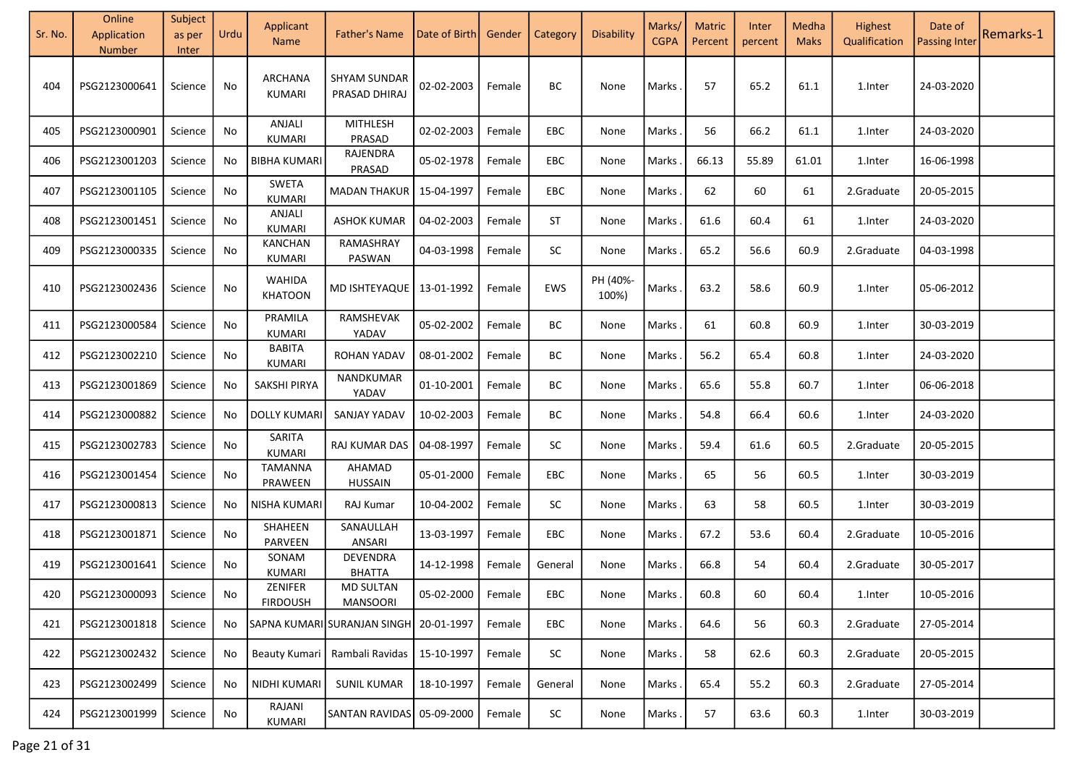| Sr. No. | Online<br>Application<br>Number | Subject<br>as per<br>Inter | Urdu | Applicant<br><b>Name</b>        | <b>Father's Name</b>                         | Date of Birth | Gender | Category   | Disability        | Marks/<br><b>CGPA</b> | <b>Matric</b><br>Percent | Inter<br>percent | Medha<br><b>Maks</b> | Highest<br>Qualification | Date of<br><b>Passing Inter</b> | Remarks-1 |
|---------|---------------------------------|----------------------------|------|---------------------------------|----------------------------------------------|---------------|--------|------------|-------------------|-----------------------|--------------------------|------------------|----------------------|--------------------------|---------------------------------|-----------|
| 404     | PSG2123000641                   | Science                    | No   | ARCHANA<br><b>KUMARI</b>        | <b>SHYAM SUNDAR</b><br>PRASAD DHIRAJ         | 02-02-2003    | Female | BC         | None              | Marks                 | 57                       | 65.2             | 61.1                 | 1.Inter                  | 24-03-2020                      |           |
| 405     | PSG2123000901                   | Science                    | No   | ANJALI<br><b>KUMARI</b>         | <b>MITHLESH</b><br>PRASAD                    | 02-02-2003    | Female | EBC        | None              | Marks                 | 56                       | 66.2             | 61.1                 | 1.Inter                  | 24-03-2020                      |           |
| 406     | PSG2123001203                   | Science                    | No   | <b>BIBHA KUMARI</b>             | RAJENDRA<br>PRASAD                           | 05-02-1978    | Female | EBC        | None              | Marks                 | 66.13                    | 55.89            | 61.01                | 1.Inter                  | 16-06-1998                      |           |
| 407     | PSG2123001105                   | Science                    | No   | <b>SWETA</b><br><b>KUMARI</b>   | <b>MADAN THAKUR</b>                          | 15-04-1997    | Female | EBC        | None              | Marks                 | 62                       | 60               | 61                   | 2.Graduate               | 20-05-2015                      |           |
| 408     | PSG2123001451                   | Science                    | No   | ANJALI<br><b>KUMARI</b>         | <b>ASHOK KUMAR</b>                           | 04-02-2003    | Female | ST         | None              | Marks                 | 61.6                     | 60.4             | 61                   | 1.Inter                  | 24-03-2020                      |           |
| 409     | PSG2123000335                   | Science                    | No   | <b>KANCHAN</b><br><b>KUMARI</b> | RAMASHRAY<br>PASWAN                          | 04-03-1998    | Female | SC         | None              | Marks                 | 65.2                     | 56.6             | 60.9                 | 2.Graduate               | 04-03-1998                      |           |
| 410     | PSG2123002436                   | Science                    | No   | <b>WAHIDA</b><br><b>KHATOON</b> | MD ISHTEYAQUE                                | 13-01-1992    | Female | EWS        | PH (40%-<br>100%) | <b>Marks</b>          | 63.2                     | 58.6             | 60.9                 | 1.Inter                  | 05-06-2012                      |           |
| 411     | PSG2123000584                   | Science                    | No   | PRAMILA<br><b>KUMARI</b>        | RAMSHEVAK<br>YADAV                           | 05-02-2002    | Female | BC         | None              | Marks                 | 61                       | 60.8             | 60.9                 | 1.Inter                  | 30-03-2019                      |           |
| 412     | PSG2123002210                   | Science                    | No   | <b>BABITA</b><br><b>KUMARI</b>  | <b>ROHAN YADAV</b>                           | 08-01-2002    | Female | BC         | None              | Marks                 | 56.2                     | 65.4             | 60.8                 | 1.Inter                  | 24-03-2020                      |           |
| 413     | PSG2123001869                   | Science                    | No   | SAKSHI PIRYA                    | NANDKUMAR<br>YADAV                           | 01-10-2001    | Female | BC         | None              | Marks                 | 65.6                     | 55.8             | 60.7                 | 1.Inter                  | 06-06-2018                      |           |
| 414     | PSG2123000882                   | Science                    | No   | <b>DOLLY KUMARI</b>             | SANJAY YADAV                                 | 10-02-2003    | Female | BC         | None              | <b>Marks</b>          | 54.8                     | 66.4             | 60.6                 | 1.Inter                  | 24-03-2020                      |           |
| 415     | PSG2123002783                   | Science                    | No   | SARITA<br><b>KUMARI</b>         | RAJ KUMAR DAS                                | 04-08-1997    | Female | SC         | None              | Marks                 | 59.4                     | 61.6             | 60.5                 | 2.Graduate               | 20-05-2015                      |           |
| 416     | PSG2123001454                   | Science                    | No   | <b>TAMANNA</b><br>PRAWEEN       | AHAMAD<br><b>HUSSAIN</b>                     | 05-01-2000    | Female | EBC        | None              | <b>Marks</b>          | 65                       | 56               | 60.5                 | 1.Inter                  | 30-03-2019                      |           |
| 417     | PSG2123000813                   | Science                    | No   | NISHA KUMARI                    | RAJ Kumar                                    | 10-04-2002    | Female | SC         | None              | Marks                 | 63                       | 58               | 60.5                 | 1. Inter                 | 30-03-2019                      |           |
| 418     | PSG2123001871                   | Science                    | No   | SHAHEEN<br>PARVEEN              | SANAULLAH<br>ANSARI                          | 13-03-1997    | Female | EBC        | None              | Marks                 | 67.2                     | 53.6             | 60.4                 | 2.Graduate               | 10-05-2016                      |           |
| 419     | PSG2123001641                   | Science                    | No   | SONAM<br><b>KUMARI</b>          | DEVENDRA<br><b>BHATTA</b>                    | 14-12-1998    | Female | General    | None              | Marks                 | 66.8                     | 54               | 60.4                 | 2.Graduate               | 30-05-2017                      |           |
| 420     | PSG2123000093                   | Science                    | No.  | ZENIFER<br><b>FIRDOUSH</b>      | <b>MD SULTAN</b><br><b>MANSOORI</b>          | 05-02-2000    | Female | EBC        | None              | Marks.                | 60.8                     | 60               | 60.4                 | 1.Inter                  | 10-05-2016                      |           |
| 421     | PSG2123001818                   | Science                    | No   |                                 | SAPNA KUMARI SURANJAN SINGH 20-01-1997       |               | Female | EBC        | None              | Marks.                | 64.6                     | 56               | 60.3                 | 2.Graduate               | 27-05-2014                      |           |
| 422     | PSG2123002432                   | Science                    | No   |                                 | Beauty Kumari   Rambali Ravidas   15-10-1997 |               | Female | ${\sf SC}$ | None              | Marks                 | 58                       | 62.6             | 60.3                 | 2.Graduate               | 20-05-2015                      |           |
| 423     | PSG2123002499                   | Science                    | No   | NIDHI KUMARI                    | SUNIL KUMAR                                  | 18-10-1997    | Female | General    | None              | <b>Marks</b>          | 65.4                     | 55.2             | 60.3                 | 2.Graduate               | 27-05-2014                      |           |
| 424     | PSG2123001999                   | Science                    | No   | RAJANI<br><b>KUMARI</b>         | SANTAN RAVIDAS 05-09-2000                    |               | Female | SC         | None              | <b>Marks</b>          | 57                       | 63.6             | 60.3                 | 1.Inter                  | 30-03-2019                      |           |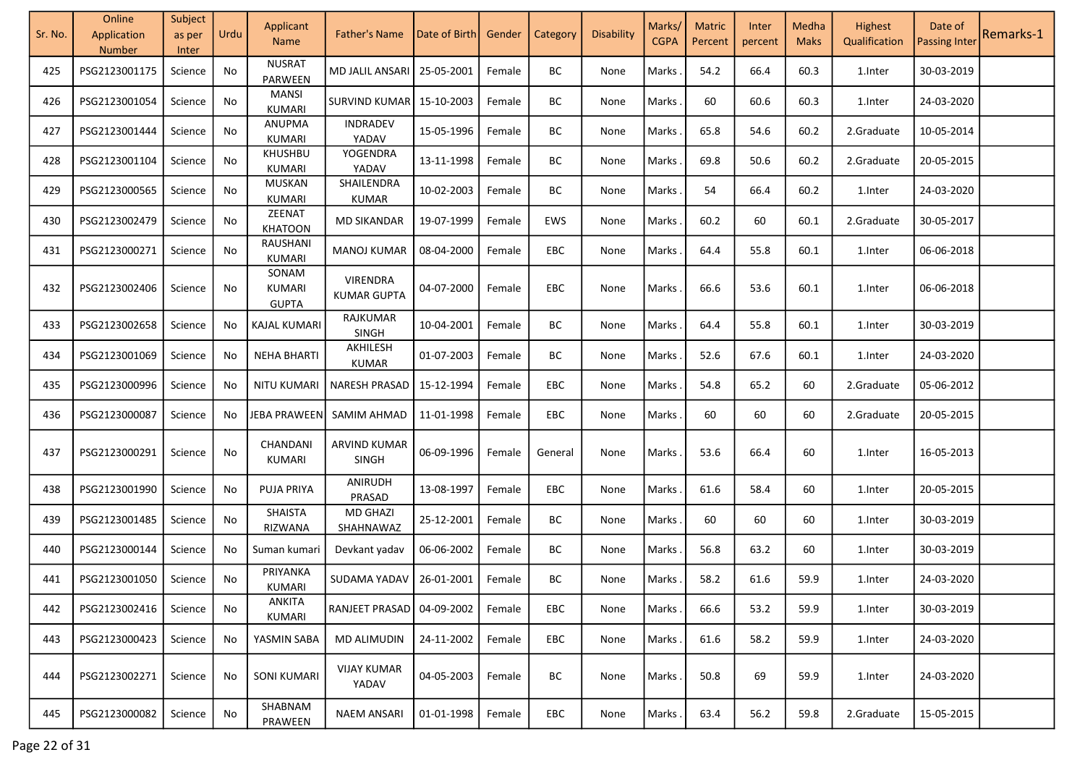| Sr. No. | Online<br>Application<br>Number | Subject<br>as per<br>Inter | Urdu | Applicant<br><b>Name</b>        | <b>Father's Name</b>                  | Date of Birth | Gender | Category | Disability | Marks/<br><b>CGPA</b> | <b>Matric</b><br>Percent | Inter<br>percent | Medha<br><b>Maks</b> | Highest<br>Qualification | Date of<br><b>Passing Inter</b> | Remarks-1 |
|---------|---------------------------------|----------------------------|------|---------------------------------|---------------------------------------|---------------|--------|----------|------------|-----------------------|--------------------------|------------------|----------------------|--------------------------|---------------------------------|-----------|
| 425     | PSG2123001175                   | Science                    | No   | <b>NUSRAT</b><br><b>PARWEEN</b> | MD JALIL ANSARI                       | 25-05-2001    | Female | BC       | None       | Marks                 | 54.2                     | 66.4             | 60.3                 | 1.Inter                  | 30-03-2019                      |           |
| 426     | PSG2123001054                   | Science                    | No   | <b>MANSI</b><br><b>KUMARI</b>   | <b>SURVIND KUMAR</b>                  | 15-10-2003    | Female | BC       | None       | Marks                 | 60                       | 60.6             | 60.3                 | 1.Inter                  | 24-03-2020                      |           |
| 427     | PSG2123001444                   | Science                    | No   | <b>ANUPMA</b><br><b>KUMARI</b>  | INDRADEV<br>YADAV                     | 15-05-1996    | Female | BC       | None       | Marks                 | 65.8                     | 54.6             | 60.2                 | 2.Graduate               | 10-05-2014                      |           |
| 428     | PSG2123001104                   | Science                    | No   | KHUSHBU<br>KUMARI               | YOGENDRA<br>YADAV                     | 13-11-1998    | Female | BC       | None       | Marks                 | 69.8                     | 50.6             | 60.2                 | 2.Graduate               | 20-05-2015                      |           |
| 429     | PSG2123000565                   | Science                    | No   | <b>MUSKAN</b><br><b>KUMARI</b>  | SHAILENDRA<br>KUMAR                   | 10-02-2003    | Female | BC       | None       | Marks                 | 54                       | 66.4             | 60.2                 | 1.Inter                  | 24-03-2020                      |           |
| 430     | PSG2123002479                   | Science                    | No   | ZEENAT<br><b>KHATOON</b>        | <b>MD SIKANDAR</b>                    | 19-07-1999    | Female | EWS      | None       | Marks                 | 60.2                     | 60               | 60.1                 | 2.Graduate               | 30-05-2017                      |           |
| 431     | PSG2123000271                   | Science                    | No   | RAUSHANI<br><b>KUMARI</b>       | <b>MANOJ KUMAR</b>                    | 08-04-2000    | Female | EBC      | None       | Marks                 | 64.4                     | 55.8             | 60.1                 | 1.Inter                  | 06-06-2018                      |           |
| 432     | PSG2123002406                   | Science                    | No   | SONAM<br>KUMARI<br><b>GUPTA</b> | <b>VIRENDRA</b><br><b>KUMAR GUPTA</b> | 04-07-2000    | Female | EBC      | None       | Marks                 | 66.6                     | 53.6             | 60.1                 | 1.Inter                  | 06-06-2018                      |           |
| 433     | PSG2123002658                   | Science                    | No   | KAJAL KUMARI                    | RAJKUMAR<br>SINGH                     | 10-04-2001    | Female | BC       | None       | Marks                 | 64.4                     | 55.8             | 60.1                 | 1.Inter                  | 30-03-2019                      |           |
| 434     | PSG2123001069                   | Science                    | No   | <b>NEHA BHARTI</b>              | AKHILESH<br><b>KUMAR</b>              | 01-07-2003    | Female | BC       | None       | Marks                 | 52.6                     | 67.6             | 60.1                 | 1.Inter                  | 24-03-2020                      |           |
| 435     | PSG2123000996                   | Science                    | No   | <b>NITU KUMARI</b>              | NARESH PRASAD                         | 15-12-1994    | Female | EBC      | None       | Marks.                | 54.8                     | 65.2             | 60                   | 2.Graduate               | 05-06-2012                      |           |
| 436     | PSG2123000087                   | Science                    | No   | JEBA PRAWEEN                    | SAMIM AHMAD                           | 11-01-1998    | Female | EBC      | None       | Marks                 | 60                       | 60               | 60                   | 2.Graduate               | 20-05-2015                      |           |
| 437     | PSG2123000291                   | Science                    | No   | CHANDANI<br>KUMARI              | ARVIND KUMAR<br><b>SINGH</b>          | 06-09-1996    | Female | General  | None       | Marks                 | 53.6                     | 66.4             | 60                   | 1.Inter                  | 16-05-2013                      |           |
| 438     | PSG2123001990                   | Science                    | No   | PUJA PRIYA                      | ANIRUDH<br>PRASAD                     | 13-08-1997    | Female | EBC      | None       | Marks                 | 61.6                     | 58.4             | 60                   | 1.Inter                  | 20-05-2015                      |           |
| 439     | PSG2123001485                   | Science                    | No   | SHAISTA<br>RIZWANA              | <b>MD GHAZI</b><br>SHAHNAWAZ          | 25-12-2001    | Female | BC       | None       | Marks                 | 60                       | 60               | 60                   | 1.Inter                  | 30-03-2019                      |           |
| 440     | PSG2123000144                   | Science                    | No   | Suman kumari                    | Devkant yadav                         | 06-06-2002    | Female | BC       | None       | Marks                 | 56.8                     | 63.2             | 60                   | 1.Inter                  | 30-03-2019                      |           |
| 441     | PSG2123001050                   | Science                    | No   | PRIYANKA<br>KUMARI              | SUDAMA YADAV                          | 26-01-2001    | Female | BC       | None       | Marks                 | 58.2                     | 61.6             | 59.9                 | 1.Inter                  | 24-03-2020                      |           |
| 442     | PSG2123002416                   | Science                    | No.  | <b>ANKITA</b><br><b>KUMARI</b>  | RANJEET PRASAD                        | 04-09-2002    | Female | EBC      | None       | Marks                 | 66.6                     | 53.2             | 59.9                 | 1.Inter                  | 30-03-2019                      |           |
| 443     | PSG2123000423                   | Science                    | No   | YASMIN SABA                     | <b>MD ALIMUDIN</b>                    | 24-11-2002    | Female | EBC      | None       | Marks                 | 61.6                     | 58.2             | 59.9                 | 1.Inter                  | 24-03-2020                      |           |
| 444     | PSG2123002271                   | Science                    | No   | <b>SONI KUMARI</b>              | <b>VIJAY KUMAR</b><br>YADAV           | 04-05-2003    | Female | BC       | None       | Marks                 | 50.8                     | 69               | 59.9                 | 1.Inter                  | 24-03-2020                      |           |
| 445     | PSG2123000082                   | Science                    | No   | SHABNAM<br>PRAWEEN              | <b>NAEM ANSARI</b>                    | 01-01-1998    | Female | EBC      | None       | Marks                 | 63.4                     | 56.2             | 59.8                 | 2.Graduate               | 15-05-2015                      |           |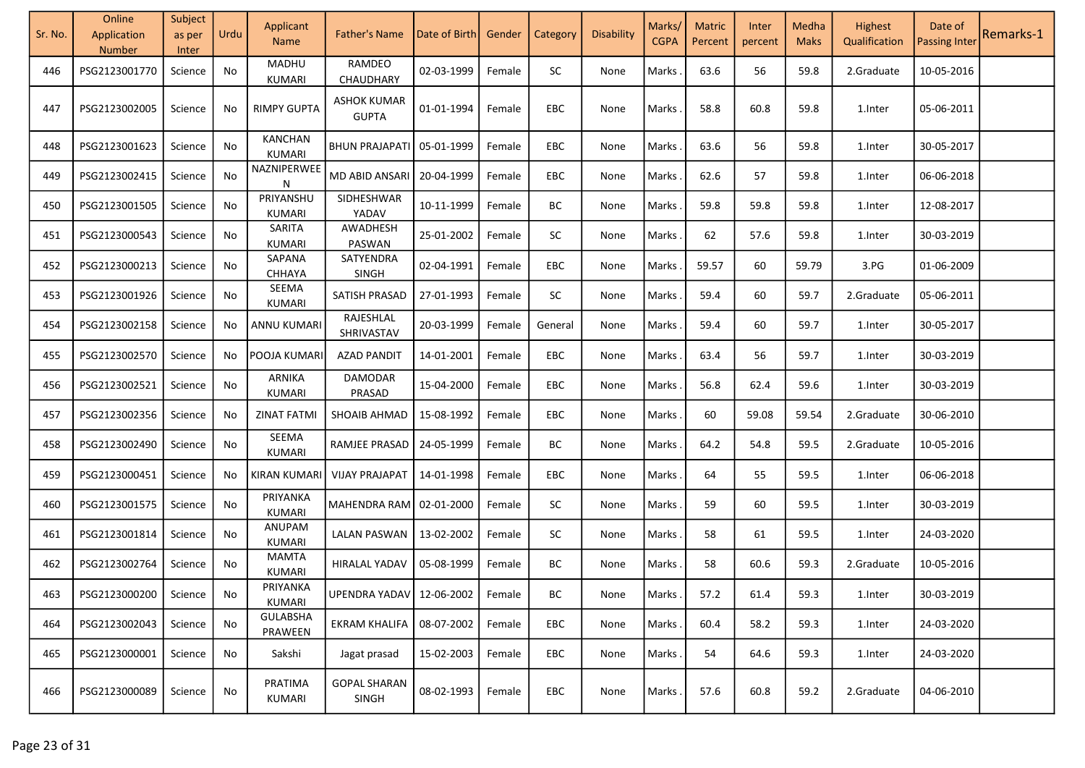| Sr. No. | Online<br>Application<br>Number | Subject<br>as per<br>Inter | Urdu | Applicant<br><b>Name</b>   | <b>Father's Name</b>                | Date of Birth | Gender | Category | Disability | Marks/<br><b>CGPA</b> | <b>Matric</b><br>Percent | Inter<br>percent | Medha<br><b>Maks</b> | Highest<br>Qualification | Date of<br><b>Passing Inter</b> | Remarks-1 |
|---------|---------------------------------|----------------------------|------|----------------------------|-------------------------------------|---------------|--------|----------|------------|-----------------------|--------------------------|------------------|----------------------|--------------------------|---------------------------------|-----------|
| 446     | PSG2123001770                   | Science                    | No   | <b>MADHU</b><br>KUMARI     | RAMDEO<br>CHAUDHARY                 | 02-03-1999    | Female | SC       | None       | Marks                 | 63.6                     | 56               | 59.8                 | 2.Graduate               | 10-05-2016                      |           |
| 447     | PSG2123002005                   | Science                    | No   | <b>RIMPY GUPTA</b>         | <b>ASHOK KUMAR</b><br><b>GUPTA</b>  | 01-01-1994    | Female | EBC      | None       | Marks                 | 58.8                     | 60.8             | 59.8                 | 1.Inter                  | 05-06-2011                      |           |
| 448     | PSG2123001623                   | Science                    | No   | KANCHAN<br>KUMARI          | <b>BHUN PRAJAPATI</b>               | 05-01-1999    | Female | EBC      | None       | Marks                 | 63.6                     | 56               | 59.8                 | 1.Inter                  | 30-05-2017                      |           |
| 449     | PSG2123002415                   | Science                    | No   | NAZNIPERWEE<br>N           | MD ABID ANSARI                      | 20-04-1999    | Female | EBC      | None       | Marks                 | 62.6                     | 57               | 59.8                 | 1.Inter                  | 06-06-2018                      |           |
| 450     | PSG2123001505                   | Science                    | No   | PRIYANSHU<br><b>KUMARI</b> | SIDHESHWAR<br>YADAV                 | 10-11-1999    | Female | BC       | None       | Marks                 | 59.8                     | 59.8             | 59.8                 | 1.Inter                  | 12-08-2017                      |           |
| 451     | PSG2123000543                   | Science                    | No   | SARITA<br>KUMARI           | AWADHESH<br>PASWAN                  | 25-01-2002    | Female | SC       | None       | Marks                 | 62                       | 57.6             | 59.8                 | 1.Inter                  | 30-03-2019                      |           |
| 452     | PSG2123000213                   | Science                    | No   | SAPANA<br>CHHAYA           | SATYENDRA<br><b>SINGH</b>           | 02-04-1991    | Female | EBC      | None       | Marks                 | 59.57                    | 60               | 59.79                | 3.PG                     | 01-06-2009                      |           |
| 453     | PSG2123001926                   | Science                    | No   | SEEMA<br>KUMARI            | SATISH PRASAD                       | 27-01-1993    | Female | SC       | None       | Marks                 | 59.4                     | 60               | 59.7                 | 2.Graduate               | 05-06-2011                      |           |
| 454     | PSG2123002158                   | Science                    | No   | ANNU KUMARI                | RAJESHLAL<br>SHRIVASTAV             | 20-03-1999    | Female | General  | None       | Marks                 | 59.4                     | 60               | 59.7                 | 1.Inter                  | 30-05-2017                      |           |
| 455     | PSG2123002570                   | Science                    | No   | POOJA KUMARI               | <b>AZAD PANDIT</b>                  | 14-01-2001    | Female | EBC      | None       | Marks                 | 63.4                     | 56               | 59.7                 | 1.Inter                  | 30-03-2019                      |           |
| 456     | PSG2123002521                   | Science                    | No   | ARNIKA<br>KUMARI           | DAMODAR<br>PRASAD                   | 15-04-2000    | Female | EBC      | None       | Marks.                | 56.8                     | 62.4             | 59.6                 | 1.Inter                  | 30-03-2019                      |           |
| 457     | PSG2123002356                   | Science                    | No   | <b>ZINAT FATMI</b>         | SHOAIB AHMAD                        | 15-08-1992    | Female | EBC      | None       | Marks.                | 60                       | 59.08            | 59.54                | 2.Graduate               | 30-06-2010                      |           |
| 458     | PSG2123002490                   | Science                    | No   | SEEMA<br>KUMARI            | RAMJEE PRASAD                       | 24-05-1999    | Female | ВC       | None       | Marks.                | 64.2                     | 54.8             | 59.5                 | 2.Graduate               | 10-05-2016                      |           |
| 459     | PSG2123000451                   | Science                    | No   | KIRAN KUMARI               | <b>VIJAY PRAJAPAT</b>               | 14-01-1998    | Female | EBC      | None       | Marks                 | 64                       | 55               | 59.5                 | 1.Inter                  | 06-06-2018                      |           |
| 460     | PSG2123001575                   | Science                    | No   | PRIYANKA<br><b>KUMARI</b>  | MAHENDRA RAM                        | 02-01-2000    | Female | SC       | None       | Marks                 | 59                       | 60               | 59.5                 | 1.Inter                  | 30-03-2019                      |           |
| 461     | PSG2123001814                   | Science                    | No   | ANUPAM<br>KUMARI           | <b>LALAN PASWAN</b>                 | 13-02-2002    | Female | SC       | None       | Marks                 | 58                       | 61               | 59.5                 | 1.Inter                  | 24-03-2020                      |           |
| 462     | PSG2123002764                   | Science                    | No   | <b>MAMTA</b><br>KUMARI     | HIRALAL YADAV                       | 05-08-1999    | Female | ВC       | None       | Marks                 | 58                       | 60.6             | 59.3                 | 2.Graduate               | 10-05-2016                      |           |
| 463     | PSG2123000200                   | Science                    | No   | PRIYANKA<br>KUMARI         | UPENDRA YADAV 12-06-2002   Female   |               |        | ВC       | None       | Marks.                | 57.2                     | 61.4             | 59.3                 | 1. Inter                 | 30-03-2019                      |           |
| 464     | PSG2123002043                   | Science                    | No   | <b>GULABSHA</b><br>PRAWEEN | EKRAM KHALIFA I                     | 08-07-2002    | Female | EBC      | None       | Marks.                | 60.4                     | 58.2             | 59.3                 | 1.Inter                  | 24-03-2020                      |           |
| 465     | PSG2123000001                   | Science                    | No   | Sakshi                     | Jagat prasad                        | 15-02-2003    | Female | EBC      | None       | Marks.                | 54                       | 64.6             | 59.3                 | 1.Inter                  | 24-03-2020                      |           |
| 466     | PSG2123000089                   | Science                    | No   | PRATIMA<br>KUMARI          | <b>GOPAL SHARAN</b><br><b>SINGH</b> | 08-02-1993    | Female | EBC      | None       | Marks .               | 57.6                     | 60.8             | 59.2                 | 2.Graduate               | 04-06-2010                      |           |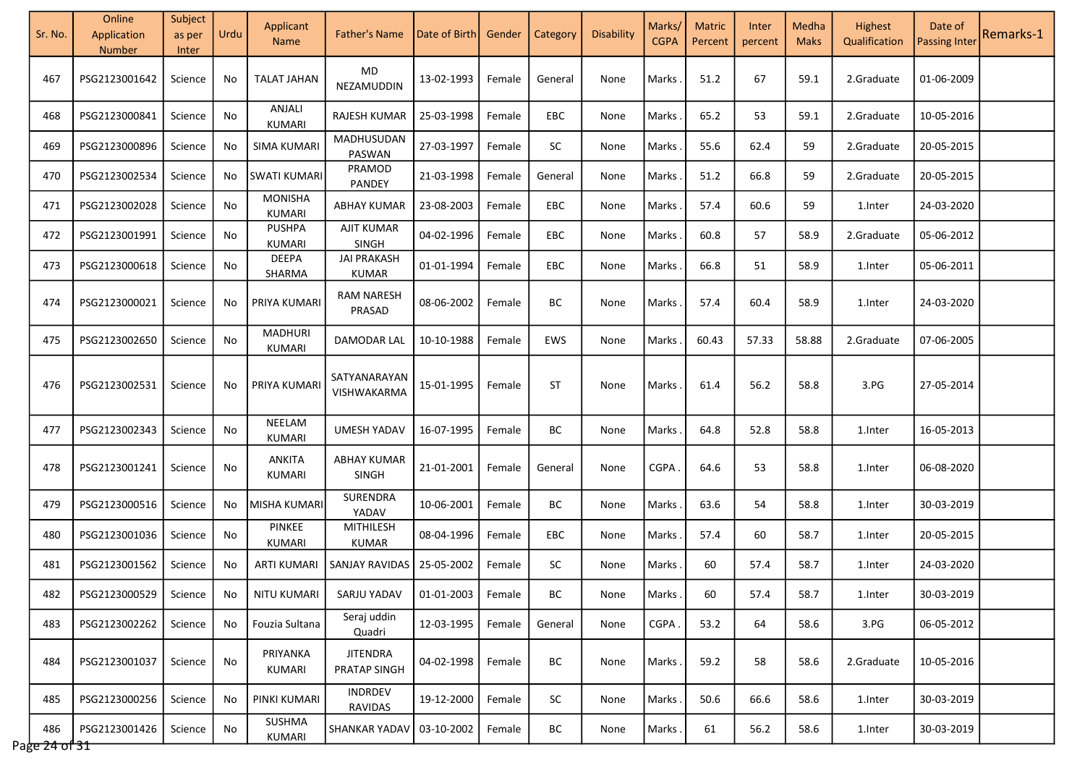| Sr. No.                  | Online<br>Application<br>Number | Subject<br>as per<br>Inter | Urdu | Applicant<br><b>Name</b>       | <b>Father's Name</b>               | Date of Birth       | Gender | Category   | Disability | Marks/<br><b>CGPA</b> | <b>Matric</b><br>Percent | Inter<br>percent | Medha<br><b>Maks</b> | Highest<br>Qualification | Date of<br><b>Passing Inter</b> | Remarks-1 |
|--------------------------|---------------------------------|----------------------------|------|--------------------------------|------------------------------------|---------------------|--------|------------|------------|-----------------------|--------------------------|------------------|----------------------|--------------------------|---------------------------------|-----------|
| 467                      | PSG2123001642                   | Science                    | No   | <b>TALAT JAHAN</b>             | $\mathsf{MD}$<br>NEZAMUDDIN        | 13-02-1993          | Female | General    | None       | Marks                 | 51.2                     | 67               | 59.1                 | 2.Graduate               | 01-06-2009                      |           |
| 468                      | PSG2123000841                   | Science                    | No   | ANJALI<br>KUMARI               | RAJESH KUMAR                       | 25-03-1998          | Female | <b>EBC</b> | None       | Marks                 | 65.2                     | 53               | 59.1                 | 2.Graduate               | 10-05-2016                      |           |
| 469                      | PSG2123000896                   | Science                    | No   | <b>SIMA KUMARI</b>             | MADHUSUDAN<br>PASWAN               | 27-03-1997          | Female | <b>SC</b>  | None       | Marks                 | 55.6                     | 62.4             | 59                   | 2.Graduate               | 20-05-2015                      |           |
| 470                      | PSG2123002534                   | Science                    | No   | <b>SWATI KUMARI</b>            | PRAMOD<br>PANDEY                   | 21-03-1998          | Female | General    | None       | Marks                 | 51.2                     | 66.8             | 59                   | 2.Graduate               | 20-05-2015                      |           |
| 471                      | PSG2123002028                   | Science                    | No   | <b>MONISHA</b><br>KUMARI       | <b>ABHAY KUMAR</b>                 | 23-08-2003          | Female | <b>EBC</b> | None       | Marks                 | 57.4                     | 60.6             | 59                   | 1.Inter                  | 24-03-2020                      |           |
| 472                      | PSG2123001991                   | Science                    | No   | <b>PUSHPA</b><br>KUMARI        | AJIT KUMAR<br>SINGH                | 04-02-1996          | Female | <b>EBC</b> | None       | Marks                 | 60.8                     | 57               | 58.9                 | 2.Graduate               | 05-06-2012                      |           |
| 473                      | PSG2123000618                   | Science                    | No   | <b>DEEPA</b><br>SHARMA         | <b>JAI PRAKASH</b><br><b>KUMAR</b> | 01-01-1994          | Female | EBC        | None       | Marks                 | 66.8                     | 51               | 58.9                 | 1.Inter                  | 05-06-2011                      |           |
| 474                      | PSG2123000021                   | Science                    | No   | PRIYA KUMARI                   | <b>RAM NARESH</b><br>PRASAD        | 08-06-2002          | Female | ВC         | None       | Marks                 | 57.4                     | 60.4             | 58.9                 | 1.Inter                  | 24-03-2020                      |           |
| 475                      | PSG2123002650                   | Science                    | No   | <b>MADHURI</b><br>KUMARI       | DAMODAR LAL                        | 10-10-1988          | Female | EWS        | None       | Marks                 | 60.43                    | 57.33            | 58.88                | 2.Graduate               | 07-06-2005                      |           |
| 476                      | PSG2123002531                   | Science                    | No   | PRIYA KUMARI                   | SATYANARAYAN<br>VISHWAKARMA        | 15-01-1995          | Female | <b>ST</b>  | None       | Marks                 | 61.4                     | 56.2             | 58.8                 | 3.PG                     | 27-05-2014                      |           |
| 477                      | PSG2123002343                   | Science                    | No   | NEELAM<br>KUMARI               | <b>UMESH YADAV</b>                 | 16-07-1995          | Female | ВC         | None       | Marks                 | 64.8                     | 52.8             | 58.8                 | 1.Inter                  | 16-05-2013                      |           |
| 478                      | PSG2123001241                   | Science                    | No   | ANKITA<br>KUMARI               | <b>ABHAY KUMAR</b><br><b>SINGH</b> | 21-01-2001          | Female | General    | None       | <b>CGPA</b>           | 64.6                     | 53               | 58.8                 | 1.Inter                  | 06-08-2020                      |           |
| 479                      | PSG2123000516                   | Science                    | No   | MISHA KUMARI                   | SURENDRA<br>YADAV                  | 10-06-2001          | Female | ВC         | None       | Marks                 | 63.6                     | 54               | 58.8                 | 1.Inter                  | 30-03-2019                      |           |
| 480                      | PSG2123001036                   | Science                    | No   | <b>PINKEE</b><br><b>KUMARI</b> | MITHILESH<br><b>KUMAR</b>          | 08-04-1996          | Female | EBC        | None       | Marks                 | 57.4                     | 60               | 58.7                 | 1.Inter                  | 20-05-2015                      |           |
| 481                      | PSG2123001562                   | Science                    | No   | <b>ARTI KUMARI</b>             | SANJAY RAVIDAS                     | 25-05-2002          | Female | SC         | None       | Marks                 | 60                       | 57.4             | 58.7                 | 1.Inter                  | 24-03-2020                      |           |
| 482                      | PSG2123000529                   | Science                    | No.  | NITU KUMARI                    | SARJU YADAV                        | 01-01-2003   Female |        | BС         | None       | Marks                 | 60                       | 57.4             | 58.7                 | 1.Inter                  | 30-03-2019                      |           |
| 483                      | PSG2123002262                   | Science                    | No.  | Fouzia Sultana                 | Seraj uddin<br>Quadri              | 12-03-1995          | Female | General    | None       | CGPA.                 | 53.2                     | 64               | 58.6                 | 3.PG                     | 06-05-2012                      |           |
| 484                      | PSG2123001037                   | Science                    | No   | PRIYANKA<br>KUMARI             | <b>JITENDRA</b><br>PRATAP SINGH    | 04-02-1998          | Female | BC         | None       | Marks                 | 59.2                     | 58               | 58.6                 | 2.Graduate               | 10-05-2016                      |           |
| 485                      | PSG2123000256                   | Science                    | No   | PINKI KUMARI                   | <b>INDRDEV</b><br><b>RAVIDAS</b>   | 19-12-2000          | Female | <b>SC</b>  | None       | Marks.                | 50.6                     | 66.6             | 58.6                 | 1.Inter                  | 30-03-2019                      |           |
| 486<br>Page $24$ of $31$ | PSG2123001426                   | Science                    | No   | SUSHMA<br><b>KUMARI</b>        | SHANKAR YADAV                      | 03-10-2002          | Female | BC         | None       | Marks.                | 61                       | 56.2             | 58.6                 | 1. Inter                 | 30-03-2019                      |           |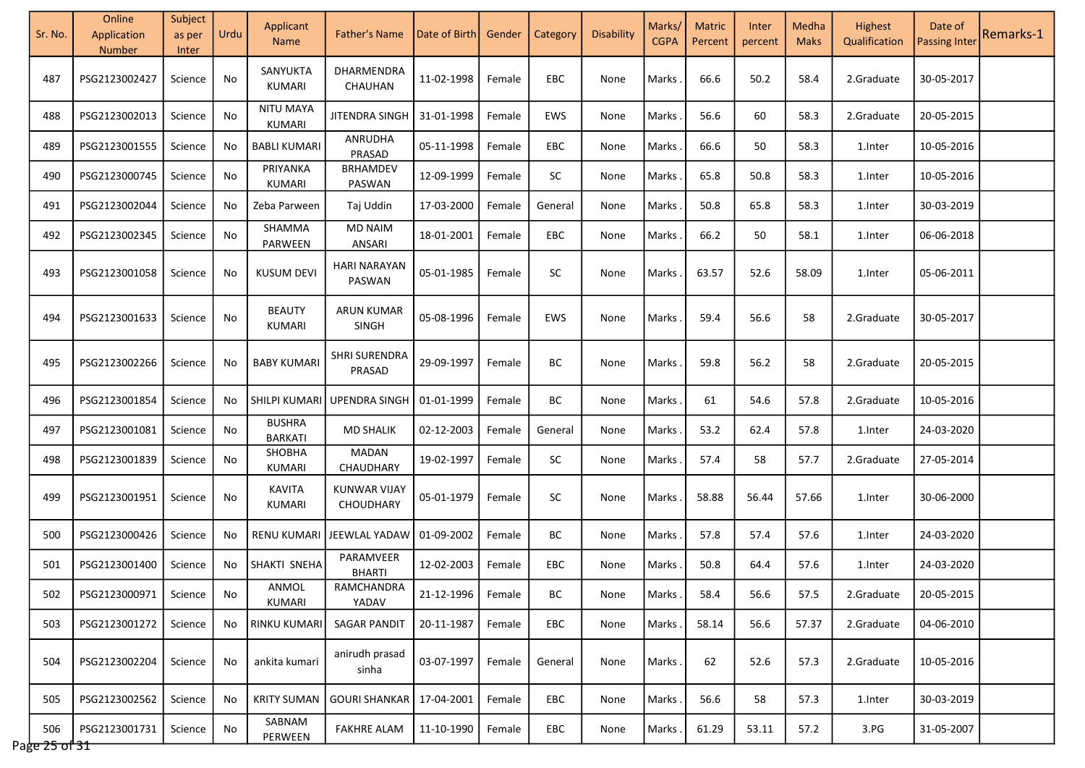| Sr. No.              | Online<br>Application<br>Number | Subject<br>as per<br>Inter | Urdu | Applicant<br><b>Name</b>        | <b>Father's Name</b>              | Date of Birth       | Gender | Category   | Disability | Marks/<br><b>CGPA</b> | <b>Matric</b><br>Percent | Inter<br>percent | Medha<br><b>Maks</b> | Highest<br>Qualification | Date of<br><b>Passing Inter</b> | Remarks-1 |
|----------------------|---------------------------------|----------------------------|------|---------------------------------|-----------------------------------|---------------------|--------|------------|------------|-----------------------|--------------------------|------------------|----------------------|--------------------------|---------------------------------|-----------|
| 487                  | PSG2123002427                   | Science                    | No   | SANYUKTA<br>KUMARI              | DHARMENDRA<br>CHAUHAN             | 11-02-1998          | Female | EBC        | None       | Marks                 | 66.6                     | 50.2             | 58.4                 | 2.Graduate               | 30-05-2017                      |           |
| 488                  | PSG2123002013                   | Science                    | No   | NITU MAYA<br>KUMARI             | JITENDRA SINGH                    | 31-01-1998          | Female | <b>EWS</b> | None       | Marks                 | 56.6                     | 60               | 58.3                 | 2.Graduate               | 20-05-2015                      |           |
| 489                  | PSG2123001555                   | Science                    | No   | <b>BABLI KUMARI</b>             | ANRUDHA<br>PRASAD                 | 05-11-1998          | Female | EBC        | None       | Marks                 | 66.6                     | 50               | 58.3                 | 1.Inter                  | 10-05-2016                      |           |
| 490                  | PSG2123000745                   | Science                    | No   | PRIYANKA<br>KUMARI              | BRHAMDEV<br>PASWAN                | 12-09-1999          | Female | SC         | None       | Marks                 | 65.8                     | 50.8             | 58.3                 | 1.Inter                  | 10-05-2016                      |           |
| 491                  | PSG2123002044                   | Science                    | No   | Zeba Parween                    | Taj Uddin                         | 17-03-2000          | Female | General    | None       | Marks                 | 50.8                     | 65.8             | 58.3                 | 1.Inter                  | 30-03-2019                      |           |
| 492                  | PSG2123002345                   | Science                    | No   | SHAMMA<br>PARWEEN               | <b>MD NAIM</b><br>ANSARI          | 18-01-2001          | Female | <b>EBC</b> | None       | Marks                 | 66.2                     | 50               | 58.1                 | 1.Inter                  | 06-06-2018                      |           |
| 493                  | PSG2123001058                   | Science                    | No   | <b>KUSUM DEVI</b>               | <b>HARI NARAYAN</b><br>PASWAN     | 05-01-1985          | Female | <b>SC</b>  | None       | Marks                 | 63.57                    | 52.6             | 58.09                | 1. Inter                 | 05-06-2011                      |           |
| 494                  | PSG2123001633                   | Science                    | No   | <b>BEAUTY</b><br>KUMARI         | <b>ARUN KUMAR</b><br><b>SINGH</b> | 05-08-1996          | Female | EWS        | None       | Marks                 | 59.4                     | 56.6             | 58                   | 2.Graduate               | 30-05-2017                      |           |
| 495                  | PSG2123002266                   | Science                    | No   | <b>BABY KUMARI</b>              | <b>SHRI SURENDRA</b><br>PRASAD    | 29-09-1997          | Female | BС         | None       | Marks                 | 59.8                     | 56.2             | 58                   | 2.Graduate               | 20-05-2015                      |           |
| 496                  | PSG2123001854                   | Science                    | No   | SHILPI KUMARI                   | <b>UPENDRA SINGH</b>              | 01-01-1999          | Female | ВC         | None       | Marks                 | 61                       | 54.6             | 57.8                 | 2.Graduate               | 10-05-2016                      |           |
| 497                  | PSG2123001081                   | Science                    | No   | <b>BUSHRA</b><br><b>BARKATI</b> | <b>MD SHALIK</b>                  | 02-12-2003          | Female | General    | None       | Marks                 | 53.2                     | 62.4             | 57.8                 | 1.Inter                  | 24-03-2020                      |           |
| 498                  | PSG2123001839                   | Science                    | No   | SHOBHA<br>KUMARI                | MADAN<br>CHAUDHARY                | 19-02-1997          | Female | <b>SC</b>  | None       | Marks                 | 57.4                     | 58               | 57.7                 | 2.Graduate               | 27-05-2014                      |           |
| 499                  | PSG2123001951                   | Science                    | No   | <b>KAVITA</b><br>KUMARI         | <b>KUNWAR VIJAY</b><br>CHOUDHARY  | 05-01-1979          | Female | <b>SC</b>  | None       | Marks                 | 58.88                    | 56.44            | 57.66                | 1.Inter                  | 30-06-2000                      |           |
| 500                  | PSG2123000426                   | Science                    | No   | <b>RENU KUMARI</b>              | JEEWLAL YADAW                     | 01-09-2002          | Female | BC         | None       | Marks                 | 57.8                     | 57.4             | 57.6                 | 1.Inter                  | 24-03-2020                      |           |
| 501                  | PSG2123001400                   | Science                    | No   | SHAKTI SNEHA                    | PARAMVEER<br><b>BHARTI</b>        | 12-02-2003          | Female | EBC        | None       | Marks                 | 50.8                     | 64.4             | 57.6                 | 1.Inter                  | 24-03-2020                      |           |
| 502                  | PSG2123000971                   | Science                    | No   | ANMOL<br>KUMARI                 | RAMCHANDRA<br>YADAV               | 21-12-1996   Female |        | BС         | None       | Marks                 | 58.4                     | 56.6             | 57.5                 | 2.Graduate               | 20-05-2015                      |           |
| 503                  | PSG2123001272                   | Science                    | No.  | <b>RINKU KUMARI</b>             | <b>SAGAR PANDIT</b>               | 20-11-1987          | Female | EBC        | None       | Marks.                | 58.14                    | 56.6             | 57.37                | 2.Graduate               | 04-06-2010                      |           |
| 504                  | PSG2123002204                   | Science                    | No   | ankita kumari                   | anirudh prasad<br>sinha           | 03-07-1997          | Female | General    | None       | Marks                 | 62                       | 52.6             | 57.3                 | 2.Graduate               | 10-05-2016                      |           |
| 505                  | PSG2123002562                   | Science                    | No   | <b>KRITY SUMAN</b>              | <b>GOURI SHANKAR</b>              | 17-04-2001          | Female | EBC        | None       | Marks.                | 56.6                     | 58               | 57.3                 | 1.Inter                  | 30-03-2019                      |           |
| 506<br>Page 25 of 31 | PSG2123001731                   | Science                    | No   | SABNAM<br>PERWEEN               | <b>FAKHRE ALAM</b>                | 11-10-1990          | Female | EBC        | None       | Marks.                | 61.29                    | 53.11            | 57.2                 | 3.PG                     | 31-05-2007                      |           |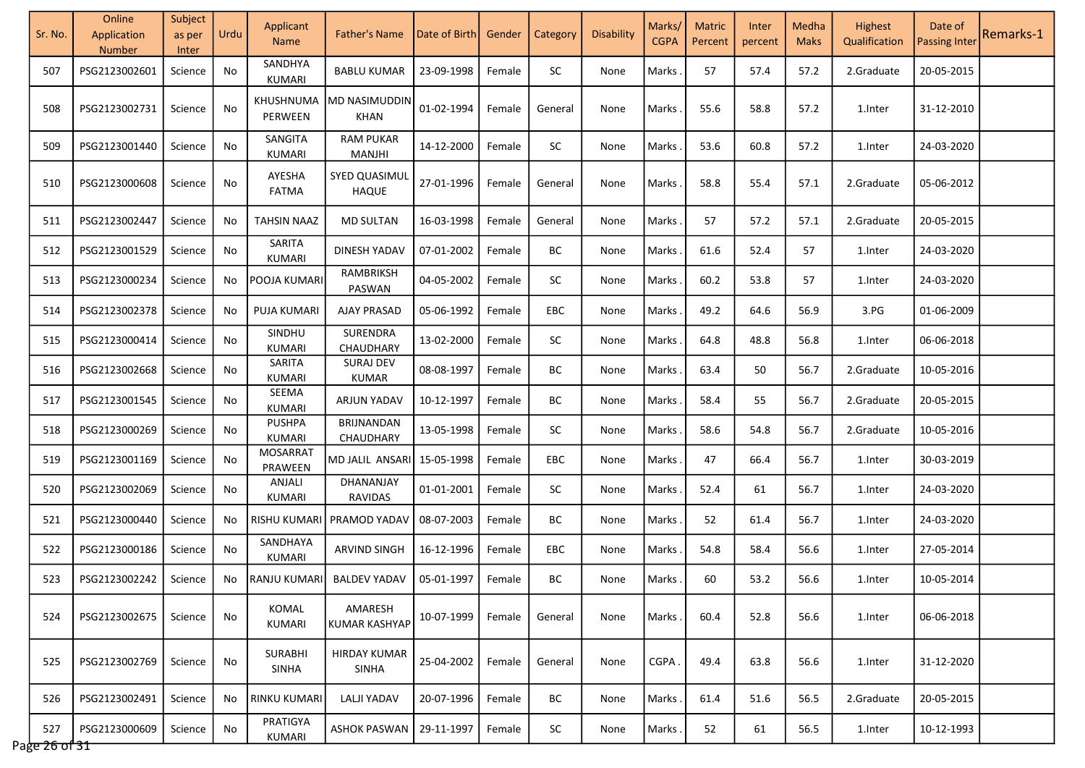| Sr. No.              | Online<br>Application<br><b>Number</b> | Subject<br>as per<br>Inter | Urdu | Applicant<br><b>Name</b>       | <b>Father's Name</b>                | Date of Birth | Gender | Category  | Disability | Marks/<br><b>CGPA</b> | <b>Matric</b><br>Percent | Inter<br>percent | Medha<br><b>Maks</b> | Highest<br>Qualification | Date of<br><b>Passing Inter</b> | Remarks-1 |
|----------------------|----------------------------------------|----------------------------|------|--------------------------------|-------------------------------------|---------------|--------|-----------|------------|-----------------------|--------------------------|------------------|----------------------|--------------------------|---------------------------------|-----------|
| 507                  | PSG2123002601                          | Science                    | No   | SANDHYA<br>KUMARI              | <b>BABLU KUMAR</b>                  | 23-09-1998    | Female | SC.       | None       | <b>Marks</b>          | 57                       | 57.4             | 57.2                 | 2.Graduate               | 20-05-2015                      |           |
| 508                  | PSG2123002731                          | Science                    | No   | KHUSHNUMA<br>PERWEEN           | MD NASIMUDDIN<br>KHAN               | 01-02-1994    | Female | General   | None       | Marks                 | 55.6                     | 58.8             | 57.2                 | 1.Inter                  | 31-12-2010                      |           |
| 509                  | PSG2123001440                          | Science                    | No   | SANGITA<br>KUMARI              | <b>RAM PUKAR</b><br>MANJHI          | 14-12-2000    | Female | <b>SC</b> | None       | Marks                 | 53.6                     | 60.8             | 57.2                 | 1.Inter                  | 24-03-2020                      |           |
| 510                  | PSG2123000608                          | Science                    | No   | AYESHA<br><b>FATMA</b>         | SYED QUASIMUL<br><b>HAQUE</b>       | 27-01-1996    | Female | General   | None       | Marks                 | 58.8                     | 55.4             | 57.1                 | 2.Graduate               | 05-06-2012                      |           |
| 511                  | PSG2123002447                          | Science                    | No.  | TAHSIN NAAZ                    | <b>MD SULTAN</b>                    | 16-03-1998    | Female | General   | None       | <b>Marks</b>          | 57                       | 57.2             | 57.1                 | 2.Graduate               | 20-05-2015                      |           |
| 512                  | PSG2123001529                          | Science                    | No   | SARITA<br>KUMARI               | DINESH YADAV                        | 07-01-2002    | Female | BC        | None       | Marks                 | 61.6                     | 52.4             | 57                   | 1.Inter                  | 24-03-2020                      |           |
| 513                  | PSG2123000234                          | Science                    | No   | POOJA KUMARI                   | RAMBRIKSH<br>PASWAN                 | 04-05-2002    | Female | SC        | None       | Marks                 | 60.2                     | 53.8             | 57                   | 1.Inter                  | 24-03-2020                      |           |
| 514                  | PSG2123002378                          | Science                    | No   | <b>PUJA KUMARI</b>             | <b>AJAY PRASAD</b>                  | 05-06-1992    | Female | EBC       | None       | Marks                 | 49.2                     | 64.6             | 56.9                 | 3.PG                     | 01-06-2009                      |           |
| 515                  | PSG2123000414                          | Science                    | No   | SINDHU<br>KUMARI               | SURENDRA<br>CHAUDHARY               | 13-02-2000    | Female | SC        | None       | Marks                 | 64.8                     | 48.8             | 56.8                 | 1.Inter                  | 06-06-2018                      |           |
| 516                  | PSG2123002668                          | Science                    | No   | SARITA<br>KUMARI               | <b>SURAJ DEV</b><br><b>KUMAR</b>    | 08-08-1997    | Female | BC        | None       | Marks                 | 63.4                     | 50               | 56.7                 | 2.Graduate               | 10-05-2016                      |           |
| 517                  | PSG2123001545                          | Science                    | No   | SEEMA<br>KUMARI                | ARJUN YADAV                         | 10-12-1997    | Female | BС        | None       | Marks                 | 58.4                     | 55               | 56.7                 | 2.Graduate               | 20-05-2015                      |           |
| 518                  | PSG2123000269                          | Science                    | No   | <b>PUSHPA</b><br>KUMARI        | <b>BRIJNANDAN</b><br>CHAUDHARY      | 13-05-1998    | Female | SC        | None       | <b>Marks</b>          | 58.6                     | 54.8             | 56.7                 | 2.Graduate               | 10-05-2016                      |           |
| 519                  | PSG2123001169                          | Science                    | No   | <b>MOSARRAT</b><br>PRAWEEN     | MD JALIL ANSARI                     | 15-05-1998    | Female | EBC       | None       | Marks                 | 47                       | 66.4             | 56.7                 | 1.Inter                  | 30-03-2019                      |           |
| 520                  | PSG2123002069                          | Science                    | No   | ANJALI<br><b>KUMARI</b>        | DHANANJAY<br>RAVIDAS                | 01-01-2001    | Female | <b>SC</b> | None       | <b>Marks</b>          | 52.4                     | 61               | 56.7                 | 1.Inter                  | 24-03-2020                      |           |
| 521                  | PSG2123000440                          | Science                    | No   | <b>RISHU KUMARI</b>            | PRAMOD YADAV                        | 08-07-2003    | Female | BС        | None       | <b>Marks</b>          | 52                       | 61.4             | 56.7                 | 1.Inter                  | 24-03-2020                      |           |
| 522                  | PSG2123000186                          | Science                    | No   | SANDHAYA<br>KUMARI             | <b>ARVIND SINGH</b>                 | 16-12-1996    | Female | EBC       | None       | Marks                 | 54.8                     | 58.4             | 56.6                 | 1.Inter                  | 27-05-2014                      |           |
| 523                  | PSG2123002242                          | Science                    | No.  | RANJU KUMARI                   | <b>BALDEV YADAV</b>                 | 05-01-1997    | Female | BC        | None       | Marks                 | 60                       | 53.2             | 56.6                 | 1.Inter                  | 10-05-2014                      |           |
| 524                  | PSG2123002675                          | Science                    | No   | <b>KOMAL</b><br>KUMARI         | AMARESH<br><b>KUMAR KASHYAP</b>     | 10-07-1999    | Female | General   | None       | <b>Marks</b>          | 60.4                     | 52.8             | 56.6                 | 1.Inter                  | 06-06-2018                      |           |
| 525                  | PSG2123002769                          | Science                    | No   | <b>SURABHI</b><br><b>SINHA</b> | <b>HIRDAY KUMAR</b><br><b>SINHA</b> | 25-04-2002    | Female | General   | None       | CGPA                  | 49.4                     | 63.8             | 56.6                 | 1.Inter                  | 31-12-2020                      |           |
| 526                  | PSG2123002491                          | Science                    | No   | <b>RINKU KUMARI</b>            | <b>LALJI YADAV</b>                  | 20-07-1996    | Female | BC        | None       | <b>Marks</b>          | 61.4                     | 51.6             | 56.5                 | 2.Graduate               | 20-05-2015                      |           |
| 527<br>Page 26 of 31 | PSG2123000609                          | Science                    | No   | PRATIGYA<br>KUMARI             | ASHOK PASWAN                        | 29-11-1997    | Female | SC        | None       | <b>Marks</b>          | 52                       | 61               | 56.5                 | 1.Inter                  | 10-12-1993                      |           |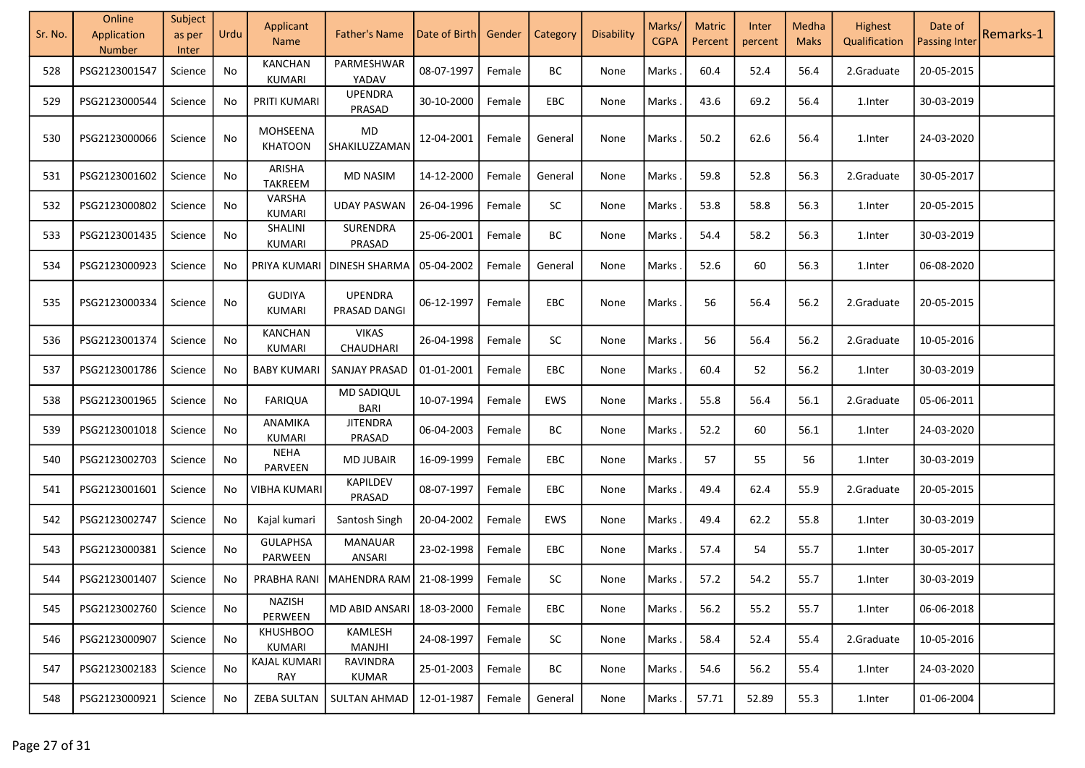| Sr. No. | Online<br>Application<br>Number | Subject<br>as per<br>Inter | Urdu | Applicant<br><b>Name</b>       | <b>Father's Name</b>           | Date of Birth | Gender | Category  | <b>Disability</b> | Marks/<br><b>CGPA</b> | <b>Matric</b><br>Percent | Inter<br>percent | Medha<br><b>Maks</b> | Highest<br>Qualification | Date of<br><b>Passing Inter</b> | Remarks-1 |
|---------|---------------------------------|----------------------------|------|--------------------------------|--------------------------------|---------------|--------|-----------|-------------------|-----------------------|--------------------------|------------------|----------------------|--------------------------|---------------------------------|-----------|
| 528     | PSG2123001547                   | Science                    | No   | KANCHAN<br>KUMARI              | PARMESHWAR<br>YADAV            | 08-07-1997    | Female | ВC        | None              | Marks                 | 60.4                     | 52.4             | 56.4                 | 2.Graduate               | 20-05-2015                      |           |
| 529     | PSG2123000544                   | Science                    | No   | PRITI KUMARI                   | <b>UPENDRA</b><br>PRASAD       | 30-10-2000    | Female | EBC       | None              | Marks                 | 43.6                     | 69.2             | 56.4                 | 1.Inter                  | 30-03-2019                      |           |
| 530     | PSG2123000066                   | Science                    | No   | MOHSEENA<br><b>KHATOON</b>     | MD<br>SHAKILUZZAMAN            | 12-04-2001    | Female | General   | None              | Marks                 | 50.2                     | 62.6             | 56.4                 | 1.Inter                  | 24-03-2020                      |           |
| 531     | PSG2123001602                   | Science                    | No   | ARISHA<br>TAKREEM              | <b>MD NASIM</b>                | 14-12-2000    | Female | General   | None              | Marks                 | 59.8                     | 52.8             | 56.3                 | 2.Graduate               | 30-05-2017                      |           |
| 532     | PSG2123000802                   | Science                    | No   | VARSHA<br><b>KUMARI</b>        | <b>UDAY PASWAN</b>             | 26-04-1996    | Female | SC        | None              | Marks                 | 53.8                     | 58.8             | 56.3                 | 1.Inter                  | 20-05-2015                      |           |
| 533     | PSG2123001435                   | Science                    | No   | SHALINI<br>KUMARI              | SURENDRA<br>PRASAD             | 25-06-2001    | Female | BC        | None              | Marks                 | 54.4                     | 58.2             | 56.3                 | 1.Inter                  | 30-03-2019                      |           |
| 534     | PSG2123000923                   | Science                    | No   | PRIYA KUMARI                   | DINESH SHARMA                  | 05-04-2002    | Female | General   | None              | Marks                 | 52.6                     | 60               | 56.3                 | 1.Inter                  | 06-08-2020                      |           |
| 535     | PSG2123000334                   | Science                    | No   | <b>GUDIYA</b><br><b>KUMARI</b> | <b>UPENDRA</b><br>PRASAD DANGI | 06-12-1997    | Female | EBC       | None              | Marks                 | 56                       | 56.4             | 56.2                 | 2.Graduate               | 20-05-2015                      |           |
| 536     | PSG2123001374                   | Science                    | No   | <b>KANCHAN</b><br>KUMARI       | <b>VIKAS</b><br>CHAUDHARI      | 26-04-1998    | Female | SC        | None              | Marks                 | 56                       | 56.4             | 56.2                 | 2.Graduate               | 10-05-2016                      |           |
| 537     | PSG2123001786                   | Science                    | No.  | <b>BABY KUMARI</b>             | SANJAY PRASAD                  | 01-01-2001    | Female | EBC       | None              | Marks.                | 60.4                     | 52               | 56.2                 | 1.Inter                  | 30-03-2019                      |           |
| 538     | PSG2123001965                   | Science                    | No   | <b>FARIQUA</b>                 | <b>MD SADIQUL</b><br>BARI      | 10-07-1994    | Female | EWS       | None              | Marks                 | 55.8                     | 56.4             | 56.1                 | 2.Graduate               | 05-06-2011                      |           |
| 539     | PSG2123001018                   | Science                    | No   | ANAMIKA<br><b>KUMARI</b>       | <b>JITENDRA</b><br>PRASAD      | 06-04-2003    | Female | BC        | None              | Marks.                | 52.2                     | 60               | 56.1                 | 1.Inter                  | 24-03-2020                      |           |
| 540     | PSG2123002703                   | Science                    | No   | <b>NEHA</b><br>PARVEEN         | <b>MD JUBAIR</b>               | 16-09-1999    | Female | EBC       | None              | Marks                 | 57                       | 55               | 56                   | 1.Inter                  | 30-03-2019                      |           |
| 541     | PSG2123001601                   | Science                    | No   | <b>VIBHA KUMARI</b>            | <b>KAPILDEV</b><br>PRASAD      | 08-07-1997    | Female | EBC       | None              | Marks                 | 49.4                     | 62.4             | 55.9                 | 2.Graduate               | 20-05-2015                      |           |
| 542     | PSG2123002747                   | Science                    | No   | Kajal kumari                   | Santosh Singh                  | 20-04-2002    | Female | EWS       | None              | Marks                 | 49.4                     | 62.2             | 55.8                 | 1.Inter                  | 30-03-2019                      |           |
| 543     | PSG2123000381                   | Science                    | No   | <b>GULAPHSA</b><br>PARWEEN     | <b>MANAUAR</b><br>ANSARI       | 23-02-1998    | Female | EBC       | None              | Marks                 | 57.4                     | 54               | 55.7                 | 1.Inter                  | 30-05-2017                      |           |
| 544     | PSG2123001407                   | Science                    | No   |                                | PRABHA RANI   MAHENDRA RAM     | 21-08-1999    | Female | SC        | None              | Marks                 | 57.2                     | 54.2             | 55.7                 | 1.Inter                  | 30-03-2019                      |           |
| 545     | PSG2123002760                   | Science                    | No   | NAZISH<br>PERWEEN              | MD ABID ANSARI                 | 18-03-2000    | Female | EBC       | None              | Marks.                | 56.2                     | 55.2             | 55.7                 | 1.Inter                  | 06-06-2018                      |           |
| 546     | PSG2123000907                   | Science                    | No   | <b>KHUSHBOO</b><br>KUMARI      | KAMLESH<br>MANJHI              | 24-08-1997    | Female | <b>SC</b> | None              | Marks.                | 58.4                     | 52.4             | 55.4                 | 2.Graduate               | 10-05-2016                      |           |
| 547     | PSG2123002183                   | Science                    | No   | KAJAL KUMARI<br>RAY            | RAVINDRA<br>KUMAR              | 25-01-2003    | Female | BC        | None              | Marks                 | 54.6                     | 56.2             | 55.4                 | 1.Inter                  | 24-03-2020                      |           |
| 548     | PSG2123000921                   | Science                    | No   | <b>ZEBA SULTAN</b>             | SULTAN AHMAD                   | 12-01-1987    | Female | General   | None              | Marks                 | 57.71                    | 52.89            | 55.3                 | 1.Inter                  | 01-06-2004                      |           |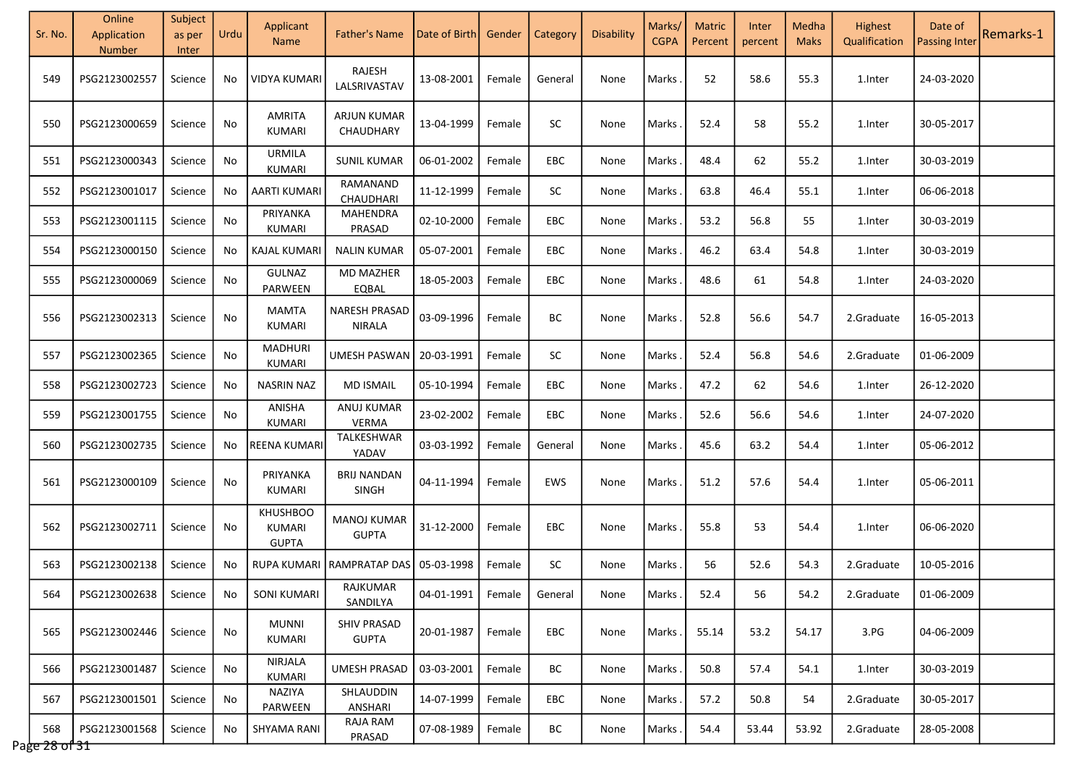| Sr. No.              | Online<br>Application<br>Number | Subject<br>as per<br>Inter | Urdu | Applicant<br><b>Name</b>                  | <b>Father's Name</b>               | Date of Birth       | Gender | Category   | Disability | Marks/<br><b>CGPA</b> | <b>Matric</b><br>Percent | Inter<br>percent | Medha<br><b>Maks</b> | Highest<br>Qualification | Date of<br><b>Passing Inter</b> | Remarks-1 |
|----------------------|---------------------------------|----------------------------|------|-------------------------------------------|------------------------------------|---------------------|--------|------------|------------|-----------------------|--------------------------|------------------|----------------------|--------------------------|---------------------------------|-----------|
| 549                  | PSG2123002557                   | Science                    | No   | VIDYA KUMARI                              | RAJESH<br>LALSRIVASTAV             | 13-08-2001          | Female | General    | None       | Marks                 | 52                       | 58.6             | 55.3                 | 1.Inter                  | 24-03-2020                      |           |
| 550                  | PSG2123000659                   | Science                    | No   | <b>AMRITA</b><br><b>KUMARI</b>            | <b>ARJUN KUMAR</b><br>CHAUDHARY    | 13-04-1999          | Female | <b>SC</b>  | None       | Marks                 | 52.4                     | 58               | 55.2                 | 1.Inter                  | 30-05-2017                      |           |
| 551                  | PSG2123000343                   | Science                    | No   | URMILA<br>KUMARI                          | <b>SUNIL KUMAR</b>                 | 06-01-2002          | Female | EBC        | None       | Marks                 | 48.4                     | 62               | 55.2                 | 1.Inter                  | 30-03-2019                      |           |
| 552                  | PSG2123001017                   | Science                    | No   | AARTI KUMARI                              | RAMANAND<br>CHAUDHARI              | 11-12-1999          | Female | <b>SC</b>  | None       | Marks                 | 63.8                     | 46.4             | 55.1                 | 1.Inter                  | 06-06-2018                      |           |
| 553                  | PSG2123001115                   | Science                    | No   | PRIYANKA<br>KUMARI                        | MAHENDRA<br>PRASAD                 | 02-10-2000          | Female | EBC        | None       | Marks                 | 53.2                     | 56.8             | 55                   | 1.Inter                  | 30-03-2019                      |           |
| 554                  | PSG2123000150                   | Science                    | No.  | <b>KAJAL KUMARI</b>                       | <b>NALIN KUMAR</b>                 | 05-07-2001          | Female | EBC        | None       | Marks                 | 46.2                     | 63.4             | 54.8                 | 1.Inter                  | 30-03-2019                      |           |
| 555                  | PSG2123000069                   | Science                    | No   | <b>GULNAZ</b><br>PARWEEN                  | <b>MD MAZHER</b><br>EQBAL          | 18-05-2003          | Female | <b>EBC</b> | None       | Marks                 | 48.6                     | 61               | 54.8                 | 1.Inter                  | 24-03-2020                      |           |
| 556                  | PSG2123002313                   | Science                    | No   | <b>MAMTA</b><br>KUMARI                    | NARESH PRASAD<br><b>NIRALA</b>     | 03-09-1996          | Female | ВC         | None       | Marks                 | 52.8                     | 56.6             | 54.7                 | 2.Graduate               | 16-05-2013                      |           |
| 557                  | PSG2123002365                   | Science                    | No   | <b>MADHURI</b><br>KUMARI                  | UMESH PASWAN                       | 20-03-1991          | Female | SC         | None       | Marks                 | 52.4                     | 56.8             | 54.6                 | 2.Graduate               | 01-06-2009                      |           |
| 558                  | PSG2123002723                   | Science                    | No   | <b>NASRIN NAZ</b>                         | <b>MD ISMAIL</b>                   | 05-10-1994          | Female | EBC        | None       | Marks                 | 47.2                     | 62               | 54.6                 | 1.Inter                  | 26-12-2020                      |           |
| 559                  | PSG2123001755                   | Science                    | No   | ANISHA<br>KUMARI                          | ANUJ KUMAR<br>VERMA                | 23-02-2002          | Female | EBC        | None       | Marks                 | 52.6                     | 56.6             | 54.6                 | 1.Inter                  | 24-07-2020                      |           |
| 560                  | PSG2123002735                   | Science                    | No   | <b>REENA KUMARI</b>                       | TALKESHWAR<br>YADAV                | 03-03-1992          | Female | General    | None       | Marks                 | 45.6                     | 63.2             | 54.4                 | 1.Inter                  | 05-06-2012                      |           |
| 561                  | PSG2123000109                   | Science                    | No   | PRIYANKA<br>KUMARI                        | <b>BRIJ NANDAN</b><br>SINGH        | 04-11-1994          | Female | EWS        | None       | Marks                 | 51.2                     | 57.6             | 54.4                 | 1.Inter                  | 05-06-2011                      |           |
| 562                  | PSG2123002711                   | Science                    | No   | <b>KHUSHBOO</b><br>KUMARI<br><b>GUPTA</b> | <b>MANOJ KUMAR</b><br><b>GUPTA</b> | 31-12-2000          | Female | EBC        | None       | Marks                 | 55.8                     | 53               | 54.4                 | 1.Inter                  | 06-06-2020                      |           |
| 563                  | PSG2123002138                   | Science                    | No   | <b>RUPA KUMARI</b>                        | <b>RAMPRATAP DAS</b>               | 05-03-1998          | Female | <b>SC</b>  | None       | Marks                 | 56                       | 52.6             | 54.3                 | 2.Graduate               | 10-05-2016                      |           |
| 564                  | PSG2123002638                   | Science                    | No.  | SONI KUMARI                               | RAJKUMAR<br>SANDILYA               | 04-01-1991   Female |        | General    | None       | Marks .               | 52.4                     | 56               | 54.2                 | 2.Graduate               | 01-06-2009                      |           |
| 565                  | PSG2123002446                   | Science                    | No   | <b>MUNNI</b><br>KUMARI                    | <b>SHIV PRASAD</b><br><b>GUPTA</b> | 20-01-1987          | Female | EBC        | None       | Marks.                | 55.14                    | 53.2             | 54.17                | 3.PG                     | 04-06-2009                      |           |
| 566                  | PSG2123001487                   | Science                    | No   | <b>NIRJALA</b><br>KUMARI                  | <b>UMESH PRASAD</b>                | 03-03-2001          | Female | BC         | None       | Marks.                | 50.8                     | 57.4             | 54.1                 | 1.Inter                  | 30-03-2019                      |           |
| 567                  | PSG2123001501                   | Science                    | No   | NAZIYA<br>PARWEEN                         | SHLAUDDIN<br>ANSHARI               | 14-07-1999          | Female | EBC        | None       | Marks.                | 57.2                     | 50.8             | 54                   | 2.Graduate               | 30-05-2017                      |           |
| 568<br>Page 28 of 31 | PSG2123001568                   | Science                    | No   | <b>SHYAMA RANI</b>                        | RAJA RAM<br>PRASAD                 | 07-08-1989          | Female | BC         | None       | Marks.                | 54.4                     | 53.44            | 53.92                | 2.Graduate               | 28-05-2008                      |           |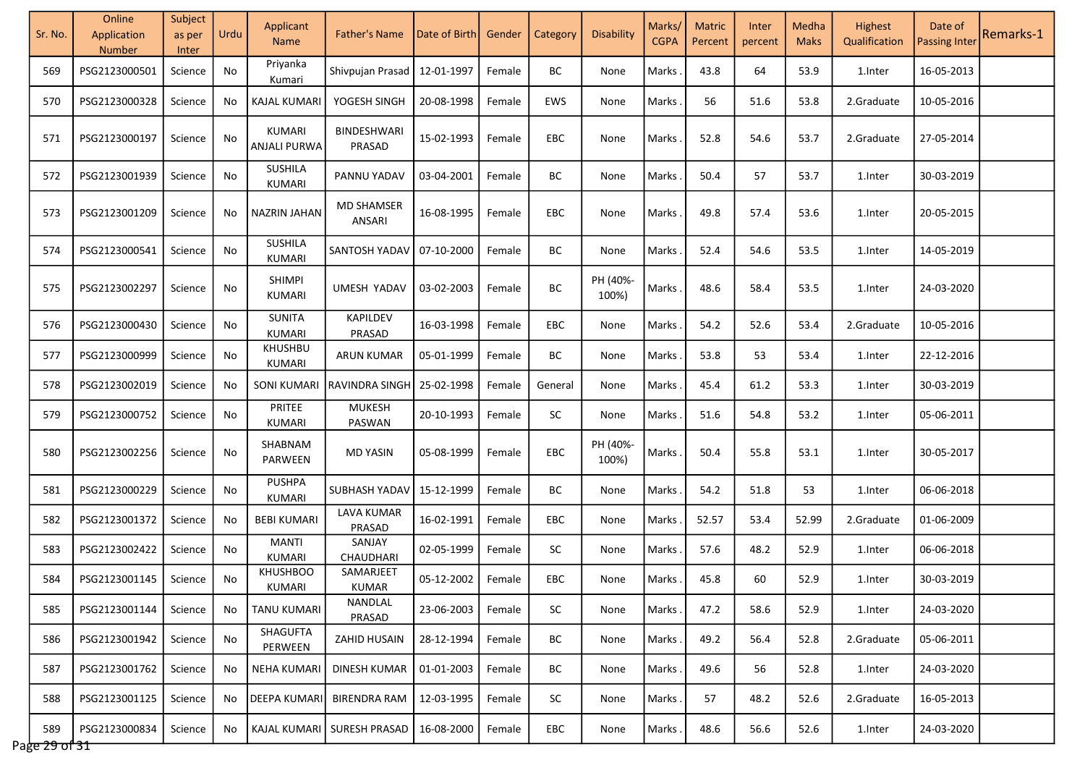| Sr. No.              | Online<br>Application<br><b>Number</b> | Subject<br>as per<br>Inter | Urdu | Applicant<br><b>Name</b>      | <b>Father's Name</b>        | Date of Birth | Gender | Category   | Disability        | Marks/<br><b>CGPA</b> | <b>Matric</b><br>Percent | Inter<br>percent | Medha<br><b>Maks</b> | Highest<br>Qualification | Date of<br><b>Passing Inter</b> | Remarks-1 |
|----------------------|----------------------------------------|----------------------------|------|-------------------------------|-----------------------------|---------------|--------|------------|-------------------|-----------------------|--------------------------|------------------|----------------------|--------------------------|---------------------------------|-----------|
| 569                  | PSG2123000501                          | Science                    | No   | Priyanka<br>Kumari            | Shivpujan Prasad            | 12-01-1997    | Female | BС         | None              | Marks                 | 43.8                     | 64               | 53.9                 | 1.Inter                  | 16-05-2013                      |           |
| 570                  | PSG2123000328                          | Science                    | No.  | <b>KAJAL KUMARI</b>           | YOGESH SINGH                | 20-08-1998    | Female | EWS        | None              | Marks                 | 56                       | 51.6             | 53.8                 | 2.Graduate               | 10-05-2016                      |           |
| 571                  | PSG2123000197                          | Science                    | No   | KUMARI<br>ANJALI PURWA        | BINDESHWARI<br>PRASAD       | 15-02-1993    | Female | <b>EBC</b> | None              | Marks                 | 52.8                     | 54.6             | 53.7                 | 2.Graduate               | 27-05-2014                      |           |
| 572                  | PSG2123001939                          | Science                    | No   | SUSHILA<br>KUMARI             | PANNU YADAV                 | 03-04-2001    | Female | BC         | None              | Marks                 | 50.4                     | 57               | 53.7                 | 1.Inter                  | 30-03-2019                      |           |
| 573                  | PSG2123001209                          | Science                    | No.  | NAZRIN JAHAN                  | <b>MD SHAMSER</b><br>ANSARI | 16-08-1995    | Female | <b>EBC</b> | None              | <b>Marks</b>          | 49.8                     | 57.4             | 53.6                 | 1.Inter                  | 20-05-2015                      |           |
| 574                  | PSG2123000541                          | Science                    | No   | SUSHILA<br>KUMARI             | SANTOSH YADAV               | 07-10-2000    | Female | BC         | None              | Marks                 | 52.4                     | 54.6             | 53.5                 | 1.Inter                  | 14-05-2019                      |           |
| 575                  | PSG2123002297                          | Science                    | No   | <b>SHIMPI</b><br>KUMARI       | <b>UMESH YADAV</b>          | 03-02-2003    | Female | <b>BC</b>  | PH (40%-<br>100%) | Marks.                | 48.6                     | 58.4             | 53.5                 | 1.Inter                  | 24-03-2020                      |           |
| 576                  | PSG2123000430                          | Science                    | No   | <b>SUNITA</b><br>KUMARI       | KAPILDEV<br>PRASAD          | 16-03-1998    | Female | <b>EBC</b> | None              | Marks                 | 54.2                     | 52.6             | 53.4                 | 2.Graduate               | 10-05-2016                      |           |
| 577                  | PSG2123000999                          | Science                    | No   | <b>KHUSHBU</b><br>KUMARI      | <b>ARUN KUMAR</b>           | 05-01-1999    | Female | BС         | None              | Marks                 | 53.8                     | 53               | 53.4                 | 1.Inter                  | 22-12-2016                      |           |
| 578                  | PSG2123002019                          | Science                    | No   | SONI KUMARI                   | <b>RAVINDRA SINGH</b>       | 25-02-1998    | Female | General    | None              | <b>Marks</b>          | 45.4                     | 61.2             | 53.3                 | 1.Inter                  | 30-03-2019                      |           |
| 579                  | PSG2123000752                          | Science                    | No   | PRITEE<br>KUMARI              | <b>MUKESH</b><br>PASWAN     | 20-10-1993    | Female | <b>SC</b>  | None              | Marks                 | 51.6                     | 54.8             | 53.2                 | 1.Inter                  | 05-06-2011                      |           |
| 580                  | PSG2123002256                          | Science                    | No   | SHABNAM<br>PARWEEN            | <b>MD YASIN</b>             | 05-08-1999    | Female | <b>EBC</b> | PH (40%-<br>100%) | Marks                 | 50.4                     | 55.8             | 53.1                 | 1.Inter                  | 30-05-2017                      |           |
| 581                  | PSG2123000229                          | Science                    | No   | <b>PUSHPA</b><br>KUMARI       | SUBHASH YADAV               | 15-12-1999    | Female | BC         | None              | <b>Marks</b>          | 54.2                     | 51.8             | 53                   | 1.Inter                  | 06-06-2018                      |           |
| 582                  | PSG2123001372                          | Science                    | No   | <b>BEBI KUMARI</b>            | <b>LAVA KUMAR</b><br>PRASAD | 16-02-1991    | Female | EBC        | None              | Marks                 | 52.57                    | 53.4             | 52.99                | 2.Graduate               | 01-06-2009                      |           |
| 583                  | PSG2123002422                          | Science                    | No   | <b>MANTI</b><br><b>KUMARI</b> | SANJAY<br>CHAUDHARI         | 02-05-1999    | Female | <b>SC</b>  | None              | Marks                 | 57.6                     | 48.2             | 52.9                 | 1.Inter                  | 06-06-2018                      |           |
| 584                  | PSG2123001145                          | Science                    | No   | <b>KHUSHBOO</b><br>KUMARI     | SAMARJEET<br>KUMAR          | 05-12-2002    | Female | EBC        | None              | <b>Marks</b>          | 45.8                     | 60               | 52.9                 | 1.Inter                  | 30-03-2019                      |           |
| 585                  | PSG2123001144                          | Science                    | No.  | TANU KUMARI                   | NANDLAL<br>PRASAD           | 23-06-2003    | Female | <b>SC</b>  | None              | <b>Marks</b>          | 47.2                     | 58.6             | 52.9                 | 1.Inter                  | 24-03-2020                      |           |
| 586                  | PSG2123001942                          | Science                    | No.  | SHAGUFTA<br>PERWEEN           | ZAHID HUSAIN                | 28-12-1994    | Female | BC         | None              | Marks.                | 49.2                     | 56.4             | 52.8                 | 2.Graduate               | 05-06-2011                      |           |
| 587                  | PSG2123001762                          | Science                    | No.  | NEHA KUMARI                   | DINESH KUMAR                | 01-01-2003    | Female | BС         | None              | <b>Marks</b>          | 49.6                     | 56               | 52.8                 | 1.Inter                  | 24-03-2020                      |           |
| 588                  | PSG2123001125                          | Science                    | No.  | <b>DEEPA KUMARI</b>           | BIRENDRA RAM                | 12-03-1995    | Female | SC         | None              | Marks.                | 57                       | 48.2             | 52.6                 | 2.Graduate               | 16-05-2013                      |           |
| 589<br>Page 29 of 31 | PSG2123000834                          | Science                    | No   |                               | KAJAL KUMARI SURESH PRASAD  | 16-08-2000    | Female | EBC        | None              | Marks.                | 48.6                     | 56.6             | 52.6                 | 1.Inter                  | 24-03-2020                      |           |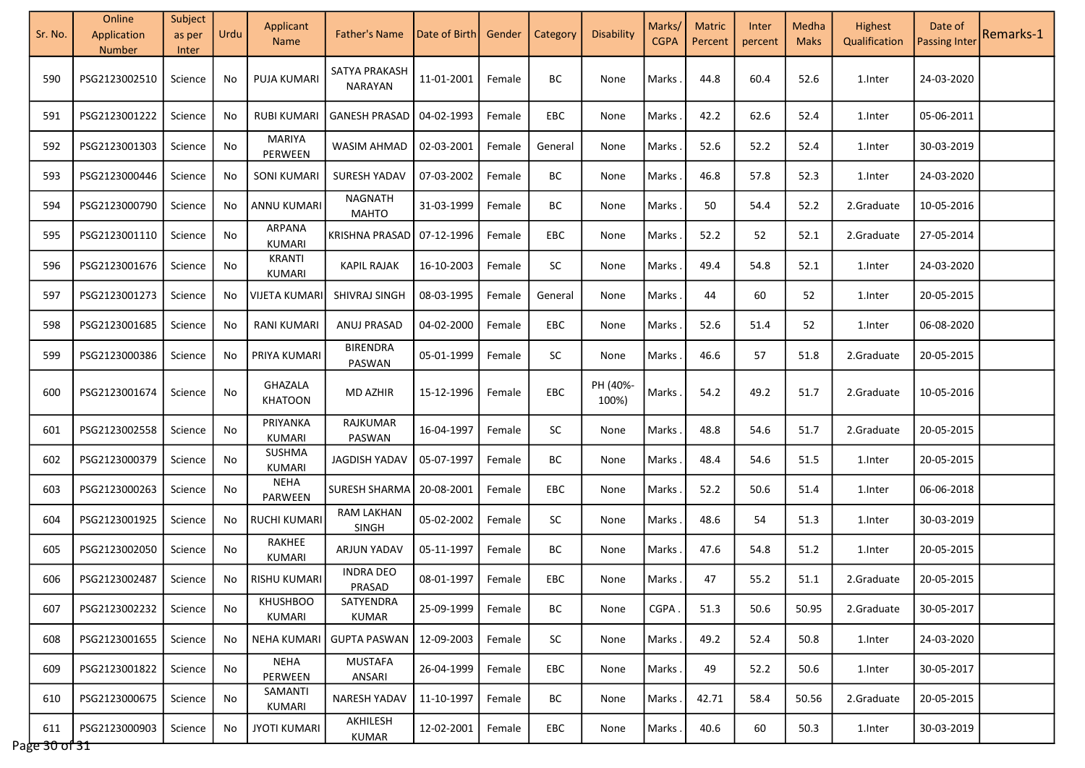| Sr. No.              | Online<br>Application<br><b>Number</b> | Subject<br>as per<br>Inter | Urdu | Applicant<br><b>Name</b>       | Father's Name                     | Date of Birth | Gender | Category   | Disability        | Marks/<br><b>CGPA</b> | <b>Matric</b><br>Percent | Inter<br>percent | Medha<br><b>Maks</b> | <b>Highest</b><br>Qualification | Date of<br><b>Passing Inter</b> | Remarks-1 |
|----------------------|----------------------------------------|----------------------------|------|--------------------------------|-----------------------------------|---------------|--------|------------|-------------------|-----------------------|--------------------------|------------------|----------------------|---------------------------------|---------------------------------|-----------|
| 590                  | PSG2123002510                          | Science                    | No   | <b>PUJA KUMARI</b>             | SATYA PRAKASH<br><b>NARAYAN</b>   | 11-01-2001    | Female | BС         | None              | Marks                 | 44.8                     | 60.4             | 52.6                 | 1.Inter                         | 24-03-2020                      |           |
| 591                  | PSG2123001222                          | Science                    | No   | <b>RUBI KUMARI</b>             | <b>GANESH PRASAD</b>              | 04-02-1993    | Female | <b>EBC</b> | None              | Marks                 | 42.2                     | 62.6             | 52.4                 | 1.Inter                         | 05-06-2011                      |           |
| 592                  | PSG2123001303                          | Science                    | No   | <b>MARIYA</b><br>PERWEEN       | WASIM AHMAD                       | 02-03-2001    | Female | General    | None              | Marks                 | 52.6                     | 52.2             | 52.4                 | 1.Inter                         | 30-03-2019                      |           |
| 593                  | PSG2123000446                          | Science                    | No   | <b>SONI KUMARI</b>             | <b>SURESH YADAV</b>               | 07-03-2002    | Female | BС         | None              | Marks                 | 46.8                     | 57.8             | 52.3                 | 1.Inter                         | 24-03-2020                      |           |
| 594                  | PSG2123000790                          | Science                    | No.  | ANNU KUMARI                    | <b>NAGNATH</b><br><b>MAHTO</b>    | 31-03-1999    | Female | ВC         | None              | Marks                 | 50                       | 54.4             | 52.2                 | 2.Graduate                      | 10-05-2016                      |           |
| 595                  | PSG2123001110                          | Science                    | No   | <b>ARPANA</b><br><b>KUMARI</b> | <b>KRISHNA PRASAD</b>             | 07-12-1996    | Female | EBC        | None              | Marks                 | 52.2                     | 52               | 52.1                 | 2.Graduate                      | 27-05-2014                      |           |
| 596                  | PSG2123001676                          | Science                    | No   | <b>KRANTI</b><br>KUMARI        | <b>KAPIL RAJAK</b>                | 16-10-2003    | Female | <b>SC</b>  | None              | Marks                 | 49.4                     | 54.8             | 52.1                 | 1.Inter                         | 24-03-2020                      |           |
| 597                  | PSG2123001273                          | Science                    | No   | VIJETA KUMARI                  | SHIVRAJ SINGH                     | 08-03-1995    | Female | General    | None              | Marks                 | 44                       | 60               | 52                   | 1.Inter                         | 20-05-2015                      |           |
| 598                  | PSG2123001685                          | Science                    | No   | <b>RANI KUMARI</b>             | ANUJ PRASAD                       | 04-02-2000    | Female | <b>EBC</b> | None              | Marks                 | 52.6                     | 51.4             | 52                   | 1.Inter                         | 06-08-2020                      |           |
| 599                  | PSG2123000386                          | Science                    | No   | PRIYA KUMARI                   | <b>BIRENDRA</b><br>PASWAN         | 05-01-1999    | Female | <b>SC</b>  | None              | Marks                 | 46.6                     | 57               | 51.8                 | 2.Graduate                      | 20-05-2015                      |           |
| 600                  | PSG2123001674                          | Science                    | No   | GHAZALA<br><b>KHATOON</b>      | <b>MD AZHIR</b>                   | 15-12-1996    | Female | <b>EBC</b> | PH (40%-<br>100%) | Marks                 | 54.2                     | 49.2             | 51.7                 | 2.Graduate                      | 10-05-2016                      |           |
| 601                  | PSG2123002558                          | Science                    | No   | PRIYANKA<br>KUMARI             | RAJKUMAR<br>PASWAN                | 16-04-1997    | Female | <b>SC</b>  | None              | Marks                 | 48.8                     | 54.6             | 51.7                 | 2.Graduate                      | 20-05-2015                      |           |
| 602                  | PSG2123000379                          | Science                    | No   | SUSHMA<br><b>KUMARI</b>        | JAGDISH YADAV                     | 05-07-1997    | Female | BС         | None              | Marks                 | 48.4                     | 54.6             | 51.5                 | 1.Inter                         | 20-05-2015                      |           |
| 603                  | PSG2123000263                          | Science                    | No   | <b>NEHA</b><br>PARWEEN         | <b>SURESH SHARMA</b>              | 20-08-2001    | Female | <b>EBC</b> | None              | Marks                 | 52.2                     | 50.6             | 51.4                 | 1.Inter                         | 06-06-2018                      |           |
| 604                  | PSG2123001925                          | Science                    | No   | RUCHI KUMARI                   | <b>RAM LAKHAN</b><br><b>SINGH</b> | 05-02-2002    | Female | SC         | None              | Marks                 | 48.6                     | 54               | 51.3                 | 1.Inter                         | 30-03-2019                      |           |
| 605                  | PSG2123002050                          | Science                    | No   | RAKHEE<br>KUMARI               | <b>ARJUN YADAV</b>                | 05-11-1997    | Female | BС         | None              | Marks                 | 47.6                     | 54.8             | 51.2                 | 1.Inter                         | 20-05-2015                      |           |
| 606                  | PSG2123002487                          | Science                    | No   | RISHU KUMARI                   | <b>INDRA DEO</b><br>PRASAD        | 08-01-1997    | Female | EBC        | None              | Marks                 | 47                       | 55.2             | 51.1                 | 2.Graduate                      | 20-05-2015                      |           |
| 607                  | PSG2123002232                          | Science                    | No   | <b>KHUSHBOO</b><br>KUMARI      | SATYENDRA<br><b>KUMAR</b>         | 25-09-1999    | Female | ВC         | None              | CGPA                  | 51.3                     | 50.6             | 50.95                | 2.Graduate                      | 30-05-2017                      |           |
| 608                  | PSG2123001655                          | Science                    | No.  | <b>NEHA KUMARI</b>             | <b>GUPTA PASWAN</b>               | 12-09-2003    | Female | SC         | None              | Marks.                | 49.2                     | 52.4             | 50.8                 | 1.Inter                         | 24-03-2020                      |           |
| 609                  | PSG2123001822                          | Science                    | No   | <b>NEHA</b><br>PERWEEN         | <b>MUSTAFA</b><br>ANSARI          | 26-04-1999    | Female | EBC        | None              | Marks.                | 49                       | 52.2             | 50.6                 | 1.Inter                         | 30-05-2017                      |           |
| 610                  | PSG2123000675                          | Science                    | No   | SAMANTI<br>KUMARI              | <b>NARESH YADAV</b>               | 11-10-1997    | Female | ВC         | None              | Marks.                | 42.71                    | 58.4             | 50.56                | 2.Graduate                      | 20-05-2015                      |           |
| 611<br>Page 30 of 31 | PSG2123000903                          | Science                    | No   | <b>JYOTI KUMARI</b>            | AKHILESH<br><b>KUMAR</b>          | 12-02-2001    | Female | EBC        | None              | Marks.                | 40.6                     | 60               | 50.3                 | 1.Inter                         | 30-03-2019                      |           |